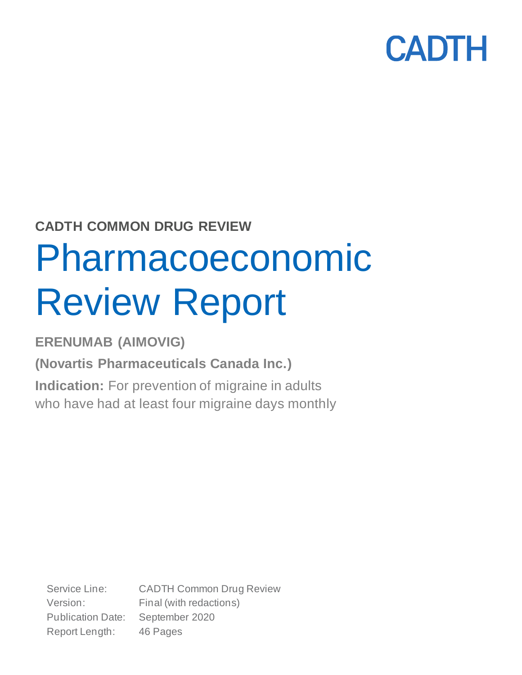## **CADTH COMMON DRUG REVIEW**

# Pharmacoeconomic Review Report

**ERENUMAB (AIMOVIG)**

**(Novartis Pharmaceuticals Canada Inc.)**

**Indication:** For prevention of migraine in adults who have had at least four migraine days monthly

Service Line: CADTH Common Drug Review Version: Final (with redactions) Publication Date: September 2020 Report Length: 46 Pages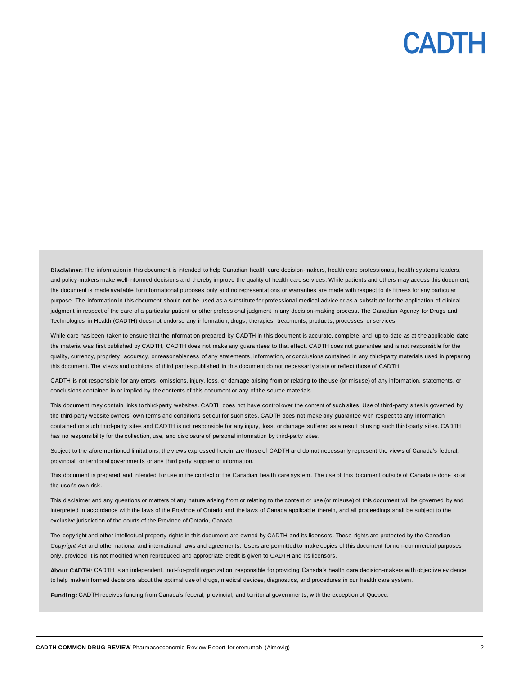**Disclaimer:** The information in this document is intended to help Canadian health care decision-makers, health care professionals, health systems leaders, and policy-makers make well-informed decisions and thereby improve the quality of health care services. While patients and others may access this document, the document is made available for informational purposes only and no representations or warranties are made with respect to its fitness for any particular purpose. The information in this document should not be used as a substitute for professional medical advice or as a substitute for the application of clinical judgment in respect of the care of a particular patient or other professional judgment in any decision-making process. The Canadian Agency for Drugs and Technologies in Health (CADTH) does not endorse any information, drugs, therapies, treatments, produc ts, processes, or services.

While care has been taken to ensure that the information prepared by CADTH in this document is accurate, complete, and up-to-date as at the applicable date the material was first published by CADTH, CADTH does not make any guarantees to that effect. CADTH does not guarantee and is not responsible for the quality, currency, propriety, accuracy, or reasonableness of any statements, information, or conclusions contained in any third-party materials used in preparing this document. The views and opinions of third parties published in this document do not necessarily state or reflect those of CADTH.

CADTH is not responsible for any errors, omissions, injury, loss, or damage arising from or relating to the use (or misuse) of any information, statements, or conclusions contained in or implied by the contents of this document or any of the source materials.

This document may contain links to third-party websites. CADTH does not have control over the content of such sites. Use of third-party sites is governed by the third-party website owners' own terms and conditions set out for such sites. CADTH does not make any guarantee with respect to any information contained on such third-party sites and CADTH is not responsible for any injury, loss, or damage suffered as a result of using such third-party sites. CADTH has no responsibility for the collection, use, and disclosure of personal information by third-party sites.

Subject to the aforementioned limitations, the views expressed herein are those of CADTH and do not necessarily represent the views of Canada's federal, provincial, or territorial governments or any third party supplier of information.

This document is prepared and intended for use in the context of the Canadian health care system. The use of this document outside of Canada is done so at the user's own risk.

This disclaimer and any questions or matters of any nature arising from or relating to the content or use (or misuse) of this document will be governed by and interpreted in accordance with the laws of the Province of Ontario and the laws of Canada applicable therein, and all proceedings shall be subject to the exclusive jurisdiction of the courts of the Province of Ontario, Canada.

The copyright and other intellectual property rights in this document are owned by CADTH and its licensors. These rights are protected by the Canadian *Copyright Act* and other national and international laws and agreements. Users are permitted to make copies of this document for non-commercial purposes only, provided it is not modified when reproduced and appropriate credit is given to CADTH and its licensors.

**About CADTH:** CADTH is an independent, not-for-profit organization responsible for providing Canada's health care decision-makers with objective evidence to help make informed decisions about the optimal use of drugs, medical devices, diagnostics, and procedures in our health care system.

**Funding:** CADTH receives funding from Canada's federal, provincial, and territorial governments, with the exception of Quebec.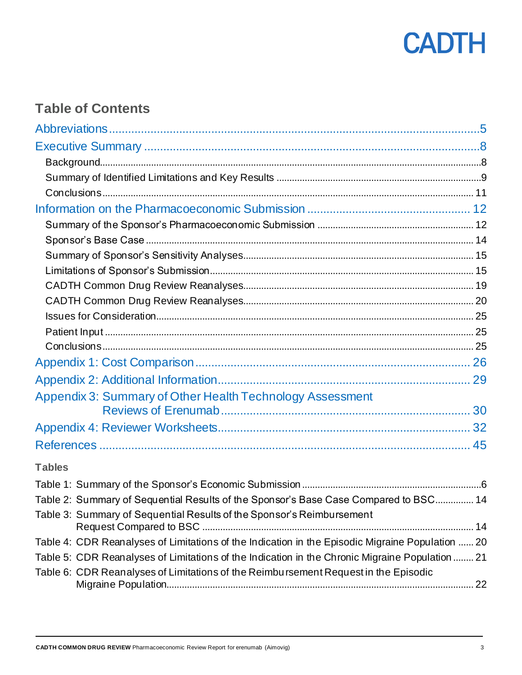

### **Table of Contents**

| Appendix 3: Summary of Other Health Technology Assessment                                        |  |
|--------------------------------------------------------------------------------------------------|--|
|                                                                                                  |  |
|                                                                                                  |  |
|                                                                                                  |  |
| <b>Tables</b>                                                                                    |  |
|                                                                                                  |  |
| Table 2: Summary of Sequential Results of the Sponsor's Base Case Compared to BSC 14             |  |
| Table 3: Summary of Sequential Results of the Sponsor's Reimbursement                            |  |
| Table 4: CDR Reanalyses of Limitations of the Indication in the Episodic Migraine Population  20 |  |
| Table 5: CDR Reanalyses of Limitations of the Indication in the Chronic Migraine Population  21  |  |
| Table 6: CDR Reanalyses of Limitations of the Reimbursement Request in the Episodic              |  |
|                                                                                                  |  |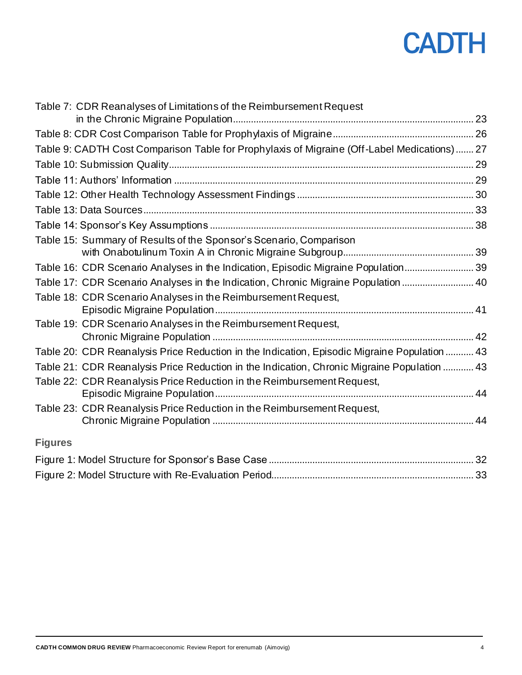| Table 7: CDR Reanalyses of Limitations of the Reimbursement Request                          |  |
|----------------------------------------------------------------------------------------------|--|
|                                                                                              |  |
|                                                                                              |  |
| Table 9: CADTH Cost Comparison Table for Prophylaxis of Migraine (Off-Label Medications)  27 |  |
|                                                                                              |  |
|                                                                                              |  |
|                                                                                              |  |
|                                                                                              |  |
|                                                                                              |  |
| Table 15: Summary of Results of the Sponsor's Scenario, Comparison                           |  |
|                                                                                              |  |
| Table 16: CDR Scenario Analyses in the Indication, Episodic Migraine Population 39           |  |
| Table 17: CDR Scenario Analyses in the Indication, Chronic Migraine Population  40           |  |
| Table 18: CDR Scenario Analyses in the Reimbursement Request,                                |  |
|                                                                                              |  |
| Table 19: CDR Scenario Analyses in the Reimbursement Request,                                |  |
|                                                                                              |  |
| Table 20: CDR Reanalysis Price Reduction in the Indication, Episodic Migraine Population  43 |  |
| Table 21: CDR Reanalysis Price Reduction in the Indication, Chronic Migraine Population  43  |  |
| Table 22: CDR Reanalysis Price Reduction in the Reimbursement Request,                       |  |
|                                                                                              |  |
| Table 23: CDR Reanalysis Price Reduction in the Reimbursement Request,                       |  |
|                                                                                              |  |
| <b>Figures</b>                                                                               |  |
|                                                                                              |  |
|                                                                                              |  |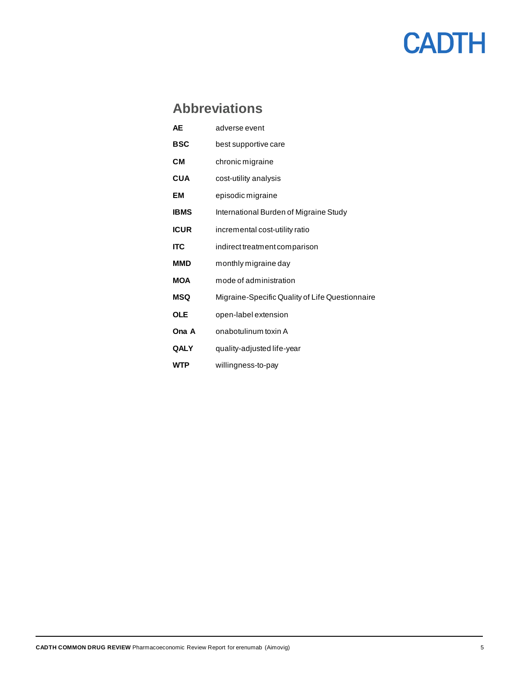## <span id="page-4-0"></span>**Abbreviations**

| AЕ          | adverse event                                   |
|-------------|-------------------------------------------------|
| <b>BSC</b>  | best supportive care                            |
| CМ          | chronic migraine                                |
| <b>CUA</b>  | cost-utility analysis                           |
| EМ          | episodic migraine                               |
| <b>IBMS</b> | International Burden of Migraine Study          |
| <b>ICUR</b> | incremental cost-utility ratio                  |
| <b>ITC</b>  | indirect treatment comparison                   |
| <b>MMD</b>  | monthly migraine day                            |
| <b>MOA</b>  | mode of administration                          |
| MSQ         | Migraine-Specific Quality of Life Questionnaire |
| <b>OLE</b>  | open-label extension                            |
| Ona A       | onabotulinum toxin A                            |
| QALY        | quality-adjusted life-year                      |
| WTP         | willingness-to-pay                              |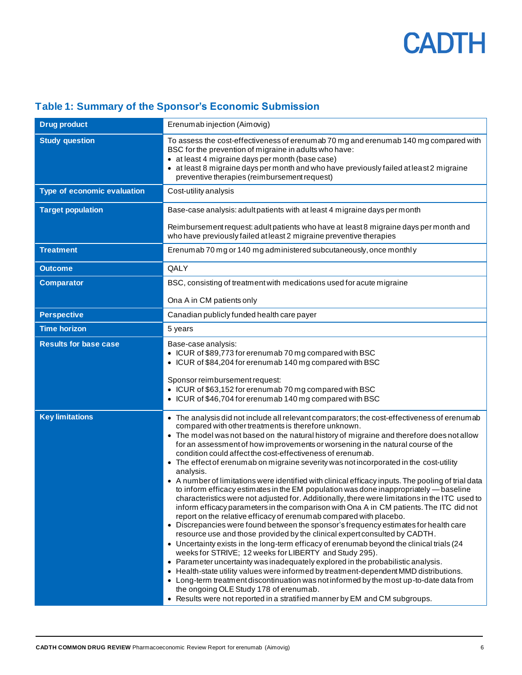| <b>Drug product</b>          | Erenumab injection (Aimovig)                                                                                                                                                                                                                                                                                                                                                                                                                                                                                                                                                                                                                                                                                                                                                                                                                                                                                                                                                                                                                                                                                                                                                                                                                                                                                                                                                                                                                                                                                                                                                                                                                                                                            |  |  |  |  |
|------------------------------|---------------------------------------------------------------------------------------------------------------------------------------------------------------------------------------------------------------------------------------------------------------------------------------------------------------------------------------------------------------------------------------------------------------------------------------------------------------------------------------------------------------------------------------------------------------------------------------------------------------------------------------------------------------------------------------------------------------------------------------------------------------------------------------------------------------------------------------------------------------------------------------------------------------------------------------------------------------------------------------------------------------------------------------------------------------------------------------------------------------------------------------------------------------------------------------------------------------------------------------------------------------------------------------------------------------------------------------------------------------------------------------------------------------------------------------------------------------------------------------------------------------------------------------------------------------------------------------------------------------------------------------------------------------------------------------------------------|--|--|--|--|
| <b>Study question</b>        | To assess the cost-effectiveness of erenumab 70 mg and erenumab 140 mg compared with<br>BSC for the prevention of migraine in adults who have:<br>• at least 4 migraine days per month (base case)<br>• at least 8 migraine days per month and who have previously failed at least 2 migraine<br>preventive therapies (reimbursement request)                                                                                                                                                                                                                                                                                                                                                                                                                                                                                                                                                                                                                                                                                                                                                                                                                                                                                                                                                                                                                                                                                                                                                                                                                                                                                                                                                           |  |  |  |  |
| Type of economic evaluation  | Cost-utility analysis                                                                                                                                                                                                                                                                                                                                                                                                                                                                                                                                                                                                                                                                                                                                                                                                                                                                                                                                                                                                                                                                                                                                                                                                                                                                                                                                                                                                                                                                                                                                                                                                                                                                                   |  |  |  |  |
| <b>Target population</b>     | Base-case analysis: adult patients with at least 4 migraine days per month                                                                                                                                                                                                                                                                                                                                                                                                                                                                                                                                                                                                                                                                                                                                                                                                                                                                                                                                                                                                                                                                                                                                                                                                                                                                                                                                                                                                                                                                                                                                                                                                                              |  |  |  |  |
|                              | Reimbursement request: adult patients who have at least 8 migraine days per month and<br>who have previously failed at least 2 migraine preventive therapies                                                                                                                                                                                                                                                                                                                                                                                                                                                                                                                                                                                                                                                                                                                                                                                                                                                                                                                                                                                                                                                                                                                                                                                                                                                                                                                                                                                                                                                                                                                                            |  |  |  |  |
| <b>Treatment</b>             | Erenumab 70 mg or 140 mg administered subcutaneously, once monthly                                                                                                                                                                                                                                                                                                                                                                                                                                                                                                                                                                                                                                                                                                                                                                                                                                                                                                                                                                                                                                                                                                                                                                                                                                                                                                                                                                                                                                                                                                                                                                                                                                      |  |  |  |  |
| <b>Outcome</b>               | QALY                                                                                                                                                                                                                                                                                                                                                                                                                                                                                                                                                                                                                                                                                                                                                                                                                                                                                                                                                                                                                                                                                                                                                                                                                                                                                                                                                                                                                                                                                                                                                                                                                                                                                                    |  |  |  |  |
| <b>Comparator</b>            | BSC, consisting of treatment with medications used for acute migraine                                                                                                                                                                                                                                                                                                                                                                                                                                                                                                                                                                                                                                                                                                                                                                                                                                                                                                                                                                                                                                                                                                                                                                                                                                                                                                                                                                                                                                                                                                                                                                                                                                   |  |  |  |  |
|                              | Ona A in CM patients only                                                                                                                                                                                                                                                                                                                                                                                                                                                                                                                                                                                                                                                                                                                                                                                                                                                                                                                                                                                                                                                                                                                                                                                                                                                                                                                                                                                                                                                                                                                                                                                                                                                                               |  |  |  |  |
| <b>Perspective</b>           | Canadian publicly funded health care payer                                                                                                                                                                                                                                                                                                                                                                                                                                                                                                                                                                                                                                                                                                                                                                                                                                                                                                                                                                                                                                                                                                                                                                                                                                                                                                                                                                                                                                                                                                                                                                                                                                                              |  |  |  |  |
| <b>Time horizon</b>          | 5 years                                                                                                                                                                                                                                                                                                                                                                                                                                                                                                                                                                                                                                                                                                                                                                                                                                                                                                                                                                                                                                                                                                                                                                                                                                                                                                                                                                                                                                                                                                                                                                                                                                                                                                 |  |  |  |  |
| <b>Results for base case</b> | Base-case analysis:<br>• ICUR of \$89,773 for erenumab 70 mg compared with BSC<br>• ICUR of \$84,204 for erenumab 140 mg compared with BSC<br>Sponsor reimbursement request:<br>• ICUR of \$63,152 for erenumab 70 mg compared with BSC<br>• ICUR of \$46,704 for erenumab 140 mg compared with BSC                                                                                                                                                                                                                                                                                                                                                                                                                                                                                                                                                                                                                                                                                                                                                                                                                                                                                                                                                                                                                                                                                                                                                                                                                                                                                                                                                                                                     |  |  |  |  |
| <b>Key limitations</b>       | • The analysis did not include all relevant comparators; the cost-effectiveness of erenumab<br>compared with other treatments is therefore unknown.<br>• The model was not based on the natural history of migraine and therefore does not allow<br>for an assessment of how improvements or worsening in the natural course of the<br>condition could affect the cost-effectiveness of erenumab.<br>• The effect of erenumab on migraine severity was not incorporated in the cost-utility<br>analysis.<br>• A number of limitations were identified with clinical efficacy inputs. The pooling of trial data<br>to inform efficacy estimates in the EM population was done inappropriately — baseline<br>characteristics were not adjusted for. Additionally, there were limitations in the ITC used to<br>inform efficacy parameters in the comparison with Ona A in CM patients. The ITC did not<br>report on the relative efficacy of erenumab compared with placebo.<br>• Discrepancies were found between the sponsor's frequency estimates for health care<br>resource use and those provided by the clinical expert consulted by CADTH.<br>• Uncertainty exists in the long-term efficacy of erenumab beyond the clinical trials (24<br>weeks for STRIVE; 12 weeks for LIBERTY and Study 295).<br>• Parameter uncertainty was inadequately explored in the probabilistic analysis.<br>• Health-state utility values were informed by treatment-dependent MMD distributions.<br>• Long-term treatment discontinuation was not informed by the most up-to-date data from<br>the ongoing OLE Study 178 of erenumab.<br>• Results were not reported in a stratified manner by EM and CM subgroups. |  |  |  |  |

### <span id="page-5-0"></span>**Table 1: Summary of the Sponsor's Economic Submission**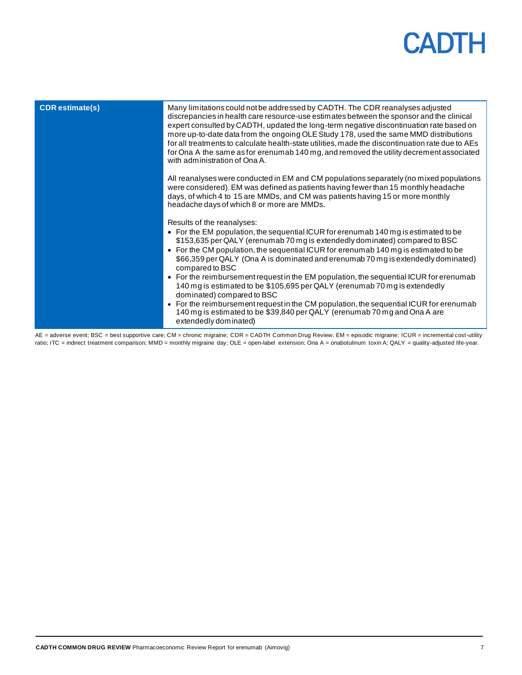| <b>CDR</b> estimate(s) | Many limitations could not be addressed by CADTH. The CDR reanalyses adjusted<br>discrepancies in health care resource-use estimates between the sponsor and the clinical<br>expert consulted by CADTH, updated the long-term negative discontinuation rate based on<br>more up-to-date data from the ongoing OLE Study 178, used the same MMD distributions<br>for all treatments to calculate health-state utilities, made the discontinuation rate due to AEs<br>for Ona A the same as for erenumab 140 mg, and removed the utility decrement associated<br>with administration of Ona A.                                                                                                                                                                                 |
|------------------------|------------------------------------------------------------------------------------------------------------------------------------------------------------------------------------------------------------------------------------------------------------------------------------------------------------------------------------------------------------------------------------------------------------------------------------------------------------------------------------------------------------------------------------------------------------------------------------------------------------------------------------------------------------------------------------------------------------------------------------------------------------------------------|
|                        | All reanalyses were conducted in EM and CM populations separately (no mixed populations<br>were considered). EM was defined as patients having fewer than 15 monthly headache<br>days, of which 4 to 15 are MMDs, and CM was patients having 15 or more monthly<br>headache days of which 8 or more are MMDs.                                                                                                                                                                                                                                                                                                                                                                                                                                                                |
|                        | Results of the reanalyses:<br>• For the EM population, the sequential ICUR for erenumab 140 mg is estimated to be<br>\$153,635 per QALY (erenumab 70 mg is extendedly dominated) compared to BSC<br>• For the CM population, the sequential ICUR for erenumab 140 mg is estimated to be<br>\$66,359 per QALY (Ona A is dominated and erenumab 70 mg is extendedly dominated)<br>compared to BSC<br>• For the reimbursement request in the EM population, the sequential ICUR for erenumab<br>140 mg is estimated to be \$105,695 per QALY (erenumab 70 mg is extendedly<br>dominated) compared to BSC<br>• For the reimbursement request in the CM population, the sequential ICUR for erenumab<br>140 mg is estimated to be \$39,840 per QALY (erenumab 70 mg and Ona A are |

AE = adverse event; BSC = best supportive care; CM = chronic migraine; CDR = CADTH Common Drug Review; EM = episodic migraine; ICUR = incremental cost-utility ratio; ITC = indirect treatment comparison; MMD = monthly migraine day; OLE = open-label extension; Ona A = onabotulinum toxin A; QALY = quality-adjusted life-year.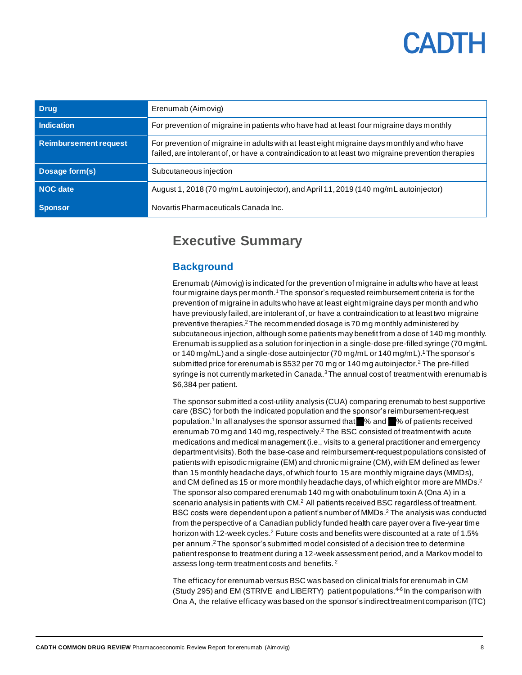<span id="page-7-0"></span>

| <b>Drug</b>                  | Erenumab (Aimovig)                                                                                                                                                                                 |  |  |  |
|------------------------------|----------------------------------------------------------------------------------------------------------------------------------------------------------------------------------------------------|--|--|--|
| <b>Indication</b>            | For prevention of migraine in patients who have had at least four migraine days monthly                                                                                                            |  |  |  |
| <b>Reimbursement request</b> | For prevention of migraine in adults with at least eight migraine days monthly and who have<br>failed, are intolerant of, or have a contraindication to at least two migraine prevention therapies |  |  |  |
| Dosage form(s)               | Subcutaneous injection                                                                                                                                                                             |  |  |  |
| NOC date                     | August 1, 2018 (70 mg/mL autoinjector), and April 11, 2019 (140 mg/mL autoinjector)                                                                                                                |  |  |  |
| <b>Sponsor</b>               | Novartis Pharmaceuticals Canada Inc.                                                                                                                                                               |  |  |  |

### **Executive Summary**

### <span id="page-7-1"></span>**Background**

Erenumab (Aimovig) is indicated for the prevention of migraine in adults who have at least four migraine days per month.<sup>1</sup>The sponsor's requested reimbursement criteria is for the prevention of migraine in adults who have at least eight migraine days per month and who have previously failed, are intolerant of, or have a contraindication to at least two migraine preventive therapies.<sup>2</sup> The recommended dosage is 70 mg monthly administered by subcutaneous injection, although some patients may benefit from a dose of 140 mg monthly. Erenumab is supplied as a solution for injection in a single-dose pre-filled syringe (70 mg/mL or 140 mg/mL) and a single-dose autoinjector (70 mg/mL or 140 mg/mL).<sup>1</sup>The sponsor's submitted price for erenumab is \$532 per 70 mg or 140 mg autoinjector.<sup>2</sup> The pre-filled syringe is not currently marketed in Canada.<sup>3</sup>The annual cost of treatment with erenumab is \$6,384 per patient.

The sponsor submitted a cost-utility analysis (CUA) comparing erenumab to best supportive care (BSC) for both the indicated population and the sponsor's reimbursement-request population.<sup>1</sup> In all analyses the sponsor assumed that  $\%$  and  $\%$  of patients received erenumab 70 mg and 140 mg, respectively. $2$  The BSC consisted of treatment with acute medications and medical management (i.e., visits to a general practitioner and emergency department visits).Both the base-case and reimbursement-request populations consisted of patients with episodic migraine (EM) and chronic migraine (CM), with EM defined as fewer than 15 monthly headache days, of which four to 15 are monthly migraine days (MMDs), and CM defined as 15 or more monthly headache days, of which eight or more are MMDs.<sup>2</sup> The sponsor also compared erenumab 140 mg with onabotulinum toxin A (Ona A) in a scenario analysis in patients with CM.<sup>2</sup> All patients received BSC regardless of treatment. BSC costs were dependent upon a patient's number of MMDs.<sup>2</sup> The analysis was conducted from the perspective of a Canadian publicly funded health care payer over a five-year time horizon with 12-week cycles.<sup>2</sup> Future costs and benefits were discounted at a rate of 1.5% per annum. <sup>2</sup>The sponsor's submitted model consisted of a decision tree to determine patient response to treatment during a 12-week assessment period, and a Markov model to assess long-term treatment costs and benefits.<sup>2</sup>

The efficacy for erenumab versus BSC was based on clinical trials for erenumab in CM (Study 295) and EM (STRIVE and LIBERTY) patient populations.<sup>4-6</sup> In the comparison with Ona A, the relative efficacy was based on the sponsor's indirect treatment comparison (ITC)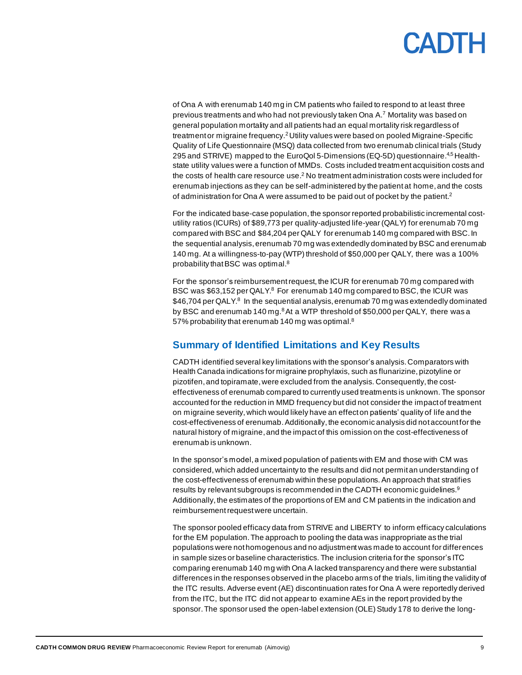of Ona A with erenumab 140 mg in CM patients who failed to respond to at least three previous treatments and who had not previously taken Ona A.<sup>7</sup> Mortality was based on general population mortality and all patients had an equal mortality risk regardless of treatment or migraine frequency.<sup>2</sup>Utility values were based on pooled Migraine-Specific Quality of Life Questionnaire (MSQ) data collected from two erenumab clinical trials (Study 295 and STRIVE) mapped to the EuroQol 5-Dimensions (EQ-5D) questionnaire.<sup>4,5</sup> Healthstate utility values were a function of MMDs. Costs included treatmentacquisition costs and the costs of health care resource use.<sup>2</sup> No treatment administration costs were included for erenumab injections as they can be self-administered by the patient at home,and the costs of administration for Ona A were assumed to be paid out of pocket by the patient.<sup>2</sup>

For the indicated base-case population, the sponsor reported probabilistic incremental costutility ratios (ICURs) of \$89,773 per quality-adjusted life-year (QALY) for erenumab 70 mg compared with BSC and \$84,204 per QALY for erenumab 140 mg compared with BSC. In the sequential analysis,erenumab 70 mg was extendedly dominated by BSC and erenumab 140 mg. At a willingness-to-pay (WTP) threshold of \$50,000 per QALY, there was a 100% probability that BSC was optimal.<sup>8</sup>

For the sponsor's reimbursementrequest, the ICUR for erenumab 70 mg compared with BSC was \$63,152 per QALY.<sup>8</sup> For erenumab 140 mg compared to BSC, the ICUR was \$46,704 per QALY.<sup>8</sup> In the sequential analysis, erenumab 70 mg was extendedly dominated by BSC and erenumab 140 mg.<sup>8</sup> At a WTP threshold of \$50,000 per QALY, there was a 57% probability that erenumab 140 mg was optimal.<sup>8</sup>

### <span id="page-8-0"></span>**Summary of Identified Limitations and Key Results**

CADTH identified several key limitations with the sponsor's analysis. Comparators with Health Canada indications for migraine prophylaxis, such as flunarizine, pizotyline or pizotifen, and topiramate, were excluded from the analysis. Consequently, the costeffectiveness of erenumab compared to currently used treatments is unknown. The sponsor accounted for the reduction in MMD frequency but did not consider the impact of treatment on migraine severity,which would likely have an effect on patients' quality of life and the cost-effectiveness of erenumab.Additionally, the economic analysis did notaccount for the natural history of migraine, and the impact of this omission on the cost-effectiveness of erenumab is unknown.

In the sponsor's model, a mixed population of patients with EM and those with CM was considered, which added uncertainty to the results and did not permit an understanding of the cost-effectiveness of erenumab within these populations. An approach that stratifies results by relevant subgroups is recommended in the CADTH economic guidelines.<sup>9</sup> Additionally, the estimates of the proportions of EM and CM patients in the indication and reimbursement request were uncertain.

The sponsor pooled efficacy data from STRIVE and LIBERTY to inform efficacy calculations for the EM population. The approach to pooling the data was inappropriate as the trial populations were not homogenous and no adjustment was made to account for differences in sample sizes or baseline characteristics. The inclusion criteria for the sponsor's ITC comparing erenumab 140 mg with Ona A lacked transparency and there were substantial differences in the responses observed in the placebo arms of the trials, limiting the validity of the ITC results. Adverse event (AE) discontinuation rates for Ona A were reportedly derived from the ITC, but the ITC did not appear to examine AEs in the report provided by the sponsor. The sponsor used the open-label extension (OLE) Study 178 to derive the long-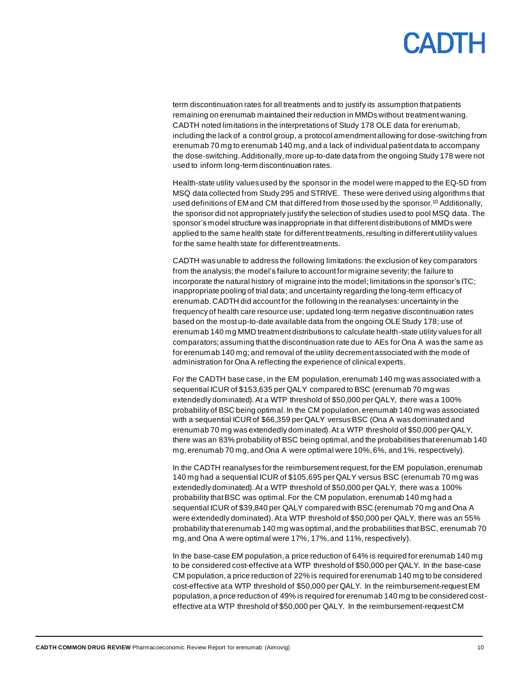term discontinuation rates for all treatments and to justify its assumption that patients remaining on erenumab maintained their reduction in MMDs without treatment waning. CADTH noted limitations in the interpretations of Study 178 OLE data for erenumab, including the lack of a control group, a protocol amendment allowing for dose-switching from erenumab 70 mg to erenumab 140 mg, and a lack of individual patient data to accompany the dose-switching. Additionally, more up-to-date data from the ongoing Study 178 were not used to inform long-term discontinuation rates.

Health-state utility values used by the sponsor in the model were mapped to the EQ-5D from MSQ data collected from Study 295 and STRIVE. These were derived using algorithms that used definitions of EM and CM that differed from those used by the sponsor.<sup>10</sup> Additionally, the sponsor did not appropriately justify the selection of studies used to pool MSQ data. The sponsor's model structure was inappropriate in that different distributions of MMDs were applied to the same health state for different treatments,resulting in different utility values for the same health state for different treatments.

CADTH was unable to address the following limitations: the exclusion of key comparators from the analysis; the model's failure to account for migraine severity; the failure to incorporate the natural history of migraine into the model; limitations in the sponsor's ITC; inappropriate pooling of trial data; and uncertainty regarding the long-term efficacy of erenumab. CADTH did account for the following in the reanalyses: uncertainty in the frequency of health care resource use; updated long-term negative discontinuation rates based on the most up-to-date available data from the ongoing OLE Study 178; use of erenumab 140 mg MMD treatment distributions to calculate health-state utility values for all comparators; assuming that the discontinuation rate due to AEs for Ona A was the same as for erenumab 140 mg; and removal of the utility decrement associated with the mode of administration for Ona A reflecting the experience of clinical experts.

For the CADTH base case, in the EM population, erenumab 140 mg was associated with a sequential ICUR of \$153,635 per QALY compared to BSC (erenumab 70 mg was extendedly dominated). At a WTP threshold of \$50,000 per QALY, there was a 100% probability of BSC being optimal. In the CM population, erenumab 140 mg was associated with a sequential ICUR of \$66,359 per QALY versus BSC (Ona A was dominated and erenumab 70 mg was extendedly dominated).At a WTP threshold of \$50,000 per QALY, there was an 83% probability of BSC being optimal, and the probabilities that erenumab 140 mg, erenumab 70 mg,and Ona A were optimal were 10%, 6%, and 1%, respectively).

In the CADTH reanalyses for the reimbursementrequest, for the EM population, erenumab 140 mg had a sequential ICUR of \$105,695 per QALY versus BSC (erenumab 70 mg was extendedly dominated). At a WTP threshold of \$50,000 per QALY, there was a 100% probability that BSC was optimal. For the CM population, erenumab 140 mg had a sequential ICUR of \$39,840 per QALY compared with BSC (erenumab 70 mg and Ona A were extendedly dominated). At a WTP threshold of \$50,000 per QALY, there was an 55% probability that erenumab 140 mg was optimal, and the probabilities that BSC, erenumab 70 mg, and Ona A were optimal were 17%, 17%, and 11%, respectively).

In the base-case EM population, a price reduction of 64% is required for erenumab 140 mg to be considered cost-effective at a WTP threshold of \$50,000 per QALY. In the base-case CM population, a price reduction of 22% is required for erenumab 140 mg to be considered cost-effective at a WTP threshold of \$50,000 per QALY. In the reimbursement-request EM population, a price reduction of 49% is required for erenumab 140 mg to be considered costeffective at a WTP threshold of \$50,000 per QALY. In the reimbursement-request CM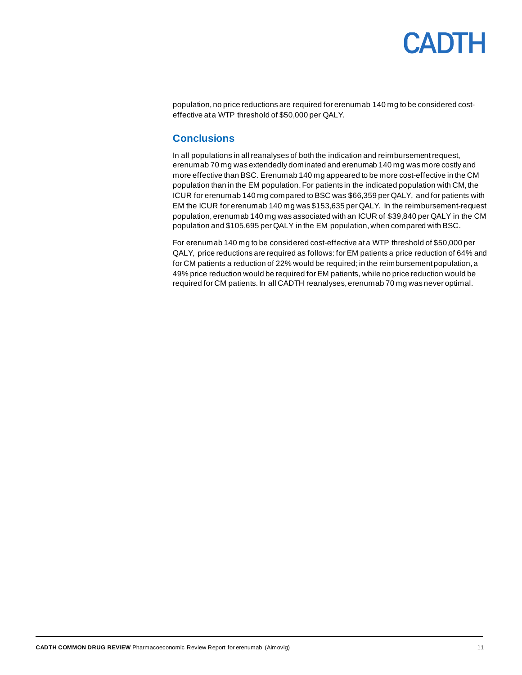population, no price reductions are required for erenumab 140 mg to be considered costeffective at a WTP threshold of \$50,000 per QALY.

### <span id="page-10-0"></span>**Conclusions**

In all populations in all reanalyses of both the indication and reimbursementrequest, erenumab 70 mg was extendedly dominated and erenumab 140 mg was more costly and more effective than BSC. Erenumab 140 mg appeared to be more cost-effective in the CM population than in the EM population. For patients in the indicated population with CM, the ICUR for erenumab 140 mg compared to BSC was \$66,359 per QALY, and for patients with EM the ICUR for erenumab 140 mg was \$153,635 per QALY. In the reimbursement-request population, erenumab 140 mg was associated with an ICUR of \$39,840 per QALY in the CM population and \$105,695 per QALY in the EM population, when compared with BSC.

For erenumab 140 mg to be considered cost-effective at a WTP threshold of \$50,000 per QALY, price reductions are required as follows: for EM patients a price reduction of 64% and for CM patients a reduction of 22% would be required; in the reimbursement population,a 49% price reduction would be required for EM patients, while no price reduction would be required for CM patients. In all CADTH reanalyses, erenumab 70 mg was never optimal.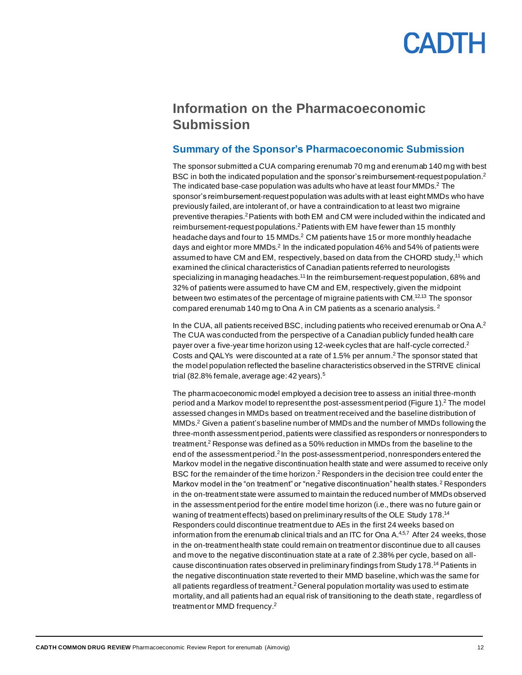### <span id="page-11-0"></span>**Information on the Pharmacoeconomic Submission**

#### <span id="page-11-1"></span>**Summary of the Sponsor's Pharmacoeconomic Submission**

The sponsor submitted a CUA comparing erenumab 70 mg and erenumab 140 mg with best BSC in both the indicated population and the sponsor's reimbursement-request population.<sup>2</sup> The indicated base-case population was adults who have at least four MMDs. <sup>2</sup> The sponsor's reimbursement-request population was adults with at least eight MMDs who have previously failed, are intolerant of, or have a contraindication to at least two migraine preventive therapies.<sup>2</sup>Patients with both EM and CM were included within the indicated and reimbursement-request populations.<sup>2</sup> Patients with EM have fewer than 15 monthly headache days and four to 15 MMDs.<sup>2</sup> CM patients have 15 or more monthly headache days and eight or more MMDs.<sup>2</sup> In the indicated population 46% and 54% of patients were assumed to have CM and EM, respectively, based on data from the CHORD study,<sup>11</sup> which examined the clinical characteristics of Canadian patients referred to neurologists specializing in managing headaches.<sup>11</sup> In the reimbursement-request population, 68% and 32% of patients were assumed to have CM and EM, respectively, given the midpoint between two estimates of the percentage of migraine patients with CM.<sup>12,13</sup> The sponsor compared erenumab 140 mg to Ona A in CM patients as a scenario analysis. <sup>2</sup>

In the CUA, all patients received BSC, including patients who received erenumab or Ona  $A<sup>2</sup>$ The CUA was conducted from the perspective of a Canadian publicly funded health care payer over a five-year time horizon using 12-week cycles that are half-cycle corrected.<sup>2</sup> Costs and QALYs were discounted at a rate of 1.5% per annum. <sup>2</sup>The sponsor stated that the model population reflected the baseline characteristics observed in the STRIVE clinical trial (82.8% female, average age: 42 years).<sup>5</sup>

The pharmacoeconomic model employed a decision tree to assess an initial three-month period and a Markov model to represent the post-assessment period [\(Figure 1\)](#page-31-1). <sup>2</sup> The model assessed changes in MMDs based on treatment received and the baseline distribution of MMDs. <sup>2</sup> Given a patient's baseline number of MMDs and the number of MMDs following the three-month assessment period,patients were classified as responders or nonresponders to treatment. <sup>2</sup> Response was defined as a 50% reduction in MMDs from the baseline to the end of the assessment period.<sup>2</sup> In the post-assessment period, nonresponders entered the Markov model in the negative discontinuation health state and were assumed to receive only BSC for the remainder of the time horizon. <sup>2</sup> Responders in the decision tree could enter the Markov model in the "on treatment" or "negative discontinuation" health states.<sup>2</sup> Responders in the on-treatment state were assumed to maintain the reduced number of MMDs observed in the assessment period for the entire model time horizon (i.e., there was no future gain or waning of treatment effects) based on preliminary results of the OLE Study 178.<sup>14</sup> Responders could discontinue treatment due to AEs in the first 24 weeks based on information from the erenumab clinical trials and an ITC for Ona A.<sup>4,5,7</sup> After 24 weeks, those in the on-treatment health state could remain on treatment or discontinue due to all causes and move to the negative discontinuation state at a rate of 2.38% per cycle, based on allcause discontinuation rates observed in preliminary findings from Study 178.<sup>14</sup> Patients in the negative discontinuation state reverted to their MMD baseline, which was the same for all patients regardless of treatment.<sup>2</sup> General population mortality was used to estimate mortality, and all patients had an equal risk of transitioning to the death state, regardless of treatment or MMD frequency.<sup>2</sup>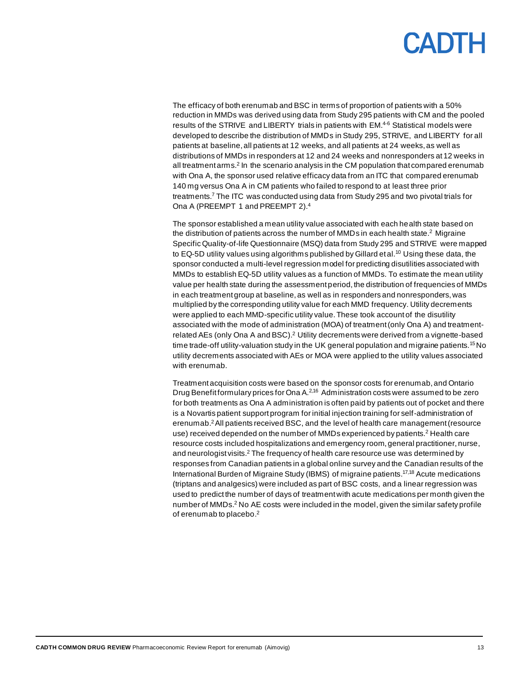The efficacy of both erenumab and BSC in terms of proportion of patients with a 50% reduction in MMDs was derived using data from Study 295 patients with CM and the pooled results of the STRIVE and LIBERTY trials in patients with EM.<sup>4-6</sup> Statistical models were developed to describe the distribution of MMDs in Study 295, STRIVE, and LIBERTY for all patients at baseline, all patients at 12 weeks, and all patients at 24 weeks,as well as distributions of MMDs in responders at 12 and 24 weeks and nonresponders at 12 weeks in all treatment arms.<sup>2</sup> In the scenario analysis in the CM population that compared erenumab with Ona A, the sponsor used relative efficacy data from an ITC that compared erenumab 140 mg versus Ona A in CM patients who failed to respond to at least three prior treatments. <sup>7</sup> The ITC was conducted using data from Study 295 and two pivotal trials for Ona A (PREEMPT 1 and PREEMPT 2).<sup>4</sup>

The sponsor established a mean utility value associated with each health state based on the distribution of patients across the number of MMDs in each health state.<sup>2</sup> Migraine Specific Quality-of-life Questionnaire (MSQ) data from Study 295 and STRIVE were mapped to EQ-5D utility values using algorithms published by Gillard et al.<sup>10</sup> Using these data, the sponsor conducted a multi-level regression model for predicting disutilities associated with MMDs to establish EQ-5D utility values as a function of MMDs. To estimate the mean utility value per health state during the assessment period, the distribution of frequencies of MMDs in each treatment group at baseline, as well as in responders and nonresponders, was multiplied by the corresponding utility value for each MMD frequency. Utility decrements were applied to each MMD-specific utility value. These took account of the disutility associated with the mode of administration (MOA) of treatment (only Ona A) and treatmentrelated AEs (only Ona A and BSC).<sup>2</sup> Utility decrements were derived from a vignette-based time trade-off utility-valuation study in the UK general population and migraine patients.<sup>15</sup>No utility decrements associated with AEs or MOA were applied to the utility values associated with erenumab.

Treatment acquisition costs were based on the sponsor costs for erenumab, and Ontario Drug Benefit formulary prices for Ona A.<sup>2,16</sup> Administration costs were assumed to be zero for both treatments as Ona A administration is often paid by patients out of pocket and there is a Novartis patient support program for initial injection training for self-administration of erenumab. <sup>2</sup>All patients received BSC, and the level of health care management (resource use) received depended on the number of MMDs experienced by patients.<sup>2</sup> Health care resource costs included hospitalizations and emergency room, general practitioner, nurse, and neurologist visits.<sup>2</sup> The frequency of health care resource use was determined by responses from Canadian patients in a global online survey and the Canadian results of the International Burden of Migraine Study (IBMS) of migraine patients. 17,18 Acute medications (triptans and analgesics) were included as part of BSC costs, and a linear regression was used to predict the number of days of treatment with acute medications per month given the number of MMDs.<sup>2</sup> No AE costs were included in the model, given the similar safety profile of erenumab to placebo. 2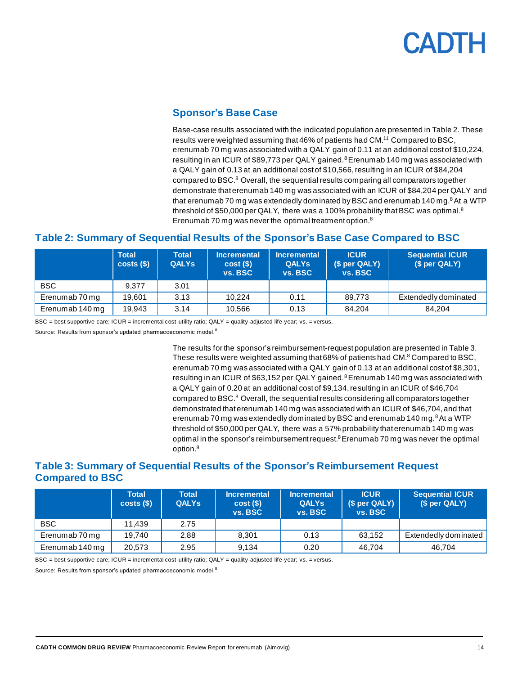### **Sponsor's Base Case**

Base-case results associated with the indicated population are presented i[n Table 2.](#page-13-1) These results were weighted assuming that 46% of patients had CM.<sup>11</sup> Compared to BSC, erenumab 70 mg was associated with a QALY gain of 0.11 at an additional cost of \$10,224, resulting in an ICUR of \$89,773 per QALY gained. $8$  Erenumab 140 mg was associated with a QALY gain of 0.13 at an additional cost of \$10,566, resulting in an ICUR of \$84,204 compared to BSC.<sup>8</sup> Overall, the sequential results comparing all comparators together demonstrate that erenumab 140 mg was associated with an ICUR of \$84,204 per QALY and that erenumab 70 mg was extendedly dominated by BSC and erenumab 140 mg. $8$ At a WTP threshold of \$50,000 per QALY, there was a 100% probability that BSC was optimal.<sup>8</sup> Erenumab 70 mg was never the optimal treatment option.<sup>8</sup>

### <span id="page-13-1"></span><span id="page-13-0"></span>**Table 2: Summary of Sequential Results of the Sponsor's Base Case Compared to BSC**

|                 | <b>Total</b><br>costs( | <b>Total</b><br><b>QALYs</b> | <b>Incremental</b><br>cost(S)<br>vs. BSC | <b>Incremental</b><br><b>QALYS</b><br>vs. BSC | <b>ICUR</b><br>(\$ per QALY)<br>vs. BSC | <b>Sequential ICUR</b><br>(\$ per QALY) |
|-----------------|------------------------|------------------------------|------------------------------------------|-----------------------------------------------|-----------------------------------------|-----------------------------------------|
| <b>BSC</b>      | 9.377                  | 3.01                         |                                          |                                               |                                         |                                         |
| Erenumab 70 mg  | 19.601                 | 3.13                         | 10.224                                   | 0.11                                          | 89.773                                  | Extendedly dominated                    |
| Erenumab 140 mg | 19.943                 | 3.14                         | 10,566                                   | 0.13                                          | 84.204                                  | 84.204                                  |

BSC = best supportive care; ICUR = incremental cost-utility ratio; QALY = quality-adjusted life-year; vs. = versus.

Source: Results from sponsor's updated pharmacoeconomic model.<sup>8</sup>

The results for the sponsor's reimbursement-request population are presented i[n Table 3.](#page-13-2) These results were weighted assuming that 68% of patients had CM.<sup>8</sup> Compared to BSC, erenumab 70 mg was associated with a QALY gain of 0.13 at an additional cost of \$8,301, resulting in an ICUR of \$63,152 per QALY gained. $8E$  Erenumab 140 mg was associated with a QALY gain of 0.20 at an additional cost of \$9,134, resulting in an ICUR of \$46,704 compared to BSC.<sup>8</sup> Overall, the sequential results considering all comparators together demonstrated that erenumab 140 mg was associated with an ICUR of \$46,704, and that erenumab 70 mg was extendedly dominated by BSC and erenumab 140 mg. $8$ At a WTP threshold of \$50,000 per QALY, there was a 57% probability that erenumab 140 mg was optimal in the sponsor's reimbursement request. $8$  Erenumab 70 mg was never the optimal option.<sup>8</sup>

### <span id="page-13-2"></span>**Table 3: Summary of Sequential Results of the Sponsor's Reimbursement Request Compared to BSC**

|                 | <b>Total</b><br>costs( <sub>s</sub> ) | <b>Total</b><br><b>QALYS</b> | <b>Incremental</b><br>cost(S)<br>vs. BSC | <b>Incremental</b><br><b>QALYS</b><br>vs. BSC | <b>ICUR</b><br>(\$ per QALY)<br>vs. BSC | <b>Sequential ICUR</b><br>(\$ per QALY) |
|-----------------|---------------------------------------|------------------------------|------------------------------------------|-----------------------------------------------|-----------------------------------------|-----------------------------------------|
| <b>BSC</b>      | 11.439                                | 2.75                         |                                          |                                               |                                         |                                         |
| Erenumab 70 mg  | 19.740                                | 2.88                         | 8.301                                    | 0.13                                          | 63.152                                  | Extendedly dominated                    |
| Erenumab 140 mg | 20.573                                | 2.95                         | 9.134                                    | 0.20                                          | 46.704                                  | 46.704                                  |

BSC = best supportive care; ICUR = incremental cost-utility ratio; QALY = quality-adjusted life-year; vs. = versus.

Source: Results from sponsor's updated pharmacoeconomic model.<sup>8</sup>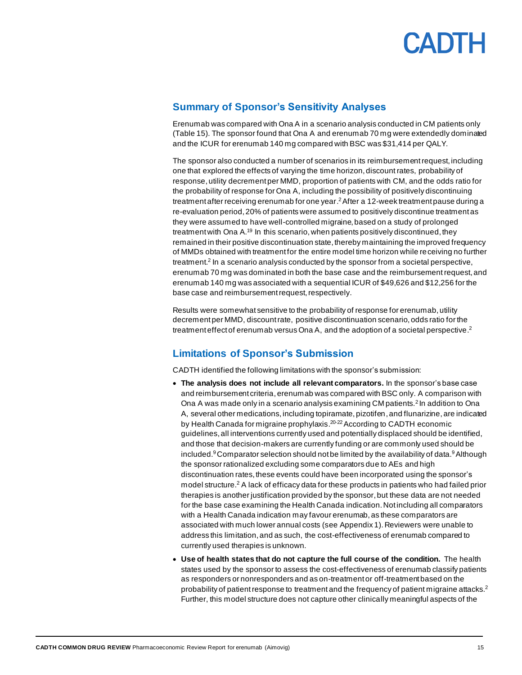

#### <span id="page-14-0"></span>**Summary of Sponsor's Sensitivity Analyses**

Erenumab was compared with Ona A in a scenario analysis conducted in CM patients only [\(Table 15\)](#page-38-0). The sponsor found that Ona A and erenumab 70 mg were extendedly dominated and the ICUR for erenumab 140 mg compared with BSC was \$31,414 per QALY.

The sponsor also conducted a number of scenarios in its reimbursementrequest, including one that explored the effects of varying the time horizon, discount rates, probability of response, utility decrement per MMD, proportion of patients with CM, and the odds ratio for the probability of response for Ona A, including the possibility of positively discontinuing treatment after receiving erenumab for one year. <sup>2</sup>After a 12-week treatment pause during a re-evaluation period, 20% of patients were assumed to positively discontinue treatment as they were assumed to have well-controlled migraine, based on a study of prolonged treatment with Ona A.<sup>19</sup> In this scenario, when patients positively discontinued, they remained in their positive discontinuation state, thereby maintaining the improved frequency of MMDs obtained with treatment for the entire model time horizon while receiving no further treatment.<sup>2</sup> In a scenario analysis conducted by the sponsor from a societal perspective, erenumab 70 mg was dominated in both the base case and the reimbursement request, and erenumab 140 mg was associated with a sequential ICUR of \$49,626 and \$12,256 for the base case and reimbursement request, respectively.

Results were somewhat sensitive to the probability of response for erenumab, utility decrement per MMD, discount rate, positive discontinuation scenario, odds ratio for the treatment effect of erenumab versus Ona A, and the adoption of a societal perspective.<sup>2</sup>

### <span id="page-14-1"></span>**Limitations of Sponsor's Submission**

CADTH identified the following limitations with the sponsor's submission:

- **The analysis does not include all relevant comparators.** In the sponsor's base case and reimbursement criteria, erenumab was compared with BSC only. A comparison with Ona A was made only in a scenario analysis examining CM patients.<sup>2</sup> In addition to Ona A, several other medications, including topiramate, pizotifen, and flunarizine, are indicated by Health Canada for migraine prophylaxis.<sup>20-22</sup> According to CADTH economic guidelines, all interventions currently used and potentially displaced should be identified, and those that decision-makers are currently funding or are commonly used should be included.<sup>9</sup> Comparator selection should not be limited by the availability of data.<sup>9</sup> Although the sponsor rationalized excluding some comparators due to AEs and high discontinuation rates, these events could have been incorporated using the sponsor's model structure.<sup>2</sup> A lack of efficacy data for these products in patients who had failed prior therapies is another justification provided by the sponsor, but these data are not needed for the base case examining the Health Canada indication. Not including all comparators with a Health Canada indication may favour erenumab, as these comparators are associated with much lower annual costs (see Appendix 1). Reviewers were unable to address this limitation, and as such, the cost-effectiveness of erenumab compared to currently used therapies is unknown.
- **Use of health states that do not capture the full course of the condition.** The health states used by the sponsor to assess the cost-effectiveness of erenumab classify patients as responders or nonresponders and as on-treatment or off-treatment based on the probability of patient response to treatment and the frequency of patient migraine attacks.<sup>2</sup> Further, this model structure does not capture other clinically meaningful aspects of the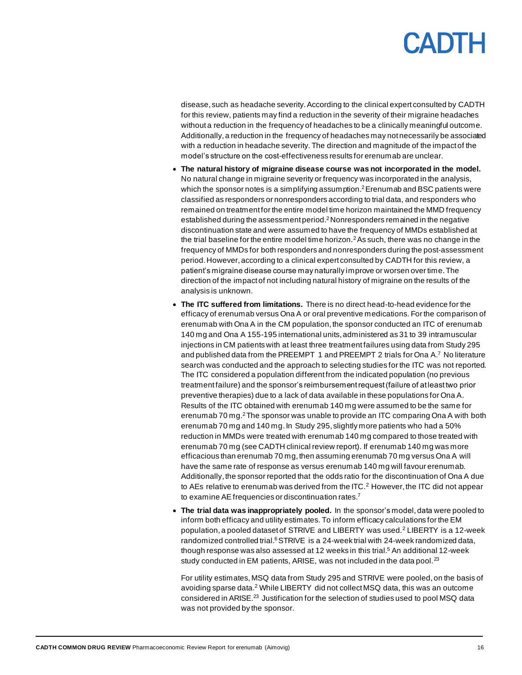disease, such as headache severity. According to the clinical expert consulted by CADTH for this review, patients may find a reduction in the severity of their migraine headaches without a reduction in the frequency of headaches to be a clinically meaningful outcome. Additionally, a reduction in the frequency of headaches may not necessarily be associated with a reduction in headache severity. The direction and magnitude of the impact of the model's structure on the cost-effectiveness results for erenumab are unclear.

- **The natural history of migraine disease course was not incorporated in the model.**  No natural change in migraine severity or frequency was incorporated in the analysis, which the sponsor notes is a simplifying assumption.<sup>2</sup> Erenumab and BSC patients were classified as responders or nonresponders according to trial data, and responders who remained on treatment for the entire model time horizon maintained the MMD frequency established during the assessment period.<sup>2</sup>Nonresponders remained in the negative discontinuation state and were assumed to have the frequency of MMDs established at the trial baseline for the entire model time horizon.<sup>2</sup> As such, there was no change in the frequency of MMDs for both responders and nonresponders during the post-assessment period. However, according to a clinical expert consulted by CADTH for this review, a patient's migraine disease course may naturally improve or worsen over time. The direction of the impact of not including natural history of migraine on the results of the analysis is unknown.
- **The ITC suffered from limitations.** There is no direct head-to-head evidence for the efficacy of erenumab versus Ona A or oral preventive medications. For the comparison of erenumab with Ona A in the CM population, the sponsor conducted an ITC of erenumab 140 mg and Ona A 155-195 international units, administered as 31 to 39 intramuscular injections in CM patients with at least three treatment failures using data from Study 295 and published data from the PREEMPT 1 and PREEMPT 2 trials for Ona A. <sup>7</sup> No literature search was conducted and the approach to selecting studies for the ITC was not reported. The ITC considered a population different from the indicated population (no previous treatment failure) and the sponsor's reimbursement request (failure of at least two prior preventive therapies) due to a lack of data available in these populations for Ona A. Results of the ITC obtained with erenumab 140 mg were assumed to be the same for erenumab 70 mg.<sup>2</sup> The sponsor was unable to provide an ITC comparing Ona A with both erenumab 70 mg and 140 mg. In Study 295, slightly more patients who had a 50% reduction in MMDs were treated with erenumab 140 mg compared to those treated with erenumab 70 mg (see CADTH clinical review report). If erenumab 140 mg was more efficacious than erenumab 70 mg, then assuming erenumab 70 mg versus Ona A will have the same rate of response as versus erenumab 140 mg will favour erenumab. Additionally, the sponsor reported that the odds ratio for the discontinuation of Ona A due to AEs relative to erenumab was derived from the ITC.<sup>2</sup> However, the ITC did not appear to examine AE frequencies or discontinuation rates.<sup>7</sup>
- **The trial data was inappropriately pooled.** In the sponsor's model, data were pooled to inform both efficacy and utility estimates. To inform efficacy calculations for the EM population, a pooled dataset of STRIVE and LIBERTY was used.<sup>2</sup> LIBERTY is a 12-week randomized controlled trial.<sup>6</sup> STRIVE is a 24-week trial with 24-week randomized data, though response was also assessed at 12 weeks in this trial.<sup>5</sup> An additional 12-week study conducted in EM patients, ARISE, was not included in the data pool.<sup>23</sup>

For utility estimates, MSQ data from Study 295 and STRIVE were pooled, on the basis of avoiding sparse data.<sup>2</sup> While LIBERTY did not collect MSQ data, this was an outcome considered in ARISE.<sup>23</sup> Justification for the selection of studies used to pool MSQ data was not provided by the sponsor.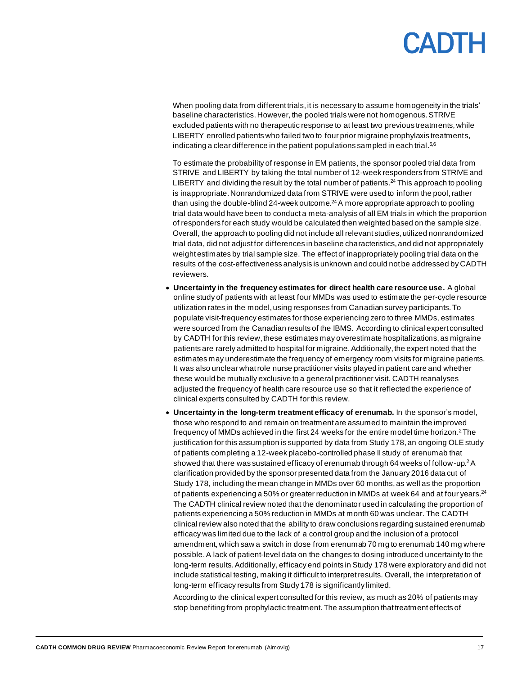When pooling data from different trials, it is necessary to assume homogeneity in the trials' baseline characteristics. However, the pooled trials were not homogenous. STRIVE excluded patients with no therapeutic response to at least two previous treatments, while LIBERTY enrolled patients who failed two to four prior migraine prophylaxis treatments, indicating a clear difference in the patient populations sampled in each trial.<sup>5,6</sup>

To estimate the probability of response in EM patients, the sponsor pooled trial data from STRIVE and LIBERTY by taking the total number of 12-week responders from STRIVE and LIBERTY and dividing the result by the total number of patients.<sup>24</sup> This approach to pooling is inappropriate. Nonrandomized data from STRIVE were used to inform the pool, rather than using the double-blind 24-week outcome. $^{24}$ A more appropriate approach to pooling trial data would have been to conduct a meta-analysis of all EM trials in which the proportion of responders for each study would be calculated then weighted based on the sample size. Overall, the approach to pooling did not include all relevant studies, utilized nonrandomized trial data, did not adjust for differences in baseline characteristics, and did not appropriately weightestimates by trial sample size. The effect of inappropriately pooling trial data on the results of the cost-effectiveness analysis is unknown and could not be addressed by CADTH reviewers.

- **Uncertainty in the frequency estimates for direct health care resource use.** A global online study of patients with at least four MMDs was used to estimate the per-cycle resource utilization rates in the model, using responses from Canadian survey participants. To populate visit-frequency estimates for those experiencing zero to three MMDs, estimates were sourced from the Canadian results of the IBMS. According to clinical expert consulted by CADTH for this review, these estimates may overestimate hospitalizations, as migraine patients are rarely admitted to hospital for migraine. Additionally, the expert noted that the estimates may underestimate the frequency of emergency room visits for migraine patients. It was also unclear what role nurse practitioner visits played in patient care and whether these would be mutually exclusive to a general practitioner visit. CADTH reanalyses adjusted the frequency of health care resource use so that it reflected the experience of clinical experts consulted by CADTH for this review.
- **Uncertainty in the long-term treatment efficacy of erenumab.** In the sponsor's model, those who respond to and remain on treatment are assumed to maintain the improved frequency of MMDs achieved in the first 24 weeks for the entire model time horizon.<sup>2</sup> The justification for this assumption is supported by data from Study 178, an ongoing OLE study of patients completing a 12-week placebo-controlled phase II study of erenumab that showed that there was sustained efficacy of erenumab through 64 weeks of follow-up.<sup>2</sup>A clarification provided by the sponsor presented data from the January 2016 data cut of Study 178, including the mean change in MMDs over 60 months, as well as the proportion of patients experiencing a 50% or greater reduction in MMDs at week 64 and at four years.<sup>24</sup> The CADTH clinical review noted that the denominator used in calculating the proportion of patients experiencing a 50% reduction in MMDs at month 60 was unclear. The CADTH clinical review also noted that the ability to draw conclusions regarding sustained erenumab efficacy was limited due to the lack of a control group and the inclusion of a protocol amendment, which saw a switch in dose from erenumab 70 mg to erenumab 140 mg where possible. A lack of patient-level data on the changes to dosing introduced uncertainty to the long-term results. Additionally, efficacy end points in Study 178 were exploratory and did not include statistical testing, making it difficult to interpret results. Overall, the interpretation of long-term efficacy results from Study 178 is significantly limited.

According to the clinical expert consulted for this review, as much as 20% of patients may stop benefiting from prophylactic treatment. The assumption that treatment effects of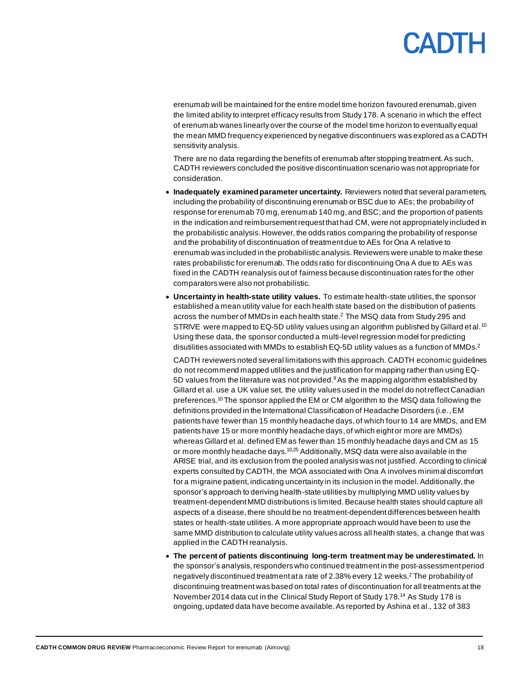erenumab will be maintained for the entire model time horizon favoured erenumab, given the limited ability to interpret efficacy results from Study 178. A scenario in which the effect of erenumab wanes linearly over the course of the model time horizon to eventually equal the mean MMD frequency experienced by negative discontinuers was explored as a CADTH sensitivity analysis.

There are no data regarding the benefits of erenumab after stopping treatment. As such, CADTH reviewers concluded the positive discontinuation scenario was not appropriate for consideration.

- **Inadequately examined parameter uncertainty.** Reviewers noted that several parameters, including the probability of discontinuing erenumab or BSC due to AEs; the probability of response for erenumab 70 mg, erenumab 140 mg,and BSC; and the proportion of patients in the indication and reimbursementrequest that had CM, were not appropriately included in the probabilistic analysis.However, the odds ratios comparing the probability of response and the probability of discontinuation of treatment due to AEs for Ona A relative to erenumab was included in the probabilistic analysis. Reviewers were unable to make these rates probabilistic for erenumab. The odds ratio for discontinuing Ona A due to AEs was fixed in the CADTH reanalysis out of fairness because discontinuation rates for the other comparators were also not probabilistic.
- **Uncertainty in health-state utility values.** To estimate health-state utilities, the sponsor established a mean utility value for each health state based on the distribution of patients across the number of MMDs in each health state.<sup>2</sup> The MSQ data from Study 295 and STRIVE were mapped to EQ-5D utility values using an algorithm published by Gillard et al.<sup>10</sup> Using these data, the sponsor conducted a multi-level regression model for predicting disutilities associated with MMDs to establish EQ-5D utility values as a function of MMDs.<sup>2</sup>

CADTH reviewers noted several limitations with this approach. CADTH economic guidelines do not recommend mapped utilities and the justification for mapping rather than using EQ-5D values from the literature was not provided. $9As$  the mapping algorithm established by Gillard et al. use a UK value set, the utility values used in the model do not reflect Canadian preferences.<sup>10</sup>The sponsor applied the EM or CM algorithm to the MSQ data following the definitions provided in the International Classification of Headache Disorders (i.e.,EM patients have fewer than 15 monthly headache days, of which four to 14 are MMDs, and EM patients have 15 or more monthly headache days, of which eight or more are MMDs) whereas Gillard et al. defined EM as fewer than 15 monthly headache days and CM as 15 or more monthly headache days.<sup>10,25</sup> Additionally, MSQ data were also available in the ARISE trial, and its exclusion from the pooled analysis was not justified. According to clinical experts consulted by CADTH, the MOA associated with Ona A involves minimal discomfort for a migraine patient, indicating uncertainty in its inclusion in the model. Additionally, the sponsor's approach to deriving health-state utilities by multiplying MMD utility values by treatment-dependent MMD distributions is limited. Because health states should capture all aspects of a disease, there should be no treatment-dependent differences between health states or health-state utilities. A more appropriate approach would have been to use the same MMD distribution to calculate utility values across all health states, a change that was applied in the CADTH reanalysis.

• **The percent of patients discontinuing long-term treatment may be underestimated.** In the sponsor's analysis, responders who continued treatment in the post-assessment period negatively discontinued treatment at a rate of 2.38% every 12 weeks.<sup>2</sup> The probability of discontinuing treatment was based on total rates of discontinuation for all treatments at the November 2014 data cut in the Clinical Study Report of Study 178.<sup>14</sup> As Study 178 is ongoing, updated data have become available. As reported by Ashina et al., 132 of 383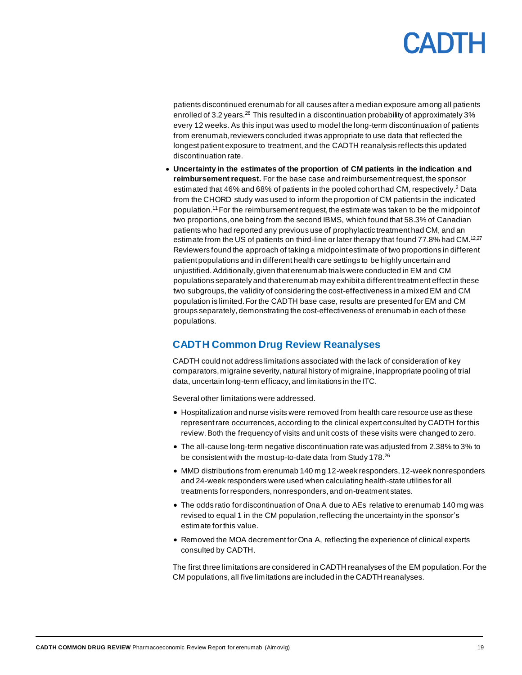patients discontinued erenumab for all causes after a median exposure among all patients enrolled of 3.2 years.<sup>26</sup> This resulted in a discontinuation probability of approximately 3% every 12 weeks. As this input was used to model the long-term discontinuation of patients from erenumab, reviewers concluded it was appropriate to use data that reflected the longest patient exposure to treatment, and the CADTH reanalysis reflects this updated discontinuation rate.

• **Uncertainty in the estimates of the proportion of CM patients in the indication and reimbursementrequest.** For the base case and reimbursementrequest, the sponsor estimated that 46% and 68% of patients in the pooled cohort had CM, respectively.<sup>2</sup> Data from the CHORD study was used to inform the proportion of CM patients in the indicated population. <sup>11</sup>For the reimbursementrequest, the estimate was taken to be the midpoint of two proportions, one being from the second IBMS, which found that 58.3% of Canadian patients who had reported any previous use of prophylactic treatment had CM, and an estimate from the US of patients on third-line or later therapy that found 77.8% had CM.<sup>12,27</sup> Reviewers found the approach of taking a midpoint estimate of two proportions in different patient populations and in different health care settings to be highly uncertain and unjustified. Additionally, given that erenumab trials were conducted in EM and CM populations separately and that erenumab may exhibit a different treatment effect in these two subgroups, the validity of considering the cost-effectiveness in a mixed EM and CM population is limited. For the CADTH base case, results are presented for EM and CM groups separately, demonstrating the cost-effectiveness of erenumab in each of these populations.

### <span id="page-18-0"></span>**CADTH Common Drug Review Reanalyses**

CADTH could not address limitations associated with the lack of consideration of key comparators, migraine severity, natural history of migraine, inappropriate pooling of trial data, uncertain long-term efficacy, and limitations in the ITC.

Several other limitations were addressed.

- Hospitalization and nurse visits were removed from health care resource use as these represent rare occurrences, according to the clinical expert consulted by CADTH for this review.Both the frequency of visits and unit costs of these visits were changed to zero.
- The all-cause long-term negative discontinuation rate was adjusted from 2.38% to 3% to be consistent with the most up-to-date data from Study 178.<sup>26</sup>
- MMD distributions from erenumab 140 mg 12-week responders, 12-week nonresponders and 24-week responders were used when calculating health-state utilities for all treatments for responders, nonresponders, and on-treatment states.
- The odds ratio for discontinuation of Ona A due to AEs relative to erenumab 140 mg was revised to equal 1 in the CM population, reflecting the uncertainty in the sponsor's estimate for this value.
- Removed the MOA decrement for Ona A, reflecting the experience of clinical experts consulted by CADTH.

The first three limitations are considered in CADTH reanalyses of the EM population. For the CM populations, all five limitations are included in the CADTH reanalyses.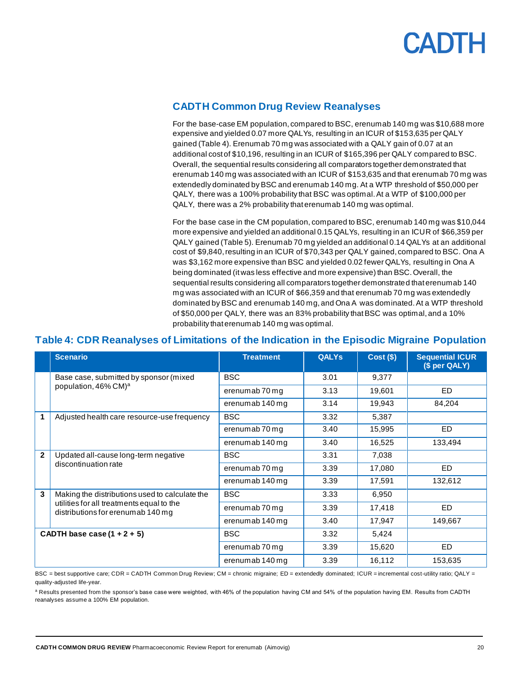

### <span id="page-19-0"></span>**CADTH Common Drug Review Reanalyses**

For the base-case EM population, compared to BSC, erenumab 140 mg was \$10,688 more expensive and yielded 0.07 more QALYs, resulting in an ICUR of \$153,635 per QALY gained [\(Table 4\)](#page-19-1). Erenumab 70 mg was associated with a QALY gain of 0.07 at an additional cost of \$10,196, resulting in an ICUR of \$165,396 per QALY compared to BSC. Overall, the sequential results considering all comparators together demonstrated that erenumab 140 mg was associated with an ICUR of \$153,635 and that erenumab 70 mg was extendedly dominated by BSC and erenumab 140 mg. At a WTP threshold of \$50,000 per QALY, there was a 100% probability that BSC was optimal. At a WTP of \$100,000 per QALY, there was a 2% probability that erenumab 140 mg was optimal.

For the base case in the CM population, compared to BSC, erenumab 140 mg was \$10,044 more expensive and yielded an additional 0.15 QALYs, resulting in an ICUR of \$66,359 per QALY gained [\(Table 5\)](#page-20-0). Erenumab 70 mg yielded an additional 0.14 QALYs at an additional cost of \$9,840, resulting in an ICUR of \$70,343 per QALY gained, compared to BSC. Ona A was \$3,162 more expensive than BSC and yielded 0.02 fewer QALYs, resulting in Ona A being dominated (it was less effective and more expensive) than BSC. Overall, the sequential results considering all comparators together demonstrated that erenumab 140 mg was associated with an ICUR of \$66,359 and that erenumab 70 mg was extendedly dominated by BSC and erenumab 140 mg, and Ona A was dominated. At a WTP threshold of \$50,000 per QALY, there was an 83% probability that BSC was optimal, and a 10% probability that erenumab 140 mg was optimal.

### <span id="page-19-1"></span>**Table 4: CDR Reanalyses of Limitations of the Indication in the Episodic Migraine Population**

|                               | <b>Scenario</b>                                                                | <b>Treatment</b> | <b>QALYs</b> | $Cost($ \$) | <b>Sequential ICUR</b><br>(\$ per QALY) |
|-------------------------------|--------------------------------------------------------------------------------|------------------|--------------|-------------|-----------------------------------------|
|                               | Base case, submitted by sponsor (mixed                                         | <b>BSC</b>       | 3.01         | 9,377       |                                         |
|                               | population, 46% CM) <sup>a</sup>                                               | erenumab 70 mg   | 3.13         | 19,601      | ED.                                     |
|                               |                                                                                | erenumab 140 mg  | 3.14         | 19,943      | 84,204                                  |
| 1                             | Adjusted health care resource-use frequency                                    | <b>BSC</b>       | 3.32         | 5,387       |                                         |
|                               |                                                                                | erenumab 70 mg   | 3.40         | 15,995      | ED.                                     |
|                               |                                                                                | erenumab 140 mg  | 3.40         | 16,525      | 133,494                                 |
| $\mathbf{2}$                  | Updated all-cause long-term negative                                           | <b>BSC</b>       | 3.31         | 7,038       |                                         |
|                               | discontinuation rate                                                           | erenumab 70 mg   | 3.39         | 17,080      | ED.                                     |
|                               |                                                                                | erenumab 140 mg  | 3.39         | 17,591      | 132,612                                 |
| 3                             | Making the distributions used to calculate the                                 | <b>BSC</b>       | 3.33         | 6,950       |                                         |
|                               | utilities for all treatments equal to the<br>distributions for erenumab 140 mg | erenumab 70 mg   | 3.39         | 17,418      | ED.                                     |
|                               |                                                                                | erenumab 140 mg  | 3.40         | 17,947      | 149,667                                 |
| CADTH base case $(1 + 2 + 5)$ |                                                                                | <b>BSC</b>       | 3.32         | 5,424       |                                         |
|                               |                                                                                | erenumab 70 mg   | 3.39         | 15,620      | ED.                                     |
|                               |                                                                                | erenumab 140 mg  | 3.39         | 16,112      | 153,635                                 |

BSC = best supportive care; CDR = CADTH Common Drug Review; CM = chronic migraine; ED = extendedly dominated; ICUR = incremental cost-utility ratio; QALY = quality-adjusted life-year.

<sup>a</sup> Results presented from the sponsor's base case were weighted, with 46% of the population having CM and 54% of the population having EM. Results from CADTH reanalyses assume a 100% EM population.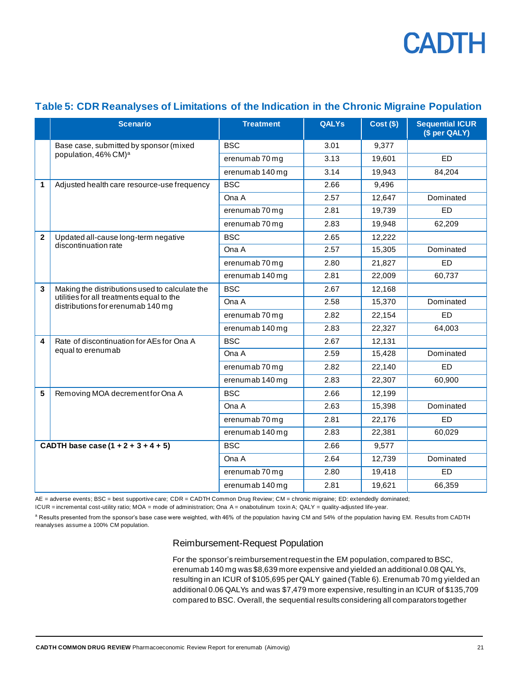|                | <b>Scenario</b>                                                                | <b>Treatment</b> | <b>QALYs</b> | $Cost($ \$) | <b>Sequential ICUR</b><br>(\$ per QALY) |
|----------------|--------------------------------------------------------------------------------|------------------|--------------|-------------|-----------------------------------------|
|                | Base case, submitted by sponsor (mixed                                         | <b>BSC</b>       | 3.01         | 9,377       |                                         |
|                | population, 46% CM) <sup>a</sup>                                               | erenumab 70 mg   | 3.13         | 19,601      | <b>ED</b>                               |
|                |                                                                                | erenumab 140 mg  | 3.14         | 19,943      | 84,204                                  |
| 1              | Adjusted health care resource-use frequency                                    | <b>BSC</b>       | 2.66         | 9,496       |                                         |
|                |                                                                                | Ona A            | 2.57         | 12,647      | Dominated                               |
|                |                                                                                | erenumab 70 mg   | 2.81         | 19,739      | <b>ED</b>                               |
|                |                                                                                | erenumab 70 mg   | 2.83         | 19,948      | 62,209                                  |
| $\overline{2}$ | Updated all-cause long-term negative                                           | <b>BSC</b>       | 2.65         | 12,222      |                                         |
|                | discontinuation rate                                                           | Ona A            | 2.57         | 15,305      | Dominated                               |
|                |                                                                                | erenumab 70 mg   | 2.80         | 21,827      | <b>ED</b>                               |
|                |                                                                                | erenumab 140 mg  | 2.81         | 22,009      | 60,737                                  |
| 3              | Making the distributions used to calculate the                                 | <b>BSC</b>       | 2.67         | 12,168      |                                         |
|                | utilities for all treatments equal to the<br>distributions for erenumab 140 mg | Ona A            | 2.58         | 15,370      | Dominated                               |
|                |                                                                                | erenumab 70 mg   | 2.82         | 22,154      | <b>ED</b>                               |
|                |                                                                                | erenumab 140 mg  | 2.83         | 22,327      | 64,003                                  |
| 4              | Rate of discontinuation for AEs for Ona A                                      | <b>BSC</b>       | 2.67         | 12,131      |                                         |
|                | equal to erenumab                                                              | Ona A            | 2.59         | 15,428      | Dominated                               |
|                |                                                                                | erenumab 70 mg   | 2.82         | 22,140      | <b>ED</b>                               |
|                |                                                                                | erenumab 140 mg  | 2.83         | 22,307      | 60,900                                  |
| 5              | Removing MOA decrement for Ona A                                               | <b>BSC</b>       | 2.66         | 12,199      |                                         |
|                |                                                                                | Ona A            | 2.63         | 15,398      | Dominated                               |
|                |                                                                                | erenumab 70 mg   | 2.81         | 22,176      | <b>ED</b>                               |
|                |                                                                                | erenumab 140 mg  | 2.83         | 22,381      | 60,029                                  |
|                | CADTH base case $(1 + 2 + 3 + 4 + 5)$                                          | <b>BSC</b>       | 2.66         | 9,577       |                                         |
|                |                                                                                | Ona A            | 2.64         | 12,739      | Dominated                               |
|                |                                                                                | erenumab 70 mg   | 2.80         | 19,418      | <b>ED</b>                               |
|                |                                                                                | erenumab 140 mg  | 2.81         | 19,621      | 66,359                                  |

### <span id="page-20-0"></span>**Table 5: CDR Reanalyses of Limitations of the Indication in the Chronic Migraine Population**

AE = adverse events; BSC = best supportive care; CDR = CADTH Common Drug Review; CM = chronic migraine; ED: extendedly dominated;

ICUR = incremental cost-utility ratio; MOA = mode of administration; Ona A = onabotulinum toxin A; QALY = quality-adjusted life-year.

<sup>a</sup> Results presented from the sponsor's base case were weighted, with 46% of the population having CM and 54% of the population having EM. Results from CADTH reanalyses assume a 100% CM population.

#### Reimbursement-Request Population

For the sponsor's reimbursement request in the EM population, compared to BSC, erenumab 140 mg was \$8,639 more expensive and yielded an additional 0.08 QALYs, resulting in an ICUR of \$105,695 per QALY gained [\(Table 6\)](#page-21-0). Erenumab 70 mg yielded an additional 0.06 QALYs and was \$7,479 more expensive, resulting in an ICUR of \$135,709 compared to BSC. Overall, the sequential results considering all comparators together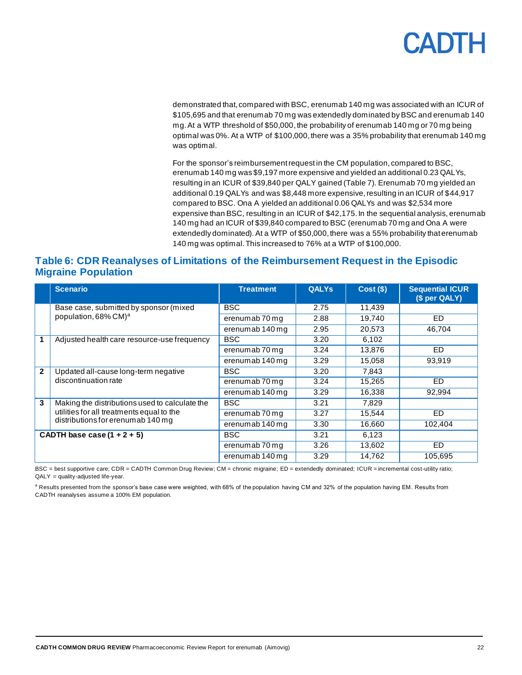demonstrated that, compared with BSC, erenumab 140 mg was associated with an ICUR of \$105,695 and that erenumab 70 mg was extendedly dominated by BSC and erenumab 140 mg. At a WTP threshold of \$50,000, the probability of erenumab 140 mg or 70 mg being optimal was 0%. At a WTP of \$100,000, there was a 35% probability that erenumab 140 mg was optimal.

For the sponsor's reimbursement request in the CM population, compared to BSC, erenumab 140 mg was \$9,197 more expensive and yielded an additional 0.23 QALYs, resulting in an ICUR of \$39,840 per QALY gained [\(Table 7\)](#page-22-0). Erenumab 70 mg yielded an additional 0.19 QALYs and was \$8,448 more expensive, resulting in an ICUR of \$44,917 compared to BSC. Ona A yielded an additional 0.06 QALYs and was \$2,534 more expensive than BSC, resulting in an ICUR of \$42,175.In the sequential analysis, erenumab 140 mg had an ICUR of \$39,840 compared to BSC (erenumab 70 mg and Ona A were extendedly dominated). At a WTP of \$50,000, there was a 55% probability that erenumab 140 mg was optimal. This increased to 76% at a WTP of \$100,000.

### <span id="page-21-0"></span>**Table 6: CDR Reanalyses of Limitations of the Reimbursement Request in the Episodic Migraine Population**

|                | <b>Scenario</b>                                | <b>Treatment</b> | <b>QALYS</b> | Cost(S) | <b>Sequential ICUR</b><br>(\$ per QALY) |
|----------------|------------------------------------------------|------------------|--------------|---------|-----------------------------------------|
|                | Base case, submitted by sponsor (mixed         | <b>BSC</b>       | 2.75         | 11,439  |                                         |
|                | population, 68% CM) <sup>a</sup>               | erenumab 70 mg   | 2.88         | 19.740  | <b>ED</b>                               |
|                |                                                | erenumab 140 mg  | 2.95         | 20.573  | 46.704                                  |
| 1              | Adjusted health care resource-use frequency    | <b>BSC</b>       | 3.20         | 6,102   |                                         |
|                |                                                | erenumab 70 mg   | 3.24         | 13.876  | ED.                                     |
|                |                                                | erenumab 140 mg  | 3.29         | 15,058  | 93,919                                  |
| $\overline{2}$ | Updated all-cause long-term negative           | <b>BSC</b>       | 3.20         | 7,843   |                                         |
|                | discontinuation rate                           | erenumab 70 mg   | 3.24         | 15,265  | <b>ED</b>                               |
|                |                                                | erenumab 140 mg  | 3.29         | 16,338  | 92,994                                  |
| 3              | Making the distributions used to calculate the | <b>BSC</b>       | 3.21         | 7,829   |                                         |
|                | utilities for all treatments equal to the      | erenumab 70 mg   | 3.27         | 15,544  | <b>ED</b>                               |
|                | distributions for erenumab 140 mg              | erenumab 140 mg  | 3.30         | 16,660  | 102,404                                 |
|                | CADTH base case $(1 + 2 + 5)$                  | <b>BSC</b>       | 3.21         | 6,123   |                                         |
|                |                                                | erenumab 70 mg   | 3.26         | 13,602  | <b>ED</b>                               |
|                |                                                | erenumab 140 mg  | 3.29         | 14,762  | 105,695                                 |

BSC = best supportive care; CDR = CADTH Common Drug Review; CM = chronic migraine; ED = extendedly dominated; ICUR = incremental cost-utility ratio; QALY = quality-adjusted life-year.

<sup>a</sup> Results presented from the sponsor's base case were weighted, with 68% of the population having CM and 32% of the population having EM. Results from CADTH reanalyses assume a 100% EM population.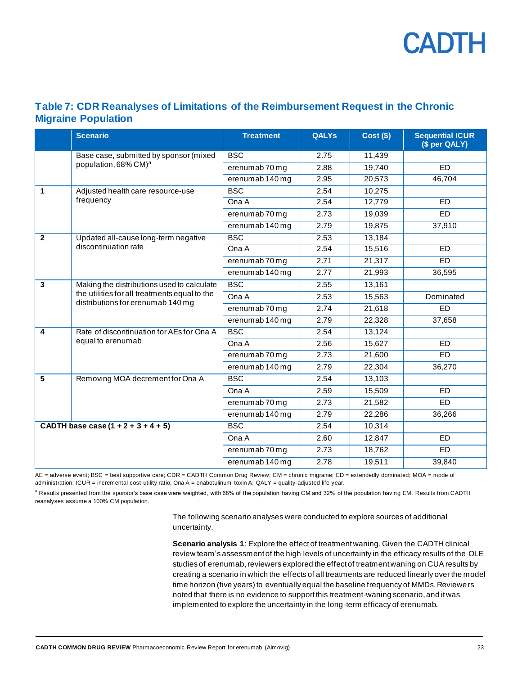### <span id="page-22-0"></span>**Table 7: CDR Reanalyses of Limitations of the Reimbursement Request in the Chronic Migraine Population**

|                                       | <b>Scenario</b>                                                                                                                  | <b>Treatment</b> | <b>QALYs</b> | $Cost($ \$) | <b>Sequential ICUR</b><br>(\$ per QALY) |
|---------------------------------------|----------------------------------------------------------------------------------------------------------------------------------|------------------|--------------|-------------|-----------------------------------------|
|                                       | Base case, submitted by sponsor (mixed                                                                                           | <b>BSC</b>       | 2.75         | 11,439      |                                         |
|                                       | population, 68% CM) <sup>a</sup>                                                                                                 | erenumab 70 mg   | 2.88         | 19,740      | <b>ED</b>                               |
|                                       |                                                                                                                                  | erenumab 140 mg  | 2.95         | 20,573      | 46,704                                  |
| 1                                     | Adjusted health care resource-use                                                                                                | <b>BSC</b>       | 2.54         | 10,275      |                                         |
|                                       | frequency                                                                                                                        | Ona A            | 2.54         | 12,779      | ED                                      |
|                                       |                                                                                                                                  | erenumab 70 mg   | 2.73         | 19,039      | ED                                      |
|                                       |                                                                                                                                  | erenumab 140 mg  | 2.79         | 19,875      | 37,910                                  |
| $\overline{2}$                        | Updated all-cause long-term negative                                                                                             | <b>BSC</b>       | 2.53         | 13,184      |                                         |
|                                       | discontinuation rate                                                                                                             | Ona A            | 2.54         | 15,516      | <b>ED</b>                               |
|                                       |                                                                                                                                  | erenumab 70 mg   | 2.71         | 21,317      | <b>ED</b>                               |
|                                       |                                                                                                                                  | erenumab 140 mg  | 2.77         | 21,993      | 36,595                                  |
| 3                                     | Making the distributions used to calculate<br>the utilities for all treatments equal to the<br>distributions for erenumab 140 mg | <b>BSC</b>       | 2.55         | 13,161      |                                         |
|                                       |                                                                                                                                  | Ona A            | 2.53         | 15,563      | Dominated                               |
|                                       |                                                                                                                                  | erenumab 70 mg   | 2.74         | 21,618      | ED                                      |
|                                       |                                                                                                                                  | erenumab 140 mg  | 2.79         | 22,328      | 37,658                                  |
| 4                                     | Rate of discontinuation for AEs for Ona A                                                                                        | <b>BSC</b>       | 2.54         | 13,124      |                                         |
|                                       | equal to erenumab                                                                                                                | Ona A            | 2.56         | 15,627      | <b>ED</b>                               |
|                                       |                                                                                                                                  | erenumab 70 mg   | 2.73         | 21,600      | ED                                      |
|                                       |                                                                                                                                  | erenumab 140 mg  | 2.79         | 22,304      | 36,270                                  |
| 5                                     | Removing MOA decrement for Ona A                                                                                                 | <b>BSC</b>       | 2.54         | 13,103      |                                         |
|                                       |                                                                                                                                  | Ona A            | 2.59         | 15,509      | ED                                      |
|                                       |                                                                                                                                  | erenumab 70 mg   | 2.73         | 21,582      | <b>ED</b>                               |
|                                       |                                                                                                                                  | erenumab 140 mg  | 2.79         | 22,286      | 36,266                                  |
| CADTH base case $(1 + 2 + 3 + 4 + 5)$ |                                                                                                                                  | <b>BSC</b>       | 2.54         | 10,314      |                                         |
|                                       |                                                                                                                                  | Ona A            | 2.60         | 12,847      | ED                                      |
|                                       |                                                                                                                                  | erenumab 70 mg   | 2.73         | 18,762      | ED                                      |
|                                       |                                                                                                                                  | erenumab 140 mg  | 2.78         | 19,511      | 39,840                                  |

AE = adverse event; BSC = best supportive care; CDR = CADTH Common Drug Review; CM = chronic migraine; ED = extendedly dominated; MOA = mode of administration; ICUR = incremental cost-utility ratio; Ona A = onabotulinum toxin A; QALY = quality-adjusted life-year.

<sup>a</sup> Results presented from the sponsor's base case were weighted, with 68% of the population having CM and 32% of the population having EM. Results from CADTH reanalyses assume a 100% CM population.

> The following scenario analyses were conducted to explore sources of additional uncertainty.

**Scenario analysis 1**: Explore the effect of treatment waning. Given the CADTH clinical review team's assessment of the high levels of uncertainty in the efficacy results of the OLE studies of erenumab, reviewers explored the effect of treatment waning on CUA results by creating a scenario in which the effects of all treatments are reduced linearly over the model time horizon (five years) to eventually equal the baseline frequency of MMDs. Reviewers noted that there is no evidence to support this treatment-waning scenario, and it was implemented to explore the uncertainty in the long-term efficacy of erenumab.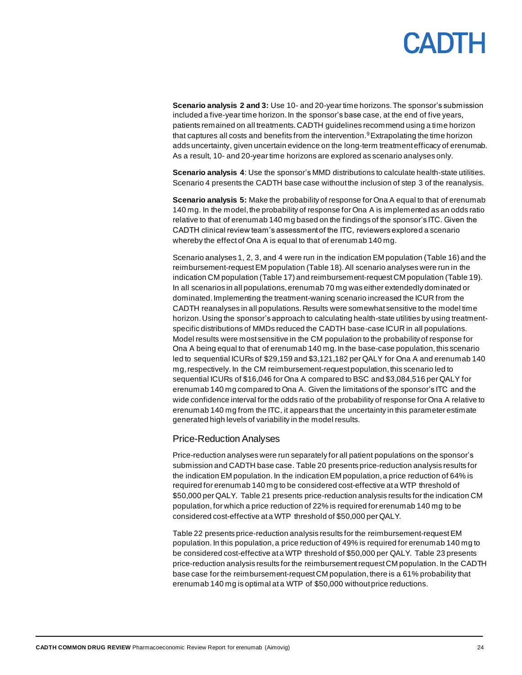**Scenario analysis 2 and 3:** Use 10- and 20-year time horizons. The sponsor's submission included a five-year time horizon. In the sponsor's base case, at the end of five years, patients remained on all treatments. CADTH guidelines recommend using a time horizon that captures all costs and benefits from the intervention. $9$  Extrapolating the time horizon adds uncertainty, given uncertain evidence on the long-term treatment efficacy of erenumab. As a result, 10- and 20-year time horizons are explored as scenario analyses only.

**Scenario analysis 4**: Use the sponsor's MMD distributions to calculate health-state utilities. Scenario 4 presents the CADTH base case without the inclusion of step 3 of the reanalysis.

**Scenario analysis 5:** Make the probability of response for Ona A equal to that of erenumab 140 mg. In the model, the probability of response for Ona A is implemented as an odds ratio relative to that of erenumab 140 mg based on the findings of the sponsor's ITC. Given the CADTH clinical review team's assessment of the ITC, reviewers explored a scenario whereby the effect of Ona A is equal to that of erenumab 140 mg.

Scenario analyses 1, 2, 3, and 4 were run in the indication EM population [\(Table 16](#page-38-1)) and the reimbursement-request EM population [\(Table 18\)](#page-40-0). All scenario analyses were run in the indication CM population [\(Table 17\)](#page-39-0) and reimbursement-request CM population [\(Table 19\)](#page-41-0). In all scenarios in all populations, erenumab 70 mg was either extendedly dominated or dominated. Implementing the treatment-waning scenario increased the ICUR from the CADTH reanalyses in all populations. Results were somewhat sensitive to the model time horizon. Using the sponsor's approach to calculating health-state utilities by using treatmentspecific distributions of MMDs reduced the CADTH base-case ICUR in all populations. Model results were most sensitive in the CM population to the probability of response for Ona A being equal to that of erenumab 140 mg. In the base-case population, this scenario led to sequential ICURs of \$29,159 and \$3,121,182 per QALY for Ona A and erenumab 140 mg, respectively. In the CM reimbursement-request population, this scenario led to sequential ICURs of \$16,046 for Ona A compared to BSC and \$3,084,516 per QALY for erenumab 140 mg compared to Ona A. Given the limitations of the sponsor's ITC and the wide confidence interval for the odds ratio of the probability of response for Ona A relative to erenumab 140 mg from the ITC, it appears that the uncertainty in this parameter estimate generated high levels of variability in the model results.

#### Price-Reduction Analyses

Price-reduction analyses were run separately for all patient populations on the sponsor's submission and CADTH base case[. Table 20](#page-42-0) presents price-reduction analysis results for the indication EM population. In the indication EM population, a price reduction of 64% is required for erenumab 140 mg to be considered cost-effective at a WTP threshold of \$50,000 per QALY. [Table 21](#page-42-1) presents price-reduction analysis results for the indication CM population, for which a price reduction of 22% is required for erenumab 140 mg to be considered cost-effective at a WTP threshold of \$50,000 per QALY.

[Table 22](#page-43-0) presents price-reduction analysis results for the reimbursement-request EM population. In this population, a price reduction of 49% is required for erenumab 140 mg to be considered cost-effective at a WTP threshold of \$50,000 per QALY. [Table 23](#page-43-1) presents price-reduction analysis results for the reimbursementrequest CM population. In the CADTH base case for the reimbursement-request CM population, there is a 61% probability that erenumab 140 mg is optimal at a WTP of \$50,000 without price reductions.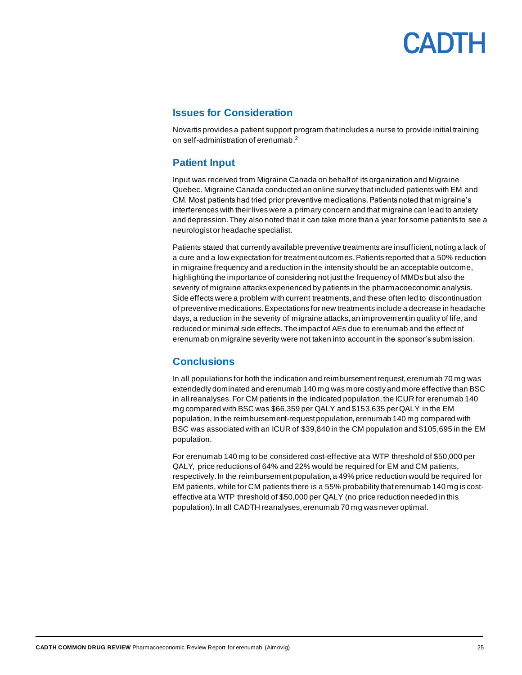#### <span id="page-24-0"></span>**Issues for Consideration**

Novartis provides a patient support program that includes a nurse to provide initial training on self-administration of erenumab. 2

### <span id="page-24-1"></span>**Patient Input**

Input was received from Migraine Canada on behalf of its organization and Migraine Quebec. Migraine Canada conducted an online survey that included patients with EM and CM. Most patients had tried prior preventive medications. Patients noted that migraine's interferences with their lives were a primary concern and that migraine can lead to anxiety and depression. They also noted that it can take more than a year for some patients to see a neurologist or headache specialist.

Patients stated that currently available preventive treatments are insufficient, noting a lack of a cure and a low expectation for treatment outcomes. Patients reported that a 50% reduction in migraine frequency and a reduction in the intensity should be an acceptable outcome, highlighting the importance of considering not just the frequency of MMDs but also the severity of migraine attacks experienced by patients in the pharmacoeconomic analysis. Side effects were a problem with current treatments, and these often led to discontinuation of preventive medications. Expectations for new treatments include a decrease in headache days, a reduction in the severity of migraine attacks, an improvement in quality of life, and reduced or minimal side effects. The impact of AEs due to erenumab and the effect of erenumab on migraine severity were not taken into account in the sponsor's submission.

### <span id="page-24-2"></span>**Conclusions**

In all populations for both the indication and reimbursement request, erenumab 70 mg was extendedly dominated and erenumab 140 mg was more costly and more effective than BSC in all reanalyses.For CM patients in the indicated population, the ICUR for erenumab 140 mg compared with BSC was \$66,359 per QALY and \$153,635 per QALY in the EM population. In the reimbursement-request population, erenumab 140 mg compared with BSC was associated with an ICUR of \$39,840 in the CM population and \$105,695 in the EM population.

For erenumab 140 mg to be considered cost-effective at a WTP threshold of \$50,000 per QALY, price reductions of 64% and 22% would be required for EM and CM patients, respectively. In the reimbursement population, a 49% price reduction would be required for EM patients, while for CM patients there is a 55% probability that erenumab 140 mg is costeffective at a WTP threshold of \$50,000 per QALY (no price reduction needed in this population). In all CADTH reanalyses, erenumab 70 mg was never optimal.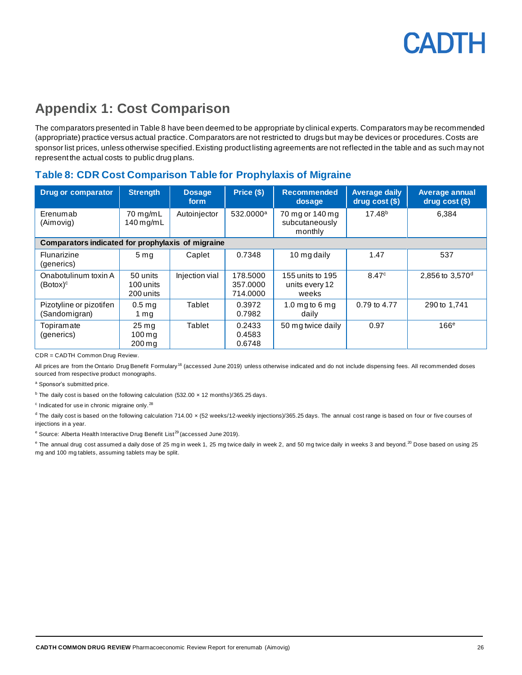## <span id="page-25-0"></span>**Appendix 1: Cost Comparison**

The comparators presented in Table 8 have been deemed to be appropriate by clinical experts. Comparators may be recommended (appropriate) practice versus actual practice. Comparators are not restricted to drugs but may be devices or procedures. Costs are sponsor list prices, unless otherwise specified. Existing product listing agreements are not reflected in the table and as such may not represent the actual costs to public drug plans.

### <span id="page-25-1"></span>**Table 8: CDR Cost Comparison Table for Prophylaxis of Migraine**

| <b>Drug or comparator</b>                         | <b>Strength</b>                                                  | <b>Dosage</b><br>form | Price (\$)                       | <b>Recommended</b><br>dosage                 | <b>Average daily</b><br>$drug cost (§)$ | <b>Average annual</b><br>drug cost (\$) |
|---------------------------------------------------|------------------------------------------------------------------|-----------------------|----------------------------------|----------------------------------------------|-----------------------------------------|-----------------------------------------|
| Erenumab<br>(Aimovig)                             | 70 mg/mL<br>$140$ mg/mL                                          | Autoinjector          | 532.0000 <sup>a</sup>            | 70 mg or 140 mg<br>subcutaneously<br>monthly | 17.48 <sup>b</sup>                      | 6.384                                   |
| Comparators indicated for prophylaxis of migraine |                                                                  |                       |                                  |                                              |                                         |                                         |
| Flunarizine<br>(generics)                         | 5 <sub>ma</sub>                                                  | Caplet                | 0.7348                           | 10 mg daily                                  | 1.47                                    | 537                                     |
| Onabotulinum toxin A<br>(Botox) <sup>c</sup>      | 50 units<br>100 units<br>200 units                               | Injection vial        | 178,5000<br>357,0000<br>714.0000 | 155 units to 195<br>units every 12<br>weeks  | 8.47c                                   | 2.856 to 3.570 <sup>d</sup>             |
| Pizotyline or pizotifen<br>(Sandomigran)          | 0.5 <sub>mq</sub><br>1 mg                                        | Tablet                | 0.3972<br>0.7982                 | 1.0 mg to 6 mg<br>daily                      | 0.79 to 4.77                            | 290 to 1.741                            |
| Topiramate<br>(generics)                          | $25 \,\mathrm{mg}$<br>$100 \,\mathrm{mq}$<br>$200 \,\mathrm{ma}$ | Tablet                | 0.2433<br>0.4583<br>0.6748       | 50 mg twice daily                            | 0.97                                    | 166 <sup>e</sup>                        |

CDR = CADTH Common Drug Review.

All prices are from the Ontario Drug Benefit Formulary<sup>16</sup> (accessed June 2019) unless otherwise indicated and do not include dispensing fees. All recommended doses sourced from respective product monographs.

a Sponsor's submitted price.

 $^{\text{b}}$  The daily cost is based on the following calculation (532.00  $\times$  12 months)/365.25 days.

 $\textdegree$  Indicated for use in chronic migraine only.<sup>28</sup>

 $d$  The daily cost is based on the following calculation 714.00  $\times$  (52 weeks/12-weekly injections)/365.25 days. The annual cost range is based on four or five courses of injections in a year.

<sup>e</sup> Source: Alberta Health Interactive Drug Benefit List<sup>29</sup> (accessed June 2019).

e The annual drug cost assumed a daily dose of 25 mg in week 1, 25 mg twice daily in week 2, and 50 mg twice daily in weeks 3 and beyond.<sup>20</sup> Dose based on using 25 mg and 100 mg tablets, assuming tablets may be split.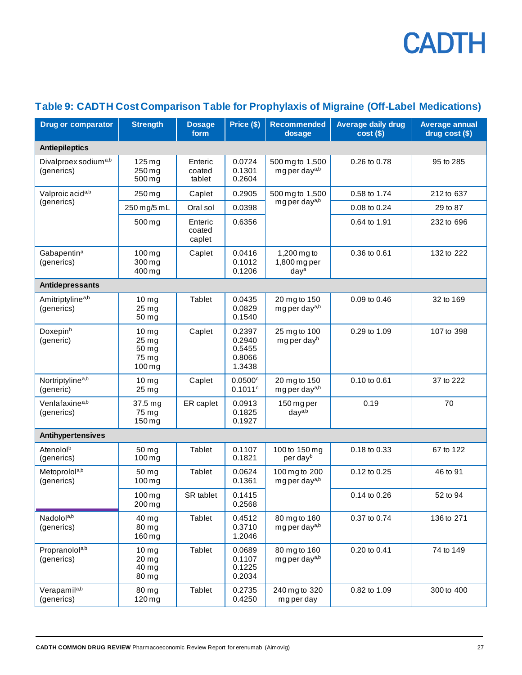| <b>Drug or comparator</b>                      | <b>Strength</b>                                                  | <b>Dosage</b><br>form       | Price (\$)                                     | <b>Recommended</b><br>dosage                    | <b>Average daily drug</b><br>$cost($)$ | <b>Average annual</b><br>drug cost (\$) |
|------------------------------------------------|------------------------------------------------------------------|-----------------------------|------------------------------------------------|-------------------------------------------------|----------------------------------------|-----------------------------------------|
| <b>Antiepileptics</b>                          |                                                                  |                             |                                                |                                                 |                                        |                                         |
| Divalproex sodium <sup>a,b</sup><br>(generics) | $125 \,\mathrm{mg}$<br>$250$ mg<br>500 mg                        | Enteric<br>coated<br>tablet | 0.0724<br>0.1301<br>0.2604                     | 500 mg to 1,500<br>mg per day <sup>a,b</sup>    | 0.26 to 0.78                           | 95 to 285                               |
| Valproic acid <sup>a,b</sup>                   | 250 mg                                                           | Caplet                      | 0.2905                                         | 500 mg to 1,500                                 | 0.58 to 1.74                           | 212 to 637                              |
| (generics)                                     | 250 mg/5 mL                                                      | Oral sol                    | 0.0398                                         | mg per day <sup>a,b</sup>                       | 0.08 to 0.24                           | 29 to 87                                |
|                                                | 500 mg                                                           | Enteric<br>coated<br>caplet | 0.6356                                         |                                                 | 0.64 to 1.91                           | 232 to 696                              |
| Gabapentin <sup>a</sup><br>(generics)          | $100$ mg<br>300 mg<br>400 mg                                     | Caplet                      | 0.0416<br>0.1012<br>0.1206                     | 1,200 mg to<br>1,800 mg per<br>day <sup>a</sup> | 0.36 to 0.61                           | 132 to 222                              |
| Antidepressants                                |                                                                  |                             |                                                |                                                 |                                        |                                         |
| Amitriptyline <sup>a,b</sup><br>(generics)     | 10 <sub>mg</sub><br>25 <sub>mg</sub><br>50 mg                    | Tablet                      | 0.0435<br>0.0829<br>0.1540                     | 20 mg to 150<br>mg per day <sup>a,b</sup>       | 0.09 to 0.46                           | 32 to 169                               |
| Doxepin <sup>b</sup><br>(generic)              | 10 <sub>mg</sub><br>25 mg<br>50 <sub>mg</sub><br>75 mg<br>100 mg | Caplet                      | 0.2397<br>0.2940<br>0.5455<br>0.8066<br>1.3438 | 25 mg to 100<br>mg per day <sup>b</sup>         | 0.29 to 1.09                           | 107 to 398                              |
| Nortriptyline <sup>a,b</sup><br>(generic)      | 10 <sub>mg</sub><br>25 mg                                        | Caplet                      | $0.0500$ <sup>c</sup><br>0.1011c               | 20 mg to 150<br>mg per day <sup>a,b</sup>       | 0.10 to 0.61                           | 37 to 222                               |
| Venlafaxine <sup>a,b</sup><br>(generics)       | 37.5 mg<br>75 mg<br>$150$ mg                                     | ER caplet                   | 0.0913<br>0.1825<br>0.1927                     | 150 mg per<br>day <sup>a,b</sup>                | 0.19                                   | 70                                      |
| Antihypertensives                              |                                                                  |                             |                                                |                                                 |                                        |                                         |
| Atenolol <sup>b</sup><br>(generics)            | 50 mg<br>$100 \,\mathrm{mg}$                                     | Tablet                      | 0.1107<br>0.1821                               | 100 to 150 mg<br>per dayb                       | 0.18 to 0.33                           | 67 to 122                               |
| Metoprolola,b<br>(generics)                    | 50 mg<br>$100$ mg                                                | Tablet                      | 0.0624<br>0.1361                               | 100 mg to 200<br>mg per day <sup>a,b</sup>      | 0.12 to 0.25                           | 46 to 91                                |
|                                                | $100 \,\mathrm{mg}$<br>200 mg                                    | SR tablet                   | 0.1415<br>0.2568                               |                                                 | 0.14 to 0.26                           | 52 to 94                                |
| Nadolola,b<br>(generics)                       | 40 mg<br>80 mg<br>160 mg                                         | Tablet                      | 0.4512<br>0.3710<br>1.2046                     | 80 mg to 160<br>mg per day <sup>a,b</sup>       | 0.37 to 0.74                           | 136 to 271                              |
| Propranolola,b<br>(generics)                   | 10 <sub>mg</sub><br>$20 \,\mathrm{mg}$<br>40 mg<br>80 mg         | Tablet                      | 0.0689<br>0.1107<br>0.1225<br>0.2034           | 80 mg to 160<br>mg per day <sup>a,b</sup>       | 0.20 to 0.41                           | 74 to 149                               |
| Verapamila,b<br>(generics)                     | 80 mg<br>$120$ mg                                                | Tablet                      | 0.2735<br>0.4250                               | 240 mg to 320<br>mg per day                     | 0.82 to 1.09                           | 300 to 400                              |

### <span id="page-26-0"></span>**Table 9: CADTH Cost Comparison Table for Prophylaxis of Migraine (Off-Label Medications)**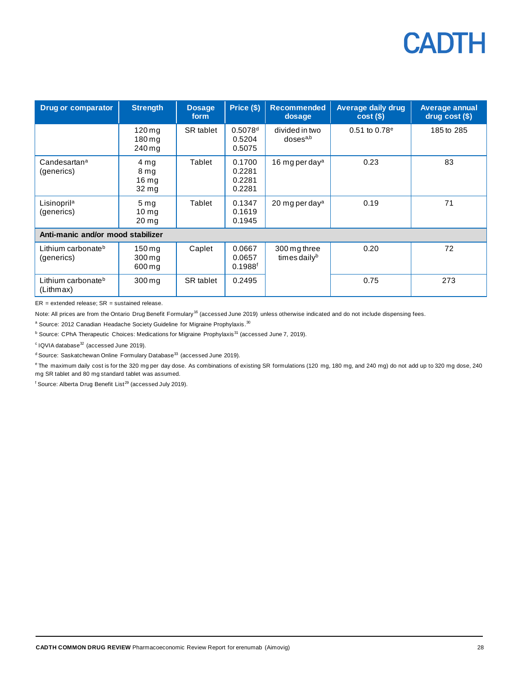| <b>Drug or comparator</b>                    | <b>Strength</b>                                                | <b>Dosage</b><br>form | Price (\$)                                | <b>Recommended</b><br>dosage              | <b>Average daily drug</b><br>$cost(\$))$ | <b>Average annual</b><br>drug cost (\$) |
|----------------------------------------------|----------------------------------------------------------------|-----------------------|-------------------------------------------|-------------------------------------------|------------------------------------------|-----------------------------------------|
|                                              | $120 \,\mathrm{mq}$<br>180 mg<br>240 mg                        | SR tablet             | 0.5078d<br>0.5204<br>0.5075               | divided in two<br>$d$ oses <sup>a,b</sup> | $0.51$ to $0.78^{\circ}$                 | 185 to 285                              |
| Candesartan <sup>a</sup><br>(generics)       | 4 mg<br>8 <sub>mg</sub><br>16 <sub>mg</sub><br>$32 \text{ mg}$ | Tablet                | 0.1700<br>0.2281<br>0.2281<br>0.2281      | 16 mg per day <sup>a</sup>                | 0.23                                     | 83                                      |
| Lisinopril <sup>a</sup><br>(generics)        | 5 <sub>mg</sub><br>10 <sub>ma</sub><br>$20 \,\mathrm{mg}$      | Tablet                | 0.1347<br>0.1619<br>0.1945                | 20 mg per day <sup>a</sup>                | 0.19                                     | 71                                      |
| Anti-manic and/or mood stabilizer            |                                                                |                       |                                           |                                           |                                          |                                         |
| Lithium carbonate <sup>b</sup><br>(generics) | $150 \,\mathrm{mg}$<br>300 mg<br>600 mg                        | Caplet                | 0.0667<br>0.0657<br>$0.1988$ <sup>f</sup> | 300 mg three<br>times daily <sup>b</sup>  | 0.20                                     | 72                                      |
| Lithium carbonate <sup>b</sup><br>(Lithmax)  | 300 mg                                                         | SR tablet             | 0.2495                                    |                                           | 0.75                                     | 273                                     |

 $ER = extended release; SR = sustained release.$ 

Note: All prices are from the Ontario Drug Benefit Formulary<sup>16</sup> (accessed June 2019) unless otherwise indicated and do not include dispensing fees.

<sup>a</sup> Source: 2012 Canadian Headache Society Guideline for Migraine Prophylaxis.<sup>30</sup>

<sup>b</sup> Source: CPhA Therapeutic Choices: Medications for Migraine Prophylaxis<sup>31</sup> (accessed June 7, 2019).

 $\textdegree$  IQVIA database $\textdegree{}$  (accessed June 2019).

d Source: Saskatchewan Online Formulary Database<sup>33</sup> (accessed June 2019).

<sup>e</sup> The maximum daily cost is for the 320 mg per day dose. As combinations of existing SR formulations (120 mg, 180 mg, and 240 mg) do not add up to 320 mg dose, 240 mg SR tablet and 80 mg standard tablet was assumed.

 $f$  Source: Alberta Drug Benefit List<sup>29</sup> (accessed July 2019).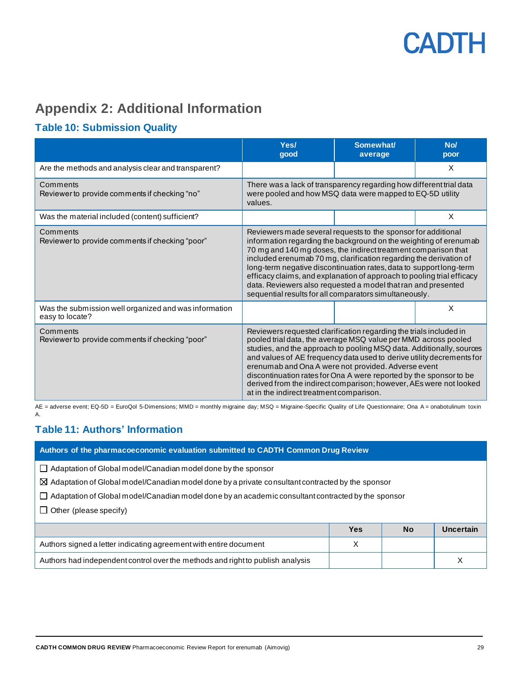## <span id="page-28-0"></span>**Appendix 2: Additional Information**

### <span id="page-28-1"></span>**Table 10: Submission Quality**

|                                                                          | Yes/<br>qood                                                                                                                                                                                                                                                                                                                                                                                                                                                                                                                                           | Somewhat/<br>average | No/<br>poor |
|--------------------------------------------------------------------------|--------------------------------------------------------------------------------------------------------------------------------------------------------------------------------------------------------------------------------------------------------------------------------------------------------------------------------------------------------------------------------------------------------------------------------------------------------------------------------------------------------------------------------------------------------|----------------------|-------------|
| Are the methods and analysis clear and transparent?                      |                                                                                                                                                                                                                                                                                                                                                                                                                                                                                                                                                        |                      | X           |
| Comments<br>Reviewer to provide comments if checking "no"                | There was a lack of transparency regarding how different trial data<br>were pooled and how MSQ data were mapped to EQ-5D utility<br>values.                                                                                                                                                                                                                                                                                                                                                                                                            |                      |             |
| Was the material included (content) sufficient?                          |                                                                                                                                                                                                                                                                                                                                                                                                                                                                                                                                                        |                      | $\times$    |
| Comments<br>Reviewer to provide comments if checking "poor"              | Reviewers made several requests to the sponsor for additional<br>information regarding the background on the weighting of erenumab<br>70 mg and 140 mg doses, the indirect treatment comparison that<br>included erenumab 70 mg, clarification regarding the derivation of<br>long-term negative discontinuation rates, data to support long-term<br>efficacy claims, and explanation of approach to pooling trial efficacy<br>data. Reviewers also requested a model that ran and presented<br>sequential results for all comparators simultaneously. |                      |             |
| Was the submission well organized and was information<br>easy to locate? |                                                                                                                                                                                                                                                                                                                                                                                                                                                                                                                                                        |                      | $\times$    |
| Comments<br>Reviewer to provide comments if checking "poor"              | Reviewers requested clarification regarding the trials included in<br>pooled trial data, the average MSQ value per MMD across pooled<br>studies, and the approach to pooling MSQ data. Additionally, sources<br>and values of AE frequency data used to derive utility decrements for<br>erenumab and Ona A were not provided. Adverse event<br>discontinuation rates for Ona A were reported by the sponsor to be<br>derived from the indirect comparison; however, AEs were not looked<br>at in the indirect treatment comparison.                   |                      |             |

AE = adverse event; EQ-5D = EuroQol 5-Dimensions; MMD = monthly migraine day; MSQ = Migraine-Specific Quality of Life Questionnaire; Ona A = onabotulinum toxin A.

### <span id="page-28-2"></span>**Table 11: Authors' Information**

#### **Authors of the pharmacoeconomic evaluation submitted to CADTH Common Drug Review**

Adaptation of Global model/Canadian model done by the sponsor

Adaptation of Global model/Canadian model done by a private consultant contracted by the sponsor

 $\Box$  Adaptation of Global model/Canadian model done by an academic consultant contracted by the sponsor

 $\Box$  Other (please specify)

|                                                                                | Yes | <b>No</b> | Uncertain |
|--------------------------------------------------------------------------------|-----|-----------|-----------|
| Authors signed a letter indicating agreement with entire document              |     |           |           |
| Authors had independent control over the methods and right to publish analysis |     |           |           |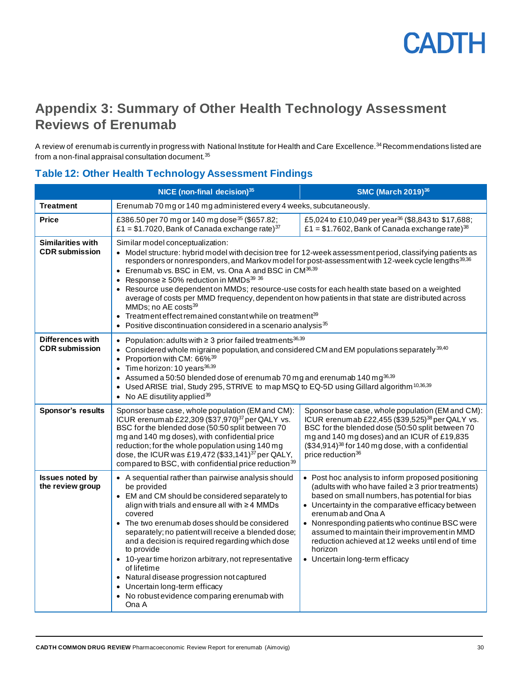

### <span id="page-29-0"></span>**Appendix 3: Summary of Other Health Technology Assessment Reviews of Erenumab**

A review of erenumab is currently in progress with National Institute for Health and Care Excellence.<sup>34</sup> Recommendations listed are from a non-final appraisal consultation document.<sup>35</sup>

### <span id="page-29-1"></span>**Table 12: Other Health Technology Assessment Findings**

|                                                   | NICE (non-final decision) <sup>35</sup>                                                                                                                                                                                                                                                                                                                                                                                                                                                                                                                                                                                                                                                                                                                                                  | <b>SMC (March 2019)</b> 36                                                                                                                                                                                                                                                                                                                                                                                                               |  |  |  |
|---------------------------------------------------|------------------------------------------------------------------------------------------------------------------------------------------------------------------------------------------------------------------------------------------------------------------------------------------------------------------------------------------------------------------------------------------------------------------------------------------------------------------------------------------------------------------------------------------------------------------------------------------------------------------------------------------------------------------------------------------------------------------------------------------------------------------------------------------|------------------------------------------------------------------------------------------------------------------------------------------------------------------------------------------------------------------------------------------------------------------------------------------------------------------------------------------------------------------------------------------------------------------------------------------|--|--|--|
| <b>Treatment</b>                                  | Erenumab 70 mg or 140 mg administered every 4 weeks, subcutaneously.                                                                                                                                                                                                                                                                                                                                                                                                                                                                                                                                                                                                                                                                                                                     |                                                                                                                                                                                                                                                                                                                                                                                                                                          |  |  |  |
| <b>Price</b>                                      | £386.50 per 70 mg or 140 mg dose <sup>35</sup> (\$657.82;<br>£1 = \$1.7020, Bank of Canada exchange rate) $37$                                                                                                                                                                                                                                                                                                                                                                                                                                                                                                                                                                                                                                                                           | £5,024 to £10,049 per year <sup>36</sup> (\$8,843 to \$17,688;<br>£1 = \$1.7602, Bank of Canada exchange rate) <sup>38</sup>                                                                                                                                                                                                                                                                                                             |  |  |  |
| <b>Similarities with</b><br><b>CDR</b> submission | Similar model conceptualization:<br>• Model structure: hybrid model with decision tree for 12-week assessment period, classifying patients as<br>responders or nonresponders, and Markov model for post-assessment with 12-week cycle lengths <sup>39,36</sup><br>• Erenumab vs. BSC in EM, vs. Ona A and BSC in CM <sup>36,39</sup><br>• Response $\geq 50\%$ reduction in MMDs <sup>39 36</sup><br>• Resource use dependent on MMDs; resource-use costs for each health state based on a weighted<br>average of costs per MMD frequency, dependent on how patients in that state are distributed across<br>MMDs; no AE costs <sup>39</sup><br>• Treatment effect remained constant while on treatment $39$<br>Positive discontinuation considered in a scenario analysis <sup>35</sup> |                                                                                                                                                                                                                                                                                                                                                                                                                                          |  |  |  |
| <b>Differences with</b><br><b>CDR</b> submission  | • Population: adults with $\geq 3$ prior failed treatments $36,39$<br>• Considered whole migraine population, and considered CM and EM populations separately $^{39,40}$<br>• Proportion with CM: 66% <sup>39</sup><br>$\bullet$ Time horizon: 10 years $36,39$<br>• Assumed a 50:50 blended dose of erenumab 70 mg and erenumab 140 mg $^{36,39}$<br>• Used ARISE trial, Study 295, STRIVE to map MSQ to EQ-5D using Gillard algorithm <sup>10,36,39</sup><br>• No AE disutility applied $39$                                                                                                                                                                                                                                                                                           |                                                                                                                                                                                                                                                                                                                                                                                                                                          |  |  |  |
| <b>Sponsor's results</b>                          | Sponsor base case, whole population (EM and CM):<br>ICUR erenumab £22,309 (\$37,970) <sup>37</sup> per QALY vs.<br>BSC for the blended dose (50:50 split between 70<br>mg and 140 mg doses), with confidential price<br>reduction; for the whole population using 140 mg<br>dose, the ICUR was £19,472 (\$33,141) <sup>37</sup> per QALY,<br>compared to BSC, with confidential price reduction <sup>39</sup>                                                                                                                                                                                                                                                                                                                                                                            | Sponsor base case, whole population (EM and CM):<br>ICUR erenumab £22,455 (\$39,525) <sup>38</sup> per QALY vs.<br>BSC for the blended dose (50:50 split between 70<br>mg and 140 mg doses) and an ICUR of £19,835<br>$($34,914)^{38}$ for 140 mg dose, with a confidential<br>price reduction <sup>36</sup>                                                                                                                             |  |  |  |
| <b>Issues noted by</b><br>the review group        | • A sequential rather than pairwise analysis should<br>be provided<br>• EM and CM should be considered separately to<br>align with trials and ensure all with ≥4 MMDs<br>covered<br>• The two erenumab doses should be considered<br>separately; no patient will receive a blended dose;<br>and a decision is required regarding which dose<br>to provide<br>• 10-year time horizon arbitrary, not representative<br>of lifetime<br>• Natural disease progression not captured<br>• Uncertain long-term efficacy<br>• No robust evidence comparing erenumab with<br>Ona A                                                                                                                                                                                                                | • Post hoc analysis to inform proposed positioning<br>(adults with who have failed ≥ 3 prior treatments)<br>based on small numbers, has potential for bias<br>• Uncertainty in the comparative efficacy between<br>erenumab and Ona A<br>• Nonresponding patients who continue BSC were<br>assumed to maintain their improvement in MMD<br>reduction achieved at 12 weeks until end of time<br>horizon<br>• Uncertain long-term efficacy |  |  |  |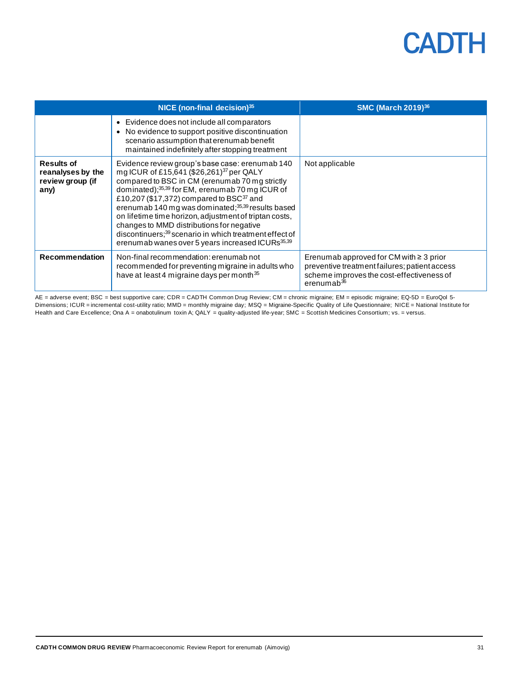|                                                                    | NICE (non-final decision) $35$                                                                                                                                                                                                                                                                                                                                                                                                                                                                                                                                                                 | <b>SMC (March 2019)</b> <sup>36</sup>                                                                                                                       |
|--------------------------------------------------------------------|------------------------------------------------------------------------------------------------------------------------------------------------------------------------------------------------------------------------------------------------------------------------------------------------------------------------------------------------------------------------------------------------------------------------------------------------------------------------------------------------------------------------------------------------------------------------------------------------|-------------------------------------------------------------------------------------------------------------------------------------------------------------|
|                                                                    | • Evidence does not include all comparators<br>• No evidence to support positive discontinuation<br>scenario assumption that erenumab benefit<br>maintained indefinitely after stopping treatment                                                                                                                                                                                                                                                                                                                                                                                              |                                                                                                                                                             |
| <b>Results of</b><br>reanalyses by the<br>review group (if<br>any) | Evidence review group's base case: erenumab 140<br>mg ICUR of £15,641 (\$26,261) <sup>37</sup> per QALY<br>compared to BSC in CM (erenumab 70 mg strictly<br>dominated); <sup>35,39</sup> for EM, erenumab 70 mg ICUR of<br>£10,207 (\$17,372) compared to BSC <sup>37</sup> and<br>erenumab 140 mg was dominated; <sup>35,39</sup> results based<br>on lifetime time horizon, adjustment of triptan costs,<br>changes to MMD distributions for negative<br>discontinuers; <sup>39</sup> scenario in which treatment effect of<br>erenumab wanes over 5 years increased ICURs <sup>35,39</sup> | Not applicable                                                                                                                                              |
| <b>Recommendation</b>                                              | Non-final recommendation: erenumab not<br>recommended for preventing migraine in adults who<br>have at least 4 migraine days per month <sup>35</sup>                                                                                                                                                                                                                                                                                                                                                                                                                                           | Erenumab approved for CM with $\geq 3$ prior<br>preventive treatment failures; patient access<br>scheme improves the cost-effectiveness of<br>erenumab $36$ |

AE = adverse event; BSC = best supportive care; CDR = CADTH Common Drug Review; CM = chronic migraine; EM = episodic migraine; EQ-5D = EuroQol 5- Dimensions; ICUR = incremental cost-utility ratio; MMD = monthly migraine day; MSQ = Migraine-Specific Quality of Life Questionnaire; NICE = National Institute for Health and Care Excellence; Ona A = onabotulinum toxin A; QALY = quality-adjusted life-year; SMC = Scottish Medicines Consortium; vs. = versus.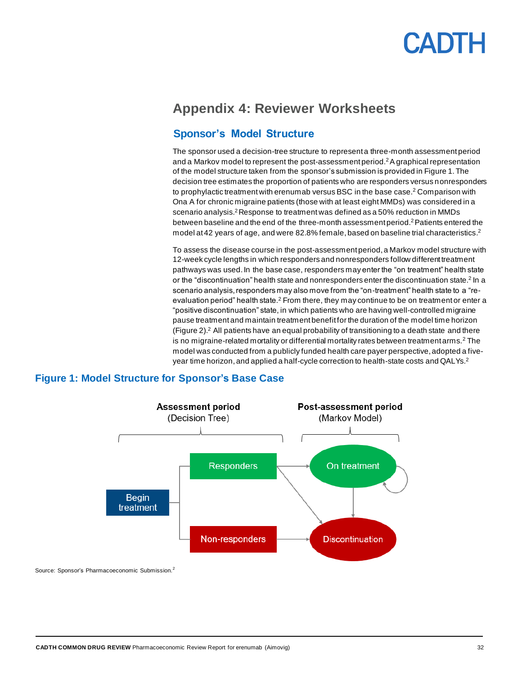### <span id="page-31-0"></span>**Appendix 4: Reviewer Worksheets**

### **Sponsor's Model Structure**

The sponsor used a decision-tree structure to represent a three-month assessment period and a Markov model to represent the post-assessment period.<sup>2</sup>A graphical representation of the model structure taken from the sponsor's submission is provided in [Figure 1.](#page-31-1) The decision tree estimates the proportion of patients who are responders versus nonresponders to prophylactic treatment with erenumab versus BSC in the base case.<sup>2</sup> Comparison with Ona A for chronic migraine patients (those with at least eight MMDs) was considered in a scenario analysis.<sup>2</sup> Response to treatment was defined as a 50% reduction in MMDs between baseline and the end of the three-month assessment period.<sup>2</sup>Patients entered the model at 42 years of age, and were 82.8% female, based on baseline trial characteristics.<sup>2</sup>

To assess the disease course in the post-assessment period, a Markov model structure with 12-week cycle lengths in which responders and nonresponders follow different treatment pathways was used. In the base case, responders may enter the "on treatment" health state or the "discontinuation" health state and nonresponders enter the discontinuation state.<sup>2</sup> In a scenario analysis, responders may also move from the "on-treatment" health state to a "reevaluation period" health state.<sup>2</sup> From there, they may continue to be on treatment or enter a "positive discontinuation" state, in which patients who are having well-controlled migraine pause treatment and maintain treatment benefit for the duration of the model time horizon [\(Figure 2\)](#page-32-1). $2$  All patients have an equal probability of transitioning to a death state and there is no migraine-related mortality or differential mortality rates between treatment arms.<sup>2</sup> The model was conducted from a publicly funded health care payer perspective, adopted a fiveyear time horizon, and applied a half-cycle correction to health-state costs and QALYs.<sup>2</sup>



### <span id="page-31-1"></span>**Figure 1: Model Structure for Sponsor's Base Case**

Source: Sponsor's Pharmacoeconomic Submission.<sup>2</sup>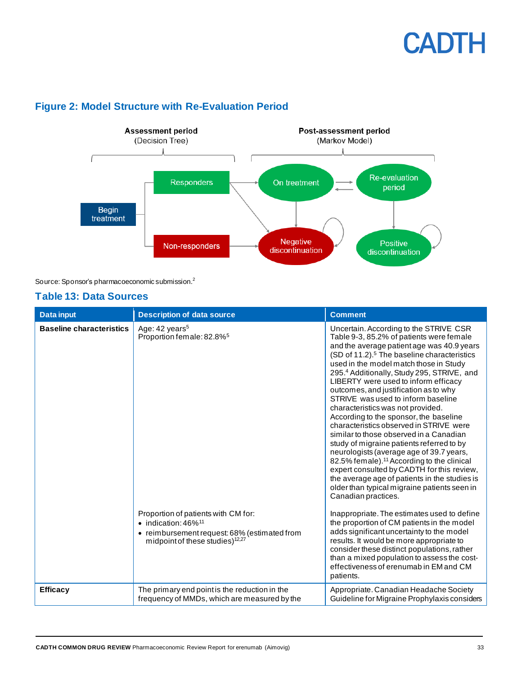

### <span id="page-32-1"></span>**Figure 2: Model Structure with Re-Evaluation Period**

Source: Sponsor's pharmacoeconomic submission.<sup>2</sup>

#### <span id="page-32-0"></span>**Table 13: Data Sources**

| <b>Data input</b>               | <b>Description of data source</b>                                                                                                                                             | <b>Comment</b>                                                                                                                                                                                                                                                                                                                                                                                                                                                                                                                                                                                                                                                                                                                                                                                                                                                                                           |
|---------------------------------|-------------------------------------------------------------------------------------------------------------------------------------------------------------------------------|----------------------------------------------------------------------------------------------------------------------------------------------------------------------------------------------------------------------------------------------------------------------------------------------------------------------------------------------------------------------------------------------------------------------------------------------------------------------------------------------------------------------------------------------------------------------------------------------------------------------------------------------------------------------------------------------------------------------------------------------------------------------------------------------------------------------------------------------------------------------------------------------------------|
| <b>Baseline characteristics</b> | Age: 42 years <sup>5</sup><br>Proportion female: 82.8% <sup>5</sup>                                                                                                           | Uncertain. According to the STRIVE CSR<br>Table 9-3, 85.2% of patients were female<br>and the average patient age was 40.9 years<br>(SD of 11.2). <sup>5</sup> The baseline characteristics<br>used in the model match those in Study<br>295.4 Additionally, Study 295, STRIVE, and<br>LIBERTY were used to inform efficacy<br>outcomes, and justification as to why<br>STRIVE was used to inform baseline<br>characteristics was not provided.<br>According to the sponsor, the baseline<br>characteristics observed in STRIVE were<br>similar to those observed in a Canadian<br>study of migraine patients referred to by<br>neurologists (average age of 39.7 years,<br>82.5% female). <sup>11</sup> According to the clinical<br>expert consulted by CADTH for this review,<br>the average age of patients in the studies is<br>older than typical migraine patients seen in<br>Canadian practices. |
|                                 | Proportion of patients with CM for:<br>$\bullet$ indication: 46% <sup>11</sup><br>• reimbursement request: 68% (estimated from<br>midpoint of these studies) <sup>12,27</sup> | Inappropriate. The estimates used to define<br>the proportion of CM patients in the model<br>adds significant uncertainty to the model<br>results. It would be more appropriate to<br>consider these distinct populations, rather<br>than a mixed population to assess the cost-<br>effectiveness of erenumab in EM and CM<br>patients.                                                                                                                                                                                                                                                                                                                                                                                                                                                                                                                                                                  |
| <b>Efficacy</b>                 | The primary end point is the reduction in the<br>frequency of MMDs, which are measured by the                                                                                 | Appropriate. Canadian Headache Society<br>Guideline for Migraine Prophylaxis considers                                                                                                                                                                                                                                                                                                                                                                                                                                                                                                                                                                                                                                                                                                                                                                                                                   |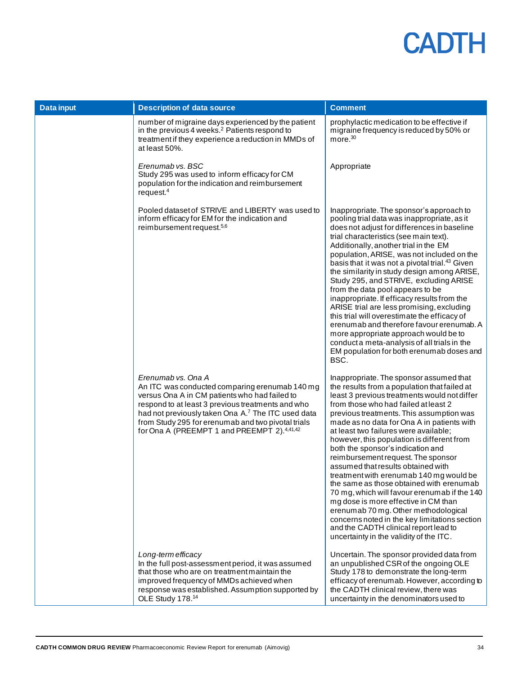| <b>Data input</b> | <b>Description of data source</b>                                                                                                                                                                                                                                                                                                                 | <b>Comment</b>                                                                                                                                                                                                                                                                                                                                                                                                                                                                                                                                                                                                                                                                                                                                                                                                                                |
|-------------------|---------------------------------------------------------------------------------------------------------------------------------------------------------------------------------------------------------------------------------------------------------------------------------------------------------------------------------------------------|-----------------------------------------------------------------------------------------------------------------------------------------------------------------------------------------------------------------------------------------------------------------------------------------------------------------------------------------------------------------------------------------------------------------------------------------------------------------------------------------------------------------------------------------------------------------------------------------------------------------------------------------------------------------------------------------------------------------------------------------------------------------------------------------------------------------------------------------------|
|                   | number of migraine days experienced by the patient<br>in the previous 4 weeks. <sup>2</sup> Patients respond to<br>treatment if they experience a reduction in MMDs of<br>at least 50%.                                                                                                                                                           | prophylactic medication to be effective if<br>migraine frequency is reduced by 50% or<br>more. $30$                                                                                                                                                                                                                                                                                                                                                                                                                                                                                                                                                                                                                                                                                                                                           |
|                   | Erenumab vs. BSC<br>Study 295 was used to inform efficacy for CM<br>population for the indication and reimbursement<br>request. <sup>4</sup>                                                                                                                                                                                                      | Appropriate                                                                                                                                                                                                                                                                                                                                                                                                                                                                                                                                                                                                                                                                                                                                                                                                                                   |
|                   | Pooled dataset of STRIVE and LIBERTY was used to<br>inform efficacy for EM for the indication and<br>reimbursement request. <sup>5,6</sup>                                                                                                                                                                                                        | Inappropriate. The sponsor's approach to<br>pooling trial data was inappropriate, as it<br>does not adjust for differences in baseline<br>trial characteristics (see main text).<br>Additionally, another trial in the EM<br>population, ARISE, was not included on the<br>basis that it was not a pivotal trial. <sup>43</sup> Given<br>the similarity in study design among ARISE,<br>Study 295, and STRIVE, excluding ARISE<br>from the data pool appears to be<br>inappropriate. If efficacy results from the<br>ARISE trial are less promising, excluding<br>this trial will overestimate the efficacy of<br>erenumab and therefore favour erenumab. A<br>more appropriate approach would be to<br>conduct a meta-analysis of all trials in the<br>EM population for both erenumab doses and<br>BSC.                                     |
|                   | Erenumab vs. Ona A<br>An ITC was conducted comparing erenumab 140 mg<br>versus Ona A in CM patients who had failed to<br>respond to at least 3 previous treatments and who<br>had not previously taken Ona A.7 The ITC used data<br>from Study 295 for erenumab and two pivotal trials<br>for Ona A (PREEMPT 1 and PREEMPT 2). <sup>4,41,42</sup> | Inappropriate. The sponsor assumed that<br>the results from a population that failed at<br>least 3 previous treatments would not differ<br>from those who had failed at least 2<br>previous treatments. This assumption was<br>made as no data for Ona A in patients with<br>at least two failures were available;<br>however, this population is different from<br>both the sponsor's indication and<br>reimbursement request. The sponsor<br>assumed that results obtained with<br>treatment with erenumab 140 mg would be<br>the same as those obtained with erenumab<br>70 mg, which will favour erenumab if the 140<br>mg dose is more effective in CM than<br>erenumab 70 mg. Other methodological<br>concerns noted in the key limitations section<br>and the CADTH clinical report lead to<br>uncertainty in the validity of the ITC. |
|                   | Long-term efficacy<br>In the full post-assessment period, it was assumed<br>that those who are on treatment maintain the<br>improved frequency of MMDs achieved when<br>response was established. Assumption supported by<br>OLE Study 178.14                                                                                                     | Uncertain. The sponsor provided data from<br>an unpublished CSR of the ongoing OLE<br>Study 178 to demonstrate the long-term<br>efficacy of erenumab. However, according to<br>the CADTH clinical review, there was<br>uncertainty in the denominators used to                                                                                                                                                                                                                                                                                                                                                                                                                                                                                                                                                                                |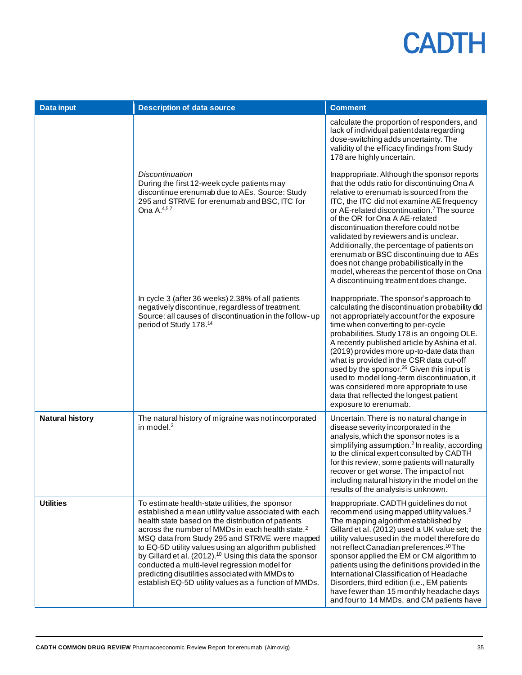| <b>Data input</b>      | <b>Description of data source</b>                                                                                                                                                                                                                                                                                                                                                                                                                                                                                                                                           | <b>Comment</b>                                                                                                                                                                                                                                                                                                                                                                                                                                                                                                                                                                                     |
|------------------------|-----------------------------------------------------------------------------------------------------------------------------------------------------------------------------------------------------------------------------------------------------------------------------------------------------------------------------------------------------------------------------------------------------------------------------------------------------------------------------------------------------------------------------------------------------------------------------|----------------------------------------------------------------------------------------------------------------------------------------------------------------------------------------------------------------------------------------------------------------------------------------------------------------------------------------------------------------------------------------------------------------------------------------------------------------------------------------------------------------------------------------------------------------------------------------------------|
|                        |                                                                                                                                                                                                                                                                                                                                                                                                                                                                                                                                                                             | calculate the proportion of responders, and<br>lack of individual patient data regarding<br>dose-switching adds uncertainty. The<br>validity of the efficacy findings from Study<br>178 are highly uncertain.                                                                                                                                                                                                                                                                                                                                                                                      |
|                        | <b>Discontinuation</b><br>During the first 12-week cycle patients may<br>discontinue erenumab due to AEs. Source: Study<br>295 and STRIVE for erenumab and BSC, ITC for<br>Ona A. <sup>4,5,7</sup>                                                                                                                                                                                                                                                                                                                                                                          | Inappropriate. Although the sponsor reports<br>that the odds ratio for discontinuing Ona A<br>relative to erenumab is sourced from the<br>ITC, the ITC did not examine AE frequency<br>or AE-related discontinuation. <sup>7</sup> The source<br>of the OR for Ona A AE-related<br>discontinuation therefore could not be<br>validated by reviewers and is unclear.<br>Additionally, the percentage of patients on<br>erenumab or BSC discontinuing due to AEs<br>does not change probabilistically in the<br>model, whereas the percent of those on Ona<br>A discontinuing treatment does change. |
|                        | In cycle 3 (after 36 weeks) 2.38% of all patients<br>negatively discontinue, regardless of treatment.<br>Source: all causes of discontinuation in the follow-up<br>period of Study 178. <sup>14</sup>                                                                                                                                                                                                                                                                                                                                                                       | Inappropriate. The sponsor's approach to<br>calculating the discontinuation probability did<br>not appropriately account for the exposure<br>time when converting to per-cycle<br>probabilities. Study 178 is an ongoing OLE.<br>A recently published article by Ashina et al.<br>(2019) provides more up-to-date data than<br>what is provided in the CSR data cut-off<br>used by the sponsor. <sup>26</sup> Given this input is<br>used to model long-term discontinuation, it<br>was considered more appropriate to use<br>data that reflected the longest patient<br>exposure to erenumab.     |
| <b>Natural history</b> | The natural history of migraine was not incorporated<br>in model. <sup>2</sup>                                                                                                                                                                                                                                                                                                                                                                                                                                                                                              | Uncertain. There is no natural change in<br>disease severity incorporated in the<br>analysis, which the sponsor notes is a<br>simplifying assumption. <sup>2</sup> In reality, according<br>to the clinical expert consulted by CADTH<br>for this review, some patients will naturally<br>recover or get worse. The impact of not<br>including natural history in the model on the<br>results of the analysis is unknown.                                                                                                                                                                          |
| <b>Utilities</b>       | To estimate health-state utilities, the sponsor<br>established a mean utility value associated with each<br>health state based on the distribution of patients<br>across the number of MMDs in each health state. <sup>2</sup><br>MSQ data from Study 295 and STRIVE were mapped<br>to EQ-5D utility values using an algorithm published<br>by Gillard et al. (2012). <sup>10</sup> Using this data the sponsor<br>conducted a multi-level regression model for<br>predicting disutilities associated with MMDs to<br>establish EQ-5D utility values as a function of MMDs. | Inappropriate. CADTH guidelines do not<br>recommend using mapped utility values. <sup>9</sup><br>The mapping algorithm established by<br>Gillard et al. (2012) used a UK value set; the<br>utility values used in the model therefore do<br>not reflect Canadian preferences. <sup>10</sup> The<br>sponsor applied the EM or CM algorithm to<br>patients using the definitions provided in the<br>International Classification of Headache<br>Disorders, third edition (i.e., EM patients<br>have fewer than 15 monthly headache days<br>and four to 14 MMDs, and CM patients have                 |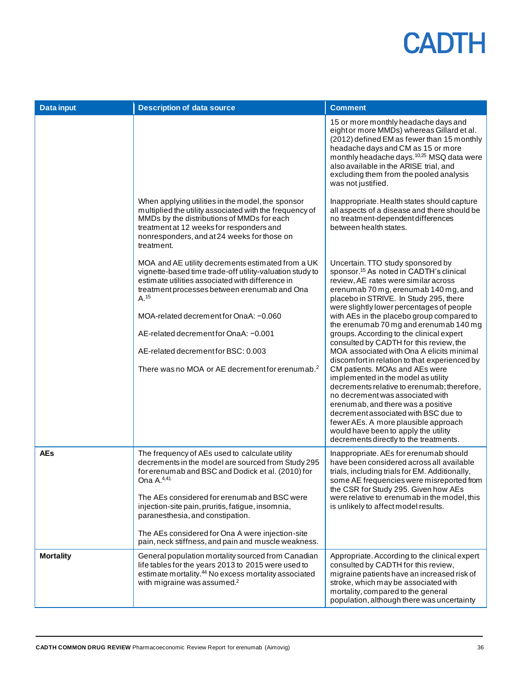| <b>Data input</b> | <b>Description of data source</b>                                                                                                                                                                                                                                                                                                                                                                                               | <b>Comment</b>                                                                                                                                                                                                                                                                                                                                                                                                                                                                                                                                                                                                                                                                                                                                                                                                                                                                                                  |
|-------------------|---------------------------------------------------------------------------------------------------------------------------------------------------------------------------------------------------------------------------------------------------------------------------------------------------------------------------------------------------------------------------------------------------------------------------------|-----------------------------------------------------------------------------------------------------------------------------------------------------------------------------------------------------------------------------------------------------------------------------------------------------------------------------------------------------------------------------------------------------------------------------------------------------------------------------------------------------------------------------------------------------------------------------------------------------------------------------------------------------------------------------------------------------------------------------------------------------------------------------------------------------------------------------------------------------------------------------------------------------------------|
|                   |                                                                                                                                                                                                                                                                                                                                                                                                                                 | 15 or more monthly headache days and<br>eight or more MMDs) whereas Gillard et al.<br>(2012) defined EM as fewer than 15 monthly<br>headache days and CM as 15 or more<br>monthly headache days. <sup>10,25</sup> MSQ data were<br>also available in the ARISE trial, and<br>excluding them from the pooled analysis<br>was not justified.                                                                                                                                                                                                                                                                                                                                                                                                                                                                                                                                                                      |
|                   | When applying utilities in the model, the sponsor<br>multiplied the utility associated with the frequency of<br>MMDs by the distributions of MMDs for each<br>treatment at 12 weeks for responders and<br>nonresponders, and at 24 weeks for those on<br>treatment.                                                                                                                                                             | Inappropriate. Health states should capture<br>all aspects of a disease and there should be<br>no treatment-dependent differences<br>between health states.                                                                                                                                                                                                                                                                                                                                                                                                                                                                                                                                                                                                                                                                                                                                                     |
|                   | MOA and AE utility decrements estimated from a UK<br>vignette-based time trade-off utility-valuation study to<br>estimate utilities associated with difference in<br>treatment processes between erenumab and Ona<br>A. <sup>15</sup><br>MOA-related decrement for OnaA: -0.060<br>AE-related decrement for OnaA: -0.001<br>AE-related decrement for BSC: 0.003<br>There was no MOA or AE decrement for erenumab. <sup>2</sup>  | Uncertain. TTO study sponsored by<br>sponsor. <sup>15</sup> As noted in CADTH's clinical<br>review, AE rates were similar across<br>erenumab 70 mg, erenumab 140 mg, and<br>placebo in STRIVE. In Study 295, there<br>were slightly lower percentages of people<br>with AEs in the placebo group compared to<br>the erenumab 70 mg and erenumab 140 mg<br>groups. According to the clinical expert<br>consulted by CADTH for this review, the<br>MOA associated with Ona A elicits minimal<br>discomfort in relation to that experienced by<br>CM patients. MOAs and AEs were<br>implemented in the model as utility<br>decrements relative to erenumab; therefore,<br>no decrement was associated with<br>erenumab, and there was a positive<br>decrement associated with BSC due to<br>fewer AEs. A more plausible approach<br>would have been to apply the utility<br>decrements directly to the treatments. |
| <b>AEs</b>        | The frequency of AEs used to calculate utility<br>decrements in the model are sourced from Study 295<br>for erenumab and BSC and Dodick et al. (2010) for<br>Ona $A^{4,41}$<br>The AEs considered for erenumab and BSC were<br>injection-site pain, pruritis, fatigue, insomnia,<br>paranesthesia, and constipation.<br>The AEs considered for Ona A were injection-site<br>pain, neck stiffness, and pain and muscle weakness. | Inappropriate. AEs for erenumab should<br>have been considered across all available<br>trials, including trials for EM. Additionally,<br>some AE frequencies were misreported from<br>the CSR for Study 295. Given how AEs<br>were relative to erenumab in the model, this<br>is unlikely to affect model results.                                                                                                                                                                                                                                                                                                                                                                                                                                                                                                                                                                                              |
| <b>Mortality</b>  | General population mortality sourced from Canadian<br>life tables for the years 2013 to 2015 were used to<br>estimate mortality. <sup>44</sup> No excess mortality associated<br>with migraine was assumed. <sup>2</sup>                                                                                                                                                                                                        | Appropriate. According to the clinical expert<br>consulted by CADTH for this review,<br>migraine patients have an increased risk of<br>stroke, which may be associated with<br>mortality, compared to the general<br>population, although there was uncertainty                                                                                                                                                                                                                                                                                                                                                                                                                                                                                                                                                                                                                                                 |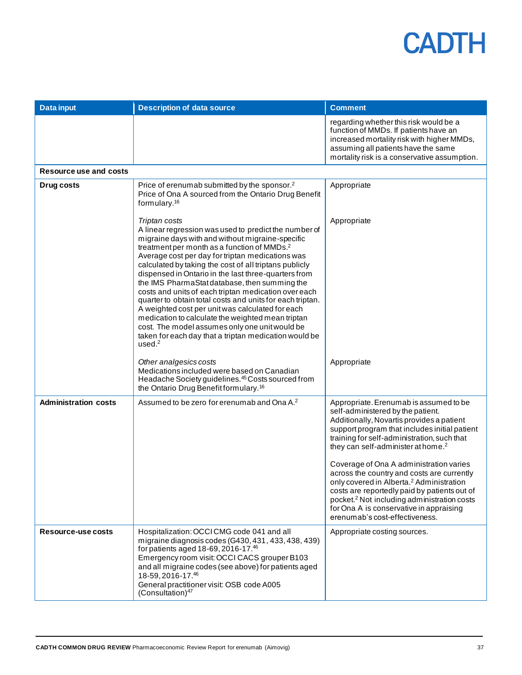| <b>Data input</b>           | <b>Description of data source</b>                                                                                                                                                                                                                                                                                                                                                                                                                                                                                                                                                                                                                                                                                                                                  | <b>Comment</b>                                                                                                                                                                                                                                                                                                                                                                                                                                                                                                                                                                                                      |
|-----------------------------|--------------------------------------------------------------------------------------------------------------------------------------------------------------------------------------------------------------------------------------------------------------------------------------------------------------------------------------------------------------------------------------------------------------------------------------------------------------------------------------------------------------------------------------------------------------------------------------------------------------------------------------------------------------------------------------------------------------------------------------------------------------------|---------------------------------------------------------------------------------------------------------------------------------------------------------------------------------------------------------------------------------------------------------------------------------------------------------------------------------------------------------------------------------------------------------------------------------------------------------------------------------------------------------------------------------------------------------------------------------------------------------------------|
|                             |                                                                                                                                                                                                                                                                                                                                                                                                                                                                                                                                                                                                                                                                                                                                                                    | regarding whether this risk would be a<br>function of MMDs. If patients have an<br>increased mortality risk with higher MMDs,<br>assuming all patients have the same<br>mortality risk is a conservative assumption.                                                                                                                                                                                                                                                                                                                                                                                                |
| Resource use and costs      |                                                                                                                                                                                                                                                                                                                                                                                                                                                                                                                                                                                                                                                                                                                                                                    |                                                                                                                                                                                                                                                                                                                                                                                                                                                                                                                                                                                                                     |
| Drug costs                  | Price of erenumab submitted by the sponsor. <sup>2</sup><br>Price of Ona A sourced from the Ontario Drug Benefit<br>formulary. <sup>16</sup>                                                                                                                                                                                                                                                                                                                                                                                                                                                                                                                                                                                                                       | Appropriate                                                                                                                                                                                                                                                                                                                                                                                                                                                                                                                                                                                                         |
|                             | Triptan costs<br>A linear regression was used to predict the number of<br>migraine days with and without migraine-specific<br>treatment per month as a function of MMDs. <sup>2</sup><br>Average cost per day for triptan medications was<br>calculated by taking the cost of all triptans publicly<br>dispensed in Ontario in the last three-quarters from<br>the IMS PharmaStat database, then summing the<br>costs and units of each triptan medication over each<br>quarter to obtain total costs and units for each triptan.<br>A weighted cost per unit was calculated for each<br>medication to calculate the weighted mean triptan<br>cost. The model assumes only one unit would be<br>taken for each day that a triptan medication would be<br>used. $2$ | Appropriate                                                                                                                                                                                                                                                                                                                                                                                                                                                                                                                                                                                                         |
|                             | Other analgesics costs<br>Medications included were based on Canadian<br>Headache Society guidelines. <sup>45</sup> Costs sourced from<br>the Ontario Drug Benefit formulary. <sup>16</sup>                                                                                                                                                                                                                                                                                                                                                                                                                                                                                                                                                                        | Appropriate                                                                                                                                                                                                                                                                                                                                                                                                                                                                                                                                                                                                         |
| <b>Administration costs</b> | Assumed to be zero for erenumab and Ona A. <sup>2</sup>                                                                                                                                                                                                                                                                                                                                                                                                                                                                                                                                                                                                                                                                                                            | Appropriate. Erenumab is assumed to be<br>self-administered by the patient.<br>Additionally, Novartis provides a patient<br>support program that includes initial patient<br>training for self-administration, such that<br>they can self-administer at home. <sup>2</sup><br>Coverage of Ona A administration varies<br>across the country and costs are currently<br>only covered in Alberta. <sup>2</sup> Administration<br>costs are reportedly paid by patients out of<br>pocket. <sup>2</sup> Not including administration costs<br>for Ona A is conservative in appraising<br>erenumab's cost-effectiveness. |
| Resource-use costs          | Hospitalization: OCCICMG code 041 and all<br>migraine diagnosis codes (G430, 431, 433, 438, 439)<br>for patients aged 18-69, 2016-17.46<br>Emergency room visit: OCCI CACS grouper B103<br>and all migraine codes (see above) for patients aged<br>18-59, 2016-17.46<br>General practitioner visit: OSB code A005<br>(Consultation) <sup>47</sup>                                                                                                                                                                                                                                                                                                                                                                                                                  | Appropriate costing sources.                                                                                                                                                                                                                                                                                                                                                                                                                                                                                                                                                                                        |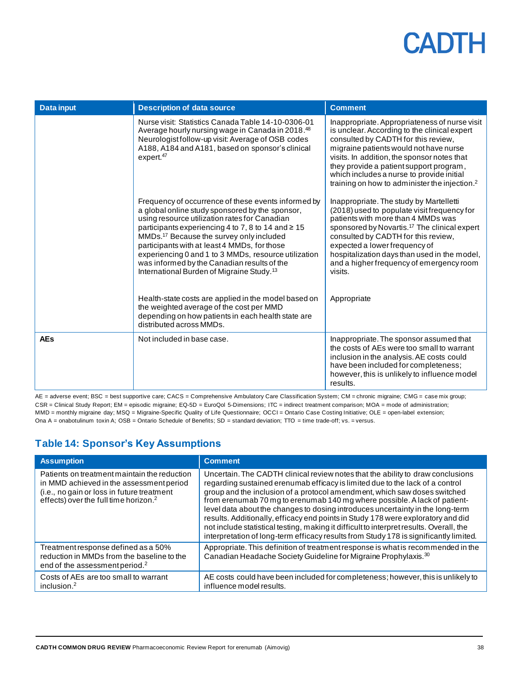| <b>Data input</b> | <b>Description of data source</b>                                                                                                                                                                                                                                                                                                                                                                                                                                                     | <b>Comment</b>                                                                                                                                                                                                                                                                                                                                                                     |
|-------------------|---------------------------------------------------------------------------------------------------------------------------------------------------------------------------------------------------------------------------------------------------------------------------------------------------------------------------------------------------------------------------------------------------------------------------------------------------------------------------------------|------------------------------------------------------------------------------------------------------------------------------------------------------------------------------------------------------------------------------------------------------------------------------------------------------------------------------------------------------------------------------------|
|                   | Nurse visit: Statistics Canada Table 14-10-0306-01<br>Average hourly nursing wage in Canada in 2018. <sup>48</sup><br>Neurologist follow-up visit: Average of OSB codes<br>A188, A184 and A181, based on sponsor's clinical<br>expert. <sup>47</sup>                                                                                                                                                                                                                                  | Inappropriate. Appropriateness of nurse visit<br>is unclear. According to the clinical expert<br>consulted by CADTH for this review,<br>migraine patients would not have nurse<br>visits. In addition, the sponsor notes that<br>they provide a patient support program,<br>which includes a nurse to provide initial<br>training on how to administer the injection. <sup>2</sup> |
|                   | Frequency of occurrence of these events informed by<br>a global online study sponsored by the sponsor,<br>using resource utilization rates for Canadian<br>participants experiencing 4 to 7, 8 to 14 and ≥ 15<br>MMDs. <sup>17</sup> Because the survey only included<br>participants with at least 4 MMDs, for those<br>experiencing 0 and 1 to 3 MMDs, resource utilization<br>was informed by the Canadian results of the<br>International Burden of Migraine Study. <sup>13</sup> | Inappropriate. The study by Martelletti<br>(2018) used to populate visit frequency for<br>patients with more than 4 MMDs was<br>sponsored by Novartis. <sup>17</sup> The clinical expert<br>consulted by CADTH for this review,<br>expected a lower frequency of<br>hospitalization days than used in the model,<br>and a higher frequency of emergency room<br>visits.            |
|                   | Health-state costs are applied in the model based on<br>the weighted average of the cost per MMD<br>depending on how patients in each health state are<br>distributed across MMDs.                                                                                                                                                                                                                                                                                                    | Appropriate                                                                                                                                                                                                                                                                                                                                                                        |
| <b>AEs</b>        | Not included in base case.                                                                                                                                                                                                                                                                                                                                                                                                                                                            | Inappropriate. The sponsor assumed that<br>the costs of AEs were too small to warrant<br>inclusion in the analysis. AE costs could<br>have been included for completeness;<br>however, this is unlikely to influence model<br>results.                                                                                                                                             |

AE = adverse event; BSC = best supportive care; CACS = Comprehensive Ambulatory Care Classification System; CM = chronic migraine; CMG = case mix group; CSR = Clinical Study Report; EM = episodic migraine; EQ-5D = EuroQol 5-Dimensions; ITC = indirect treatment comparison; MOA = mode of administration; MMD = monthly migraine day; MSQ = Migraine-Specific Quality of Life Questionnaire; OCCI = Ontario Case Costing Initiative; OLE = open-label extension; Ona A = onabotulinum toxin A; OSB = Ontario Schedule of Benefits; SD = standard deviation; TTO = time trade-off; vs. = versus.

### <span id="page-37-0"></span>**Table 14: Sponsor's Key Assumptions**

| <b>Assumption</b>                                                                                                                                                                           | <b>Comment</b>                                                                                                                                                                                                                                                                                                                                                                                                                                                                                                                                                                                                                                                                       |
|---------------------------------------------------------------------------------------------------------------------------------------------------------------------------------------------|--------------------------------------------------------------------------------------------------------------------------------------------------------------------------------------------------------------------------------------------------------------------------------------------------------------------------------------------------------------------------------------------------------------------------------------------------------------------------------------------------------------------------------------------------------------------------------------------------------------------------------------------------------------------------------------|
| Patients on treatment maintain the reduction<br>in MMD achieved in the assessment period<br>(i.e., no gain or loss in future treatment<br>effects) over the full time horizon. <sup>2</sup> | Uncertain. The CADTH clinical review notes that the ability to draw conclusions<br>regarding sustained erenumab efficacy is limited due to the lack of a control<br>group and the inclusion of a protocol amendment, which saw doses switched<br>from erenumab 70 mg to erenumab 140 mg where possible. A lack of patient-<br>level data about the changes to dosing introduces uncertainty in the long-term<br>results. Additionally, efficacy end points in Study 178 were exploratory and did<br>not include statistical testing, making it difficult to interpret results. Overall, the<br>interpretation of long-term efficacy results from Study 178 is significantly limited. |
| Treatment response defined as a 50%<br>reduction in MMDs from the baseline to the<br>end of the assessment period. <sup>2</sup>                                                             | Appropriate. This definition of treatment response is what is recommended in the<br>Canadian Headache Society Guideline for Migraine Prophylaxis. <sup>30</sup>                                                                                                                                                                                                                                                                                                                                                                                                                                                                                                                      |
| Costs of AEs are too small to warrant<br>inclusion. $2$                                                                                                                                     | AE costs could have been included for completeness; however, this is unlikely to<br>influence model results.                                                                                                                                                                                                                                                                                                                                                                                                                                                                                                                                                                         |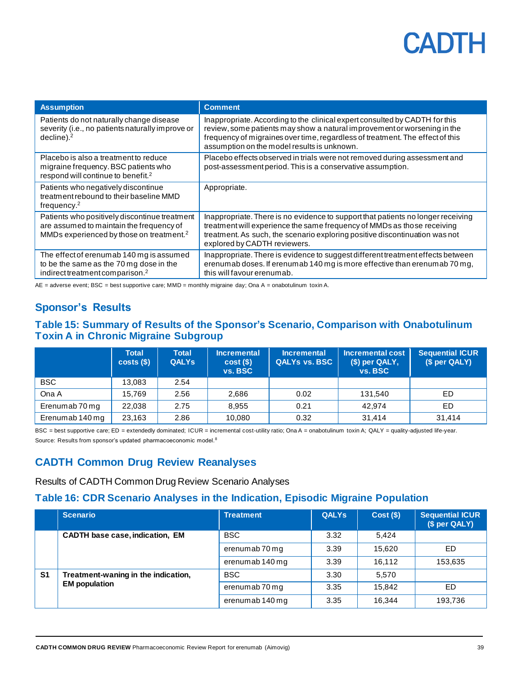| <b>Assumption</b>                                                                                                                                 | <b>Comment</b>                                                                                                                                                                                                                                                                          |
|---------------------------------------------------------------------------------------------------------------------------------------------------|-----------------------------------------------------------------------------------------------------------------------------------------------------------------------------------------------------------------------------------------------------------------------------------------|
| Patients do not naturally change disease<br>severity (i.e., no patients naturally improve or<br>decline). <sup>2</sup>                            | Inappropriate. According to the clinical expert consulted by CADTH for this<br>review, some patients may show a natural improvement or worsening in the<br>frequency of migraines over time, regardless of treatment. The effect of this<br>assumption on the model results is unknown. |
| Placebo is also a treatment to reduce<br>migraine frequency. BSC patients who<br>respond will continue to benefit. <sup>2</sup>                   | Placebo effects observed in trials were not removed during assessment and<br>post-assessment period. This is a conservative assumption.                                                                                                                                                 |
| Patients who negatively discontinue<br>treatment rebound to their baseline MMD<br>frequency. <sup>2</sup>                                         | Appropriate.                                                                                                                                                                                                                                                                            |
| Patients who positively discontinue treatment<br>are assumed to maintain the frequency of<br>MMDs experienced by those on treatment. <sup>2</sup> | Inappropriate. There is no evidence to support that patients no longer receiving<br>treatment will experience the same frequency of MMDs as those receiving<br>treatment. As such, the scenario exploring positive discontinuation was not<br>explored by CADTH reviewers.              |
| The effect of erenumab 140 mg is assumed<br>to be the same as the 70 mg dose in the<br>indirect treatment comparison. <sup>2</sup>                | Inappropriate. There is evidence to suggest different treatment effects between<br>erenumab doses. If erenumab 140 mg is more effective than erenumab 70 mg,<br>this will favour erenumab.                                                                                              |

AE = adverse event; BSC = best supportive care; MMD = monthly migraine day; Ona A = onabotulinum toxin A.

### **Sponsor's Results**

### <span id="page-38-0"></span>**Table 15: Summary of Results of the Sponsor's Scenario, Comparison with Onabotulinum Toxin A in Chronic Migraine Subgroup**

|                 | <b>Total</b><br>$costs()$ | <b>Total</b><br><b>QALYs</b> | <b>Incremental</b><br>cost()<br>vs. BSC | <b>Incremental</b><br><b>QALYs vs. BSC</b> | <b>Incremental cost</b><br>$$$ ) per QALY,<br>vs. BSC | Sequential ICUR<br>(\$ per QALY) |
|-----------------|---------------------------|------------------------------|-----------------------------------------|--------------------------------------------|-------------------------------------------------------|----------------------------------|
| <b>BSC</b>      | 13,083                    | 2.54                         |                                         |                                            |                                                       |                                  |
| Ona A           | 15.769                    | 2.56                         | 2,686                                   | 0.02                                       | 131.540                                               | ED                               |
| Erenumab 70 mg  | 22,038                    | 2.75                         | 8,955                                   | 0.21                                       | 42.974                                                | ED                               |
| Erenumab 140 mg | 23,163                    | 2.86                         | 10,080                                  | 0.32                                       | 31.414                                                | 31.414                           |

BSC = best supportive care; ED = extendedly dominated; ICUR = incremental cost-utility ratio; Ona A = onabotulinum toxin A; QALY = quality-adjusted life-year. Source: Results from sponsor's updated pharmacoeconomic model.<sup>8</sup>

### **CADTH Common Drug Review Reanalyses**

Results of CADTH Common Drug Review Scenario Analyses

#### <span id="page-38-1"></span>**Table 16: CDR Scenario Analyses in the Indication, Episodic Migraine Population**

|                | <b>Scenario</b>                        | <b>Treatment</b> | <b>QALYS</b> | $Cost($ \$) | Sequential ICUR<br>(\$ per QALY) |
|----------------|----------------------------------------|------------------|--------------|-------------|----------------------------------|
|                | <b>CADTH base case, indication, EM</b> | <b>BSC</b>       | 3.32         | 5,424       |                                  |
|                |                                        | erenumab 70 mg   | 3.39         | 15.620      | ED                               |
|                |                                        | erenumab 140 mg  | 3.39         | 16.112      | 153,635                          |
| S <sub>1</sub> | Treatment-waning in the indication,    | <b>BSC</b>       | 3.30         | 5,570       |                                  |
|                | <b>EM</b> population                   | erenumab 70 mg   | 3.35         | 15.842      | ED                               |
|                |                                        | erenumab 140 mg  | 3.35         | 16.344      | 193,736                          |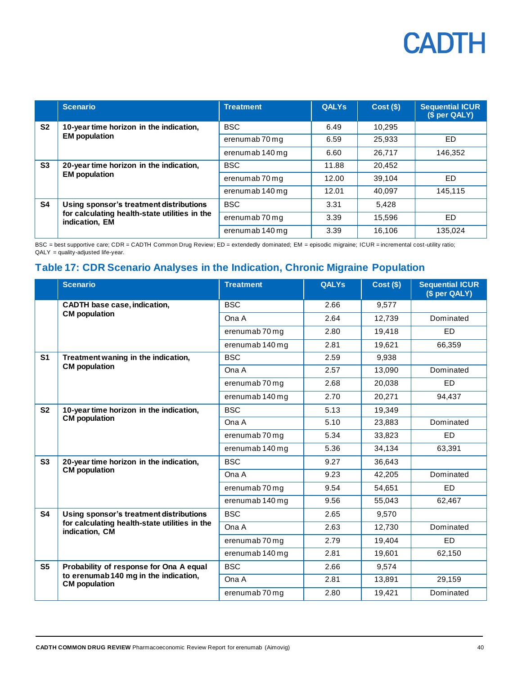|                | <b>Scenario</b>                                                                                            | <b>Treatment</b> | <b>QALYs</b> | $Cost($ \$) | <b>Sequential ICUR</b><br>(\$ per QALY) |
|----------------|------------------------------------------------------------------------------------------------------------|------------------|--------------|-------------|-----------------------------------------|
| S <sub>2</sub> | 10-year time horizon in the indication,<br><b>EM</b> population                                            | <b>BSC</b>       | 6.49         | 10,295      |                                         |
|                |                                                                                                            | erenumab 70 mg   | 6.59         | 25,933      | ED.                                     |
|                |                                                                                                            | erenumab 140 mg  | 6.60         | 26.717      | 146.352                                 |
| S <sub>3</sub> | 20-year time horizon in the indication,<br><b>EM</b> population                                            | <b>BSC</b>       | 11.88        | 20.452      |                                         |
|                |                                                                                                            | erenumab 70 mg   | 12.00        | 39.104      | ED                                      |
|                |                                                                                                            | erenumab 140 mg  | 12.01        | 40.097      | 145.115                                 |
| S4             | Using sponsor's treatment distributions<br>for calculating health-state utilities in the<br>indication, EM | <b>BSC</b>       | 3.31         | 5.428       |                                         |
|                |                                                                                                            | erenumab 70 mg   | 3.39         | 15,596      | ED                                      |
|                |                                                                                                            | erenumab 140 mg  | 3.39         | 16.106      | 135.024                                 |

BSC = best supportive care; CDR = CADTH Common Drug Review; ED = extendedly dominated; EM = episodic migraine; ICUR = incremental cost-utility ratio; QALY = quality-adjusted life-year.

### <span id="page-39-0"></span>**Table 17: CDR Scenario Analyses in the Indication, Chronic Migraine Population**

|                | <b>Scenario</b>                                                 | <b>Treatment</b> | <b>QALYs</b> | $Cost($ \$) | <b>Sequential ICUR</b><br>(\$ per QALY) |
|----------------|-----------------------------------------------------------------|------------------|--------------|-------------|-----------------------------------------|
|                | <b>CADTH base case, indication,</b>                             | <b>BSC</b>       | 2.66         | 9,577       |                                         |
|                | <b>CM</b> population                                            | Ona A            | 2.64         | 12,739      | Dominated                               |
|                |                                                                 | erenumab 70 mg   | 2.80         | 19,418      | <b>ED</b>                               |
|                |                                                                 | erenumab 140 mg  | 2.81         | 19,621      | 66,359                                  |
| S <sub>1</sub> | Treatment waning in the indication,<br><b>CM</b> population     | <b>BSC</b>       | 2.59         | 9,938       |                                         |
|                |                                                                 | Ona A            | 2.57         | 13,090      | Dominated                               |
|                |                                                                 | erenumab 70 mg   | 2.68         | 20,038      | <b>ED</b>                               |
|                |                                                                 | erenumab 140 mg  | 2.70         | 20,271      | 94,437                                  |
| S <sub>2</sub> | 10-year time horizon in the indication,<br><b>CM</b> population | <b>BSC</b>       | 5.13         | 19,349      |                                         |
|                |                                                                 | Ona A            | 5.10         | 23,883      | Dominated                               |
|                |                                                                 | erenumab 70 mg   | 5.34         | 33,823      | <b>ED</b>                               |
|                |                                                                 | erenumab 140 mg  | 5.36         | 34,134      | 63,391                                  |
| S <sub>3</sub> | 20-year time horizon in the indication,<br><b>CM</b> population | <b>BSC</b>       | 9.27         | 36,643      |                                         |
|                |                                                                 | Ona A            | 9.23         | 42,205      | Dominated                               |
|                |                                                                 | erenumab 70 mg   | 9.54         | 54,651      | <b>ED</b>                               |
|                |                                                                 | erenumab 140 mg  | 9.56         | 55,043      | 62,467                                  |
| <b>S4</b>      | Using sponsor's treatment distributions                         | <b>BSC</b>       | 2.65         | 9,570       |                                         |
|                | for calculating health-state utilities in the<br>indication, CM | Ona A            | 2.63         | 12,730      | Dominated                               |
|                |                                                                 | erenumab 70 mg   | 2.79         | 19,404      | <b>ED</b>                               |
|                |                                                                 | erenumab 140 mg  | 2.81         | 19,601      | 62,150                                  |
| S <sub>5</sub> | Probability of response for Ona A equal                         | <b>BSC</b>       | 2.66         | 9.574       |                                         |
|                | to erenumab 140 mg in the indication,<br><b>CM</b> population   | Ona A            | 2.81         | 13,891      | 29,159                                  |
|                |                                                                 | erenumab 70 mg   | 2.80         | 19,421      | Dominated                               |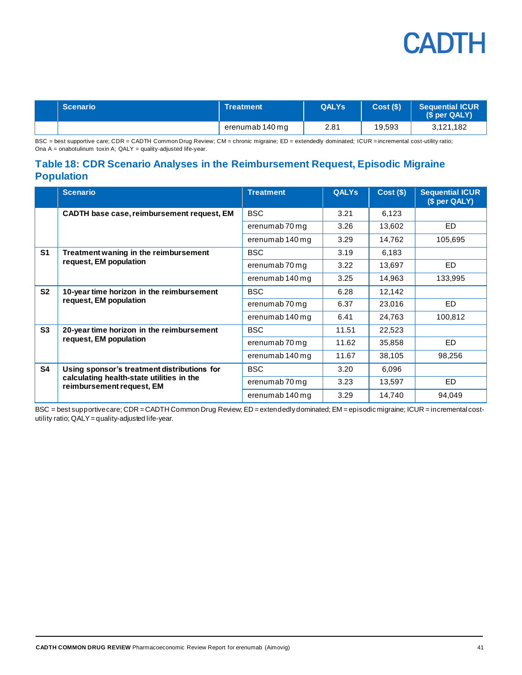| <b>Scenario</b> | <b>Treatment</b> | <b>QALYs</b> | Cost(S) | <b>Sequential ICUR</b><br>(S per QALY) |
|-----------------|------------------|--------------|---------|----------------------------------------|
|                 | erenumab 140 mg  | 2.81         | 19,593  | 3,121,182                              |

BSC = best supportive care; CDR = CADTH Common Drug Review; CM = chronic migraine; ED = extendedly dominated; ICUR = incremental cost-utility ratio; Ona A = onabotulinum toxin A; QALY = quality-adjusted life-year.

### <span id="page-40-0"></span>**Table 18: CDR Scenario Analyses in the Reimbursement Request, Episodic Migraine Population**

|                | <b>Scenario</b>                                                                                                       | <b>Treatment</b> | <b>QALYs</b> | $Cost($ \$) | <b>Sequential ICUR</b><br>(\$ per QALY) |
|----------------|-----------------------------------------------------------------------------------------------------------------------|------------------|--------------|-------------|-----------------------------------------|
|                | CADTH base case, reimbursement request, EM                                                                            | <b>BSC</b>       | 3.21         | 6,123       |                                         |
|                |                                                                                                                       | erenumab 70 mg   | 3.26         | 13,602      | ED.                                     |
|                |                                                                                                                       | erenumab 140 mg  | 3.29         | 14,762      | 105,695                                 |
| S <sub>1</sub> | Treatment waning in the reimbursement                                                                                 | <b>BSC</b>       | 3.19         | 6,183       |                                         |
|                | request, EM population                                                                                                | erenumab 70 mg   | 3.22         | 13,697      | <b>ED</b>                               |
|                |                                                                                                                       | erenumab 140 mg  | 3.25         | 14,963      | 133,995                                 |
| S <sub>2</sub> | 10-year time horizon in the reimbursement<br>request, EM population                                                   | <b>BSC</b>       | 6.28         | 12,142      |                                         |
|                |                                                                                                                       | erenumab 70 mg   | 6.37         | 23,016      | ED.                                     |
|                |                                                                                                                       | erenumab 140 mg  | 6.41         | 24,763      | 100,812                                 |
| S <sub>3</sub> | 20-year time horizon in the reimbursement                                                                             | <b>BSC</b>       | 11.51        | 22,523      |                                         |
|                | request, EM population                                                                                                | erenumab 70 mg   | 11.62        | 35,858      | ED.                                     |
|                |                                                                                                                       | erenumab 140 mg  | 11.67        | 38,105      | 98,256                                  |
| <b>S4</b>      | Using sponsor's treatment distributions for<br>calculating health-state utilities in the<br>reimbursement request, EM | <b>BSC</b>       | 3.20         | 6,096       |                                         |
|                |                                                                                                                       | erenumab 70 mg   | 3.23         | 13,597      | ED.                                     |
|                |                                                                                                                       | erenumab 140 mg  | 3.29         | 14,740      | 94,049                                  |

BSC = best supportive care; CDR = CADTH Common Drug Review; ED = extendedly dominated; EM = episodic migraine; ICUR = incremental costutility ratio; QALY=quality-adjusted life-year.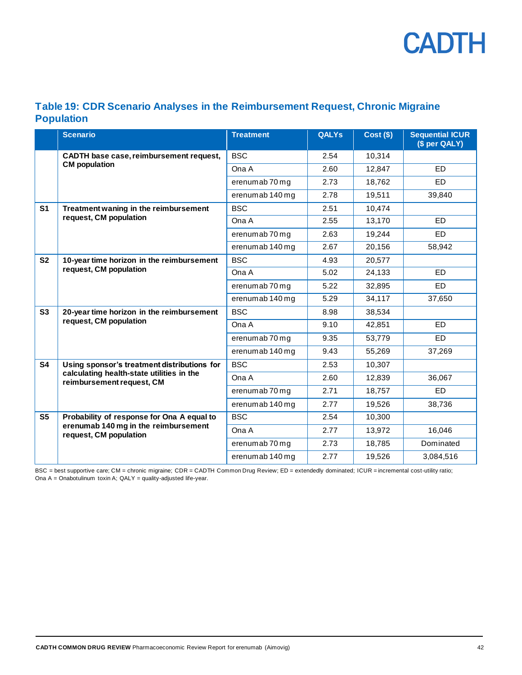

### <span id="page-41-0"></span>**Table 19: CDR Scenario Analyses in the Reimbursement Request, Chronic Migraine Population**

|                | <b>Scenario</b>                                                        | <b>Treatment</b> | <b>QALYs</b> | $Cost($ \$) | <b>Sequential ICUR</b><br>(\$ per QALY) |
|----------------|------------------------------------------------------------------------|------------------|--------------|-------------|-----------------------------------------|
|                | CADTH base case, reimbursement request,                                | <b>BSC</b>       | 2.54         | 10,314      |                                         |
|                | <b>CM</b> population                                                   | Ona A            | 2.60         | 12,847      | <b>ED</b>                               |
|                |                                                                        | erenumab 70 mg   | 2.73         | 18,762      | ED                                      |
|                |                                                                        | erenumab 140 mg  | 2.78         | 19,511      | 39,840                                  |
| S <sub>1</sub> | Treatment waning in the reimbursement<br>request, CM population        | <b>BSC</b>       | 2.51         | 10,474      |                                         |
|                |                                                                        | Ona A            | 2.55         | 13,170      | ED                                      |
|                |                                                                        | erenumab 70 mg   | 2.63         | 19,244      | ED                                      |
|                |                                                                        | erenumab 140 mg  | 2.67         | 20,156      | 58.942                                  |
| S <sub>2</sub> | 10-year time horizon in the reimbursement<br>request, CM population    | <b>BSC</b>       | 4.93         | 20,577      |                                         |
|                |                                                                        | Ona A            | 5.02         | 24,133      | ED                                      |
|                |                                                                        | erenumab 70 mg   | 5.22         | 32,895      | <b>ED</b>                               |
|                |                                                                        | erenumab 140 mg  | 5.29         | 34,117      | 37,650                                  |
| S <sub>3</sub> | 20-year time horizon in the reimbursement<br>request, CM population    | <b>BSC</b>       | 8.98         | 38,534      |                                         |
|                |                                                                        | Ona A            | 9.10         | 42,851      | ED                                      |
|                |                                                                        | erenumab 70 mg   | 9.35         | 53,779      | ED.                                     |
|                |                                                                        | erenumab 140 mg  | 9.43         | 55,269      | 37,269                                  |
| <b>S4</b>      | Using sponsor's treatment distributions for                            | <b>BSC</b>       | 2.53         | 10,307      |                                         |
|                | calculating health-state utilities in the<br>reimbursement request, CM | Ona A            | 2.60         | 12,839      | 36,067                                  |
|                |                                                                        | erenumab 70 mg   | 2.71         | 18,757      | <b>ED</b>                               |
|                |                                                                        | erenumab 140 mg  | 2.77         | 19.526      | 38,736                                  |
| S <sub>5</sub> | Probability of response for Ona A equal to                             | <b>BSC</b>       | 2.54         | 10,300      |                                         |
|                | erenumab 140 mg in the reimbursement<br>request, CM population         | Ona A            | 2.77         | 13,972      | 16,046                                  |
|                |                                                                        | erenumab 70 mg   | 2.73         | 18,785      | Dominated                               |
|                |                                                                        | erenumab 140 mg  | 2.77         | 19,526      | 3,084,516                               |

BSC = best supportive care; CM = chronic migraine; CDR = CADTH Common Drug Review; ED = extendedly dominated; ICUR = incremental cost-utility ratio; Ona A = Onabotulinum toxin A; QALY = quality-adjusted life-year.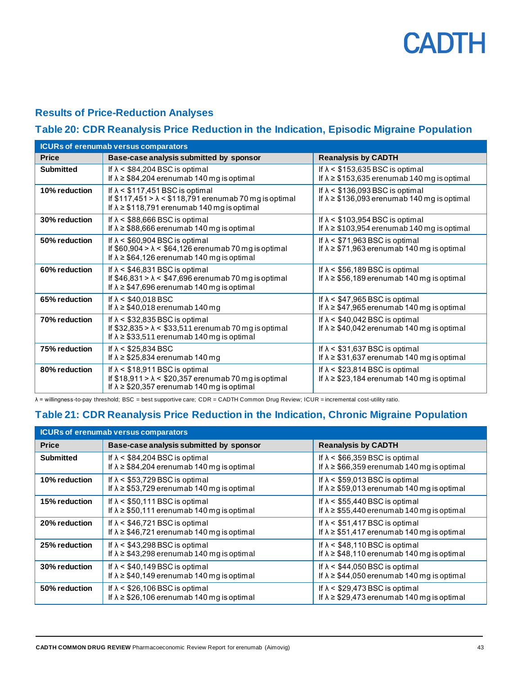### **Results of Price-Reduction Analyses**

### <span id="page-42-0"></span>**Table 20: CDR Reanalysis Price Reduction in the Indication, Episodic Migraine Population**

|                  | <b>ICURs of erenumab versus comparators</b>                                                                                                                      |                                                                                                  |  |  |  |  |
|------------------|------------------------------------------------------------------------------------------------------------------------------------------------------------------|--------------------------------------------------------------------------------------------------|--|--|--|--|
| <b>Price</b>     | Base-case analysis submitted by sponsor                                                                                                                          | <b>Reanalysis by CADTH</b>                                                                       |  |  |  |  |
| <b>Submitted</b> | If $\lambda$ < \$84,204 BSC is optimal<br>If $\lambda \geq $84,204$ erenumab 140 mg is optimal                                                                   | If $\lambda$ < \$153,635 BSC is optimal<br>If $\lambda \geq $153,635$ erenumab 140 mg is optimal |  |  |  |  |
| 10% reduction    | If $\lambda$ < \$117,451 BSC is optimal<br>If $$117,451 > \lambda < $118,791$ erenumab 70 mg is optimal<br>If $\lambda \geq $118,791$ erenumab 140 mg is optimal | If $\lambda$ < \$136,093 BSC is optimal<br>If $\lambda \geq $136,093$ erenumab 140 mg is optimal |  |  |  |  |
| 30% reduction    | If $\lambda$ < \$88,666 BSC is optimal<br>If $\lambda \geq $88,666$ erenumab 140 mg is optimal                                                                   | If $\lambda$ < \$103,954 BSC is optimal<br>If $\lambda \geq $103,954$ erenumab 140 mg is optimal |  |  |  |  |
| 50% reduction    | If $\lambda$ < \$60,904 BSC is optimal<br>If $$60,904 > \lambda < $64,126$ erenumab 70 mg is optimal<br>If $\lambda \geq $64,126$ erenumab 140 mg is optimal     | If $\lambda$ < \$71,963 BSC is optimal<br>If $\lambda \geq $71,963$ erenumab 140 mg is optimal   |  |  |  |  |
| 60% reduction    | If $\lambda$ < \$46,831 BSC is optimal<br>If $$46,831 > \lambda < $47,696$ erenumab 70 mg is optimal<br>If $\lambda \geq $47,696$ erenumab 140 mg is optimal     | If $\lambda$ < \$56,189 BSC is optimal<br>If $\lambda \geq $56,189$ erenumab 140 mg is optimal   |  |  |  |  |
| 65% reduction    | If $\lambda$ < \$40,018 BSC<br>If $\lambda \geq $40,018$ erenumab 140 mg                                                                                         | If $\lambda$ < \$47,965 BSC is optimal<br>If $\lambda \geq $47,965$ erenumab 140 mg is optimal   |  |  |  |  |
| 70% reduction    | If $\lambda$ < \$32,835 BSC is optimal<br>If $$32,835 > \lambda < $33,511$ erenumab 70 mg is optimal<br>If $\lambda \geq $33,511$ erenumab 140 mg is optimal     | If $\lambda$ < \$40,042 BSC is optimal<br>If $\lambda \geq $40,042$ erenumab 140 mg is optimal   |  |  |  |  |
| 75% reduction    | If $\lambda$ < \$25,834 BSC<br>If $\lambda \geq$ \$25,834 erenumab 140 mg                                                                                        | If $\lambda$ < \$31,637 BSC is optimal<br>If $\lambda \geq $31,637$ erenumab 140 mg is optimal   |  |  |  |  |
| 80% reduction    | If $\lambda$ < \$18,911 BSC is optimal<br>If $$18,911 > \lambda < $20,357$ erenumab 70 mg is optimal<br>If $\lambda \geq $20,357$ erenumab 140 mg is optimal     | If $\lambda$ < \$23,814 BSC is optimal<br>If $\lambda \geq$ \$23,184 erenumab 140 mg is optimal  |  |  |  |  |

λ = willingness-to-pay threshold; BSC = best supportive care; CDR = CADTH Common Drug Review; ICUR = incremental cost-utility ratio.

### <span id="page-42-1"></span>**Table 21: CDR Reanalysis Price Reduction in the Indication, Chronic Migraine Population**

|               | <b>ICURs of erenumab versus comparators</b>                                                    |                                                                                                 |  |  |  |
|---------------|------------------------------------------------------------------------------------------------|-------------------------------------------------------------------------------------------------|--|--|--|
| <b>Price</b>  | Base-case analysis submitted by sponsor                                                        | <b>Reanalysis by CADTH</b>                                                                      |  |  |  |
| Submitted     | If $\lambda$ < \$84,204 BSC is optimal<br>If $\lambda \geq $84,204$ erenumab 140 mg is optimal | If $\lambda$ < \$66,359 BSC is optimal<br>If $\lambda \geq$ \$66,359 erenumab 140 mg is optimal |  |  |  |
| 10% reduction | If $\lambda$ < \$53,729 BSC is optimal<br>If $\lambda \geq $53,729$ erenumab 140 mg is optimal | If $\lambda$ < \$59,013 BSC is optimal<br>If $\lambda \geq $59,013$ erenumab 140 mg is optimal  |  |  |  |
| 15% reduction | If $\lambda$ < \$50,111 BSC is optimal<br>If $\lambda \geq $50,111$ erenumab 140 mg is optimal | If $\lambda$ < \$55,440 BSC is optimal<br>If $\lambda \geq $55,440$ erenumab 140 mg is optimal  |  |  |  |
| 20% reduction | If $\lambda$ < \$46,721 BSC is optimal<br>If $\lambda \geq $46,721$ erenumab 140 mg is optimal | If $\lambda$ < \$51,417 BSC is optimal<br>If $\lambda \geq $51,417$ erenumab 140 mg is optimal  |  |  |  |
| 25% reduction | If $\lambda$ < \$43,298 BSC is optimal<br>If $\lambda \geq $43,298$ erenumab 140 mg is optimal | If $\lambda$ < \$48,110 BSC is optimal<br>If $\lambda \geq $48,110$ erenumab 140 mg is optimal  |  |  |  |
| 30% reduction | If $\lambda$ < \$40,149 BSC is optimal<br>If $\lambda \geq $40,149$ erenumab 140 mg is optimal | If $\lambda$ < \$44,050 BSC is optimal<br>If $\lambda \geq $44,050$ erenumab 140 mg is optimal  |  |  |  |
| 50% reduction | If $\lambda$ < \$26,106 BSC is optimal<br>If $\lambda \geq $26,106$ erenumab 140 mg is optimal | If $\lambda$ < \$29,473 BSC is optimal<br>If $\lambda \geq $29,473$ erenumab 140 mg is optimal  |  |  |  |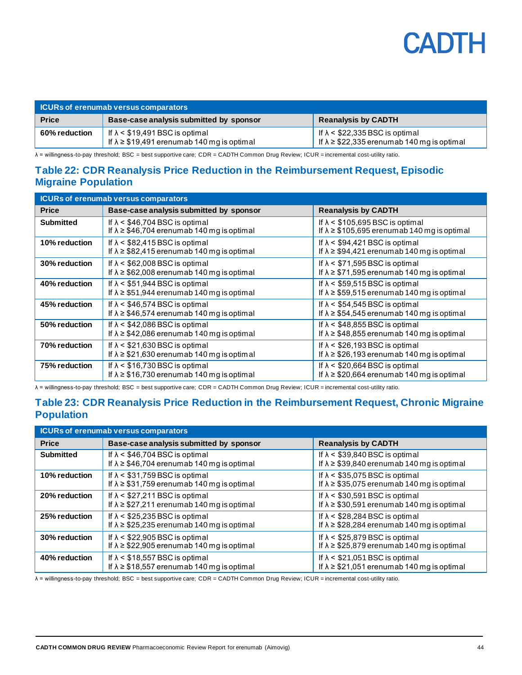| <b>ICURs of erenumab versus comparators</b> |                                                                                                |                                                                                                 |  |
|---------------------------------------------|------------------------------------------------------------------------------------------------|-------------------------------------------------------------------------------------------------|--|
| <b>Price</b>                                | Base-case analysis submitted by sponsor                                                        | <b>Reanalysis by CADTH</b>                                                                      |  |
| 60% reduction                               | If $\lambda$ < \$19,491 BSC is optimal<br>If $\lambda \geq $19,491$ erenumab 140 mg is optimal | If $\lambda$ < \$22,335 BSC is optimal<br>If $\lambda \geq$ \$22,335 erenumab 140 mg is optimal |  |

λ = willingness-to-pay threshold; BSC = best supportive care; CDR = CADTH Common Drug Review; ICUR = incremental cost-utility ratio.

#### <span id="page-43-0"></span>**Table 22: CDR Reanalysis Price Reduction in the Reimbursement Request, Episodic Migraine Population**

| <b>ICURs of erenumab versus comparators</b> |                                                                                                |                                                                                                   |  |
|---------------------------------------------|------------------------------------------------------------------------------------------------|---------------------------------------------------------------------------------------------------|--|
| <b>Price</b>                                | Base-case analysis submitted by sponsor                                                        | <b>Reanalysis by CADTH</b>                                                                        |  |
| <b>Submitted</b>                            | If $\lambda$ < \$46,704 BSC is optimal<br>If $\lambda \geq $46,704$ erenumab 140 mg is optimal | If $\lambda$ < \$105,695 BSC is optimal<br>If $\lambda \geq$ \$105,695 erenumab 140 mg is optimal |  |
| 10% reduction                               | If $\lambda$ < \$82,415 BSC is optimal<br>If $\lambda \geq $82,415$ erenumab 140 mg is optimal | If $\lambda$ < \$94,421 BSC is optimal<br>If $\lambda \geq $94,421$ erenumab 140 mg is optimal    |  |
| 30% reduction                               | If $\lambda$ < \$62,008 BSC is optimal<br>If $\lambda \geq $62,008$ erenumab 140 mg is optimal | If $\lambda$ < \$71,595 BSC is optimal<br>If $\lambda \geq $71,595$ erenumab 140 mg is optimal    |  |
| 40% reduction                               | If $\lambda$ < \$51,944 BSC is optimal<br>If $\lambda \geq $51,944$ erenumab 140 mg is optimal | If $\lambda$ < \$59,515 BSC is optimal<br>If $\lambda \geq $59,515$ erenumab 140 mg is optimal    |  |
| 45% reduction                               | If $\lambda$ < \$46,574 BSC is optimal<br>If $\lambda \geq $46,574$ erenumab 140 mg is optimal | If $\lambda$ < \$54,545 BSC is optimal<br>If $\lambda \geq $54,545$ erenumab 140 mg is optimal    |  |
| 50% reduction                               | If $\lambda$ < \$42,086 BSC is optimal<br>If $\lambda \geq $42,086$ erenumab 140 mg is optimal | If $\lambda$ < \$48,855 BSC is optimal<br>If $\lambda \geq $48,855$ erenumab 140 mg is optimal    |  |
| 70% reduction                               | If $\lambda$ < \$21,630 BSC is optimal<br>If $\lambda \geq $21,630$ erenumab 140 mg is optimal | If $\lambda$ < \$26,193 BSC is optimal<br>If $\lambda \geq $26,193$ erenumab 140 mg is optimal    |  |
| 75% reduction                               | If $\lambda$ < \$16,730 BSC is optimal<br>If $\lambda \geq $16,730$ erenumab 140 mg is optimal | If $\lambda$ < \$20,664 BSC is optimal<br>If $\lambda \geq $20,664$ erenumab 140 mg is optimal    |  |

λ = willingness-to-pay threshold; BSC = best supportive care; CDR = CADTH Common Drug Review; ICUR = incremental cost-utility ratio.

### <span id="page-43-1"></span>**Table 23: CDR Reanalysis Price Reduction in the Reimbursement Request, Chronic Migraine Population**

| <b>ICURs of erenumab versus comparators</b> |                                                                                                 |                                                                                                 |  |
|---------------------------------------------|-------------------------------------------------------------------------------------------------|-------------------------------------------------------------------------------------------------|--|
| <b>Price</b>                                | Base-case analysis submitted by sponsor                                                         | <b>Reanalysis by CADTH</b>                                                                      |  |
| <b>Submitted</b>                            | If $\lambda$ < \$46,704 BSC is optimal<br>If $\lambda \geq $46,704$ erenumab 140 mg is optimal  | If $\lambda$ < \$39,840 BSC is optimal<br>If $\lambda \geq $39,840$ erenumab 140 mg is optimal  |  |
| 10% reduction                               | If $\lambda$ < \$31,759 BSC is optimal<br>If $\lambda \geq $31,759$ erenumab 140 mg is optimal  | If $\lambda$ < \$35,075 BSC is optimal<br>If $\lambda \geq$ \$35,075 erenumab 140 mg is optimal |  |
| 20% reduction                               | If $\lambda$ < \$27,211 BSC is optimal<br>If $\lambda \geq$ \$27,211 erenumab 140 mg is optimal | If $\lambda$ < \$30,591 BSC is optimal<br>If $\lambda \geq $30,591$ erenumab 140 mg is optimal  |  |
| 25% reduction                               | If $\lambda$ < \$25,235 BSC is optimal<br>If $\lambda \geq$ \$25,235 erenumab 140 mg is optimal | If $\lambda$ < \$28,284 BSC is optimal<br>If $\lambda \geq$ \$28,284 erenumab 140 mg is optimal |  |
| 30% reduction                               | If $\lambda$ < \$22,905 BSC is optimal<br>If $\lambda \geq$ \$22,905 erenumab 140 mg is optimal | If $\lambda$ < \$25,879 BSC is optimal<br>If $\lambda \geq$ \$25,879 erenumab 140 mg is optimal |  |
| 40% reduction                               | If $\lambda$ < \$18,557 BSC is optimal<br>If $\lambda \geq $18,557$ erenumab 140 mg is optimal  | If $\lambda$ < \$21,051 BSC is optimal<br>If $\lambda \geq$ \$21,051 erenumab 140 mg is optimal |  |

λ = willingness-to-pay threshold; BSC = best supportive care; CDR = CADTH Common Drug Review; ICUR = incremental cost-utility ratio.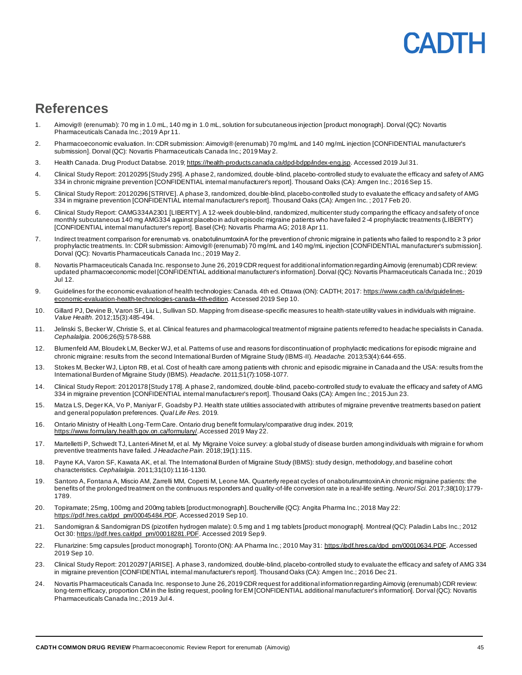## **ANTE**

### <span id="page-44-0"></span>**References**

- 1. Aimovig® (erenumab): 70 mg in 1.0 mL, 140 mg in 1.0 mL, solution for subcutaneous injection [product monograph]. Dorval (QC): Novartis Pharmaceuticals Canada Inc.; 2019 Apr 11.
- 2. Pharmacoeconomic evaluation. In: CDR submission: Aimovig® (erenumab) 70 mg/mL and 140 mg/mL injection [CONFIDENTIAL manufacturer's submission]. Dorval (QC): Novartis Pharmaceuticals Canada Inc.; 2019 May 2.
- 3. Health Canada. Drug Product Databse. 201[9; https://health-products.canada.ca/dpd-bdpp/index-eng.jsp](https://health-products.canada.ca/dpd-bdpp/index-eng.jsp). Accessed 2019 Jul 31.
- 4. Clinical Study Report: 20120295 [Study 295]. A phase 2, randomized, double-blind, placebo-controlled study to evaluate the efficacy and safety of AMG 334 in chronic migraine prevention [CONFIDENTIAL internal manufacturer's report]. Thousand Oaks (CA): Amgen Inc.; 2016 Sep 15.
- 5. Clinical Study Report: 20120296 [STRIVE]. A phase 3, randomized, double-blind, placebo-controlled study to evaluate the efficacy and safety of AMG 334 in migraine prevention [CONFIDENTIAL internal manufacturer's report]. Thousand Oaks (CA): Amgen Inc. ; 2017 Feb 20.
- 6. Clinical Study Report: CAMG334A2301 [LIBERTY]. A 12-week double-blind, randomized, multicenter study comparing the efficacy and safety of once monthly subcutaneous 140 mg AMG334 against placebo in adult episodic migraine patients who have failed 2 -4 prophylactic treatments (LIBERTY) [CONFIDENTIAL internal manufacturer's report]. Basel (CH): Novartis Pharma AG; 2018 Apr 11.
- 7. Indirect treatment comparison for erenumab vs. onabotulinumtoxinA for the prevention of chronic migraine in patients who failed to respond to ≥ 3 prior prophylactic treatments. In: CDR submission: Aimovig® (erenumab) 70 mg/mL and 140 mg/mL injection [CONFIDENTIAL manufacturer's submission]. Dorval (QC): Novartis Pharmaceuticals Canada Inc.; 2019 May 2.
- 8. Novartis Pharmaceuticals Canada Inc. response to June 26, 2019 CDR request for additional information regarding Aimovig (erenumab) CDR review: updated pharmacoeconomic model [CONFIDENTIAL additional manufacturer's information]. Dorval (QC): Novartis Pharmaceuticals Canada Inc.; 2019 Jul 12.
- 9. Guidelines for the economic evaluation of health technologies: Canada. 4th ed. Ottawa (ON): CADTH; 2017[: https://www.cadth.ca/dv/guidelines](https://www.cadth.ca/dv/guidelines-economic-evaluation-health-technologies-canada-4th-edition)[economic-evaluation-health-technologies-canada-4th-edition](https://www.cadth.ca/dv/guidelines-economic-evaluation-health-technologies-canada-4th-edition). Accessed 2019 Sep 10.
- 10. Gillard PJ, Devine B, Varon SF, Liu L, Sullivan SD. Mapping from disease-specific measures to health-state utility values in individuals with migraine. *Value Health.* 2012;15(3):485-494.
- 11. Jelinski S, Becker W, Christie S, et al. Clinical features and pharmacological treatment of migraine patients referred to headache specialists in Canada. *Cephalalgia.* 2006;26(5):578-588.
- 12. Blumenfeld AM, Bloudek LM, Becker WJ, et al. Patterns of use and reasons for discontinuation of prophylactic medications for episodic migraine and chronic migraine: results from the second International Burden of Migraine Study (IBMS‐II). *Headache.* 2013;53(4):644-655.
- 13. Stokes M, Becker WJ, Lipton RB, et al. Cost of health care among patients with chronic and episodic migraine in Canada and the USA: results from the International Burden of Migraine Study (IBMS). *Headache.* 2011;51(7):1058-1077.
- 14. Clinical Study Report: 20120178 [Study 178]. A phase 2, randomized, double-blind, pacebo-controlled study to evaluate the efficacy and safety of AMG 334 in migraine prevention [CONFIDENTIAL internal manufacturer's report]. Thousand Oaks (CA): Amgen Inc.; 2015 Jun 23.
- 15. Matza LS, Deger KA, Vo P, Maniyar F, Goadsby PJ. Health state utilities associated with attributes of migraine preventive treatments based on patient and general population preferences. *Qual Life Res.* 2019.
- 16. Ontario Ministry of Health Long-Term Care. Ontario drug benefit formulary/comparative drug index. 2019; <https://www.formulary.health.gov.on.ca/formulary/>. Accessed 2019 May 22.
- 17. Martelletti P, Schwedt TJ, Lanteri-Minet M, et al. My Migraine Voice survey: a global study of disease burden among individuals with migrain e for whom preventive treatments have failed. *J Headache Pain.* 2018;19(1):115.
- 18. Payne KA, Varon SF, Kawata AK, et al. The International Burden of Migraine Study (IBMS): study design, methodology, and basel ine cohort characteristics. *Cephalalgia.* 2011;31(10):1116-1130.
- 19. Santoro A, Fontana A, Miscio AM, Zarrelli MM, Copetti M, Leone MA. Quarterly repeat cycles of onabotulinumtoxinA in chronic migraine patients: the benefits of the prolonged treatment on the continuous responders and quality-of-life conversion rate in a real-life setting. *Neurol Sci.* 2017;38(10):1779- 1789.
- 20. Topiramate; 25mg, 100mg and 200mg tablets [product monograph]. Boucherville (QC): Angita Pharma Inc.; 2018 May 22: [https://pdf.hres.ca/dpd\\_pm/00045484.PDF](https://pdf.hres.ca/dpd_pm/00045484.PDF). Accessed 2019 Sep 10.
- 21. Sandomigran & Sandomigran DS (pizotifen hydrogen malate): 0.5 mg and 1 mg tablets [product monograph]. Montreal (QC): Paladin Labs Inc.; 2012 Oct 30[: https://pdf.hres.ca/dpd\\_pm/00018281.PDF](https://pdf.hres.ca/dpd_pm/00018281.PDF). Accessed 2019 Sep 9.
- 22. Flunarizine: 5mg capsules [product monograph]. Toronto (ON): AA Pharma Inc.; 2010 May 31[: https://pdf.hres.ca/dpd\\_pm/00010634.PDF](https://pdf.hres.ca/dpd_pm/00010634.PDF). Accessed 2019 Sep 10.
- 23. Clinical Study Report: 20120297 [ARISE]. A phase 3, randomized, double-blind, placebo-controlled study to evaluate the efficacy and safety of AMG 334 in migraine prevention [CONFIDENTIAL internal manufacturer's report]. Thousand Oaks (CA): Amgen Inc.; 2016 Dec 21.
- 24. Novartis Pharmaceuticals Canada Inc. response to June 26, 2019 CDR request for additional information regarding Aimovig (erenumab) CDR review: long-term efficacy, proportion CM in the listing request, pooling for EM [CONFIDENTIAL additional manufacturer's information]. Dorval (QC): Novartis Pharmaceuticals Canada Inc.; 2019 Jul 4.